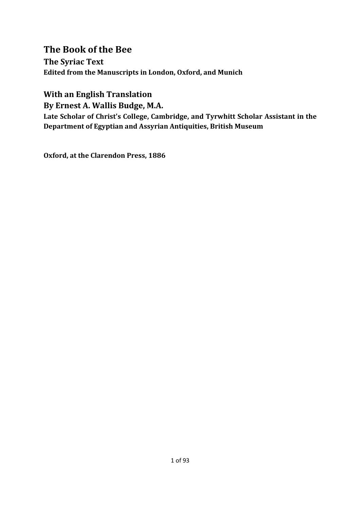# **The Book of the Bee**

**The Syriac Text Edited from the Manuscripts in London, Oxford, and Munich**

**With an English Translation**

**By Ernest A. Wallis Budge, M.A.**

**Late Scholar of Christ's College, Cambridge, and Tyrwhitt Scholar Assistant in the Department of Egyptian and Assyrian Antiquities, British Museum**

**Oxford, at the Clarendon Press, 1886**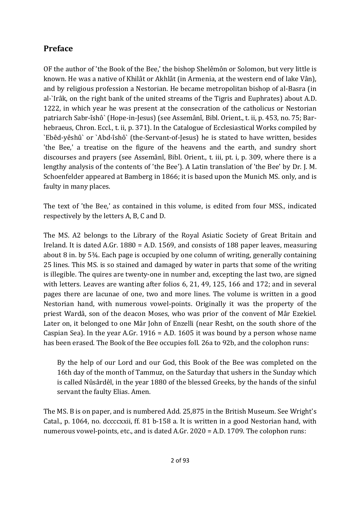# **Preface**

OF the author of 'the Book of the Bee,' the bishop Shelêmôn or Solomon, but very little is known. He was a native of Khilât or Akhlât (in Armenia, at the western end of lake Vân), and by religious profession a Nestorian. He became metropolitan bishop of al-Basra (in al-`Irâk, on the right bank of the united streams of the Tigris and Euphrates) about A.D. 1222, in which year he was present at the consecration of the catholicus or Nestorian patriarch Sabr-îshô` (Hope-in-Jesus) (see Assemânî, Bibl. Orient., t. ii, p. 453, no. 75; Barhebraeus, Chron. Eccl., t. ii, p. 371). In the Catalogue of Ecclesiastical Works compiled by `Ebêd-yêshû` or `Abd-îshô` (the-Servant-of-Jesus) he is stated to have written, besides 'the Bee,' a treatise on the figure of the heavens and the earth, and sundry short discourses and prayers (see Assemânî, Bibl. Orient., t. iii, pt. i, p. 309, where there is a lengthy analysis of the contents of 'the Bee'). A Latin translation of 'the Bee' by Dr. J. M. Schoenfelder appeared at Bamberg in 1866; it is based upon the Munich MS. only, and is faulty in many places.

The text of 'the Bee,' as contained in this volume, is edited from four MSS., indicated respectively by the letters A, B, C and D.

The MS. A2 belongs to the Library of the Royal Asiatic Society of Great Britain and Ireland. It is dated A.Gr. 1880 = A.D. 1569, and consists of 188 paper leaves, measuring about 8 in. by 5¾. Each page is occupied by one column of writing, generally containing 25 lines. This MS. is so stained and damaged by water in parts that some of the writing is illegible. The quires are twenty-one in number and, excepting the last two, are signed with letters. Leaves are wanting after folios 6, 21, 49, 125, 166 and 172; and in several pages there are lacunae of one, two and more lines. The volume is written in a good Nestorian hand, with numerous vowel-points. Originally it was the property of the priest Wardâ, son of the deacon Moses, who was prior of the convent of Mâr Ezekiel. Later on, it belonged to one Mâr John of Enzelli (near Resht, on the south shore of the Caspian Sea). In the year A.Gr. 1916 = A.D. 1605 it was bound by a person whose name has been erased. The Book of the Bee occupies foll. 26a to 92b, and the colophon runs:

By the help of our Lord and our God, this Book of the Bee was completed on the 16th day of the month of Tammuz, on the Saturday that ushers in the Sunday which is called Nûsârdêl, in the year 1880 of the blessed Greeks, by the hands of the sinful servant the faulty Elias. Amen.

The MS. B is on paper, and is numbered Add. 25,875 in the British Museum. See Wright's Catal., p. 1064, no. dccccxxii, ff. 81 b-158 a. It is written in a good Nestorian hand, with numerous vowel-points, etc., and is dated A.Gr. 2020 = A.D. 1709. The colophon runs: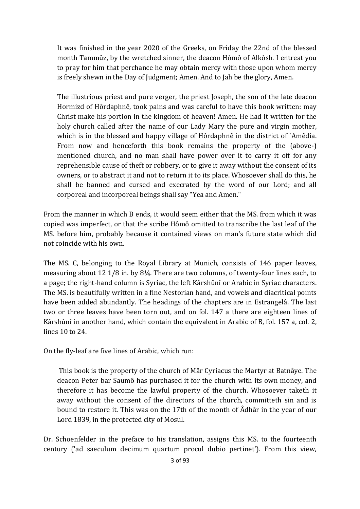It was finished in the year 2020 of the Greeks, on Friday the 22nd of the blessed month Tammûz, by the wretched sinner, the deacon Hômô of Alkôsh. I entreat you to pray for him that perchance he may obtain mercy with those upon whom mercy is freely shewn in the Day of Judgment; Amen. And to Jah be the glory, Amen.

The illustrious priest and pure verger, the priest Joseph, the son of the late deacon Hormizd of Hôrdaphnê, took pains and was careful to have this book written: may Christ make his portion in the kingdom of heaven! Amen. He had it written for the holy church called after the name of our Lady Mary the pure and virgin mother, which is in the blessed and happy village of Hôrdaphnê in the district of `Amêdîa. From now and henceforth this book remains the property of the (above-) mentioned church, and no man shall have power over it to carry it off for any reprehensible cause of theft or robbery, or to give it away without the consent of its owners, or to abstract it and not to return it to its place. Whosoever shall do this, he shall be banned and cursed and execrated by the word of our Lord; and all corporeal and incorporeal beings shall say "Yea and Amen."

From the manner in which B ends, it would seem either that the MS. from which it was copied was imperfect, or that the scribe Hômô omitted to transcribe the last leaf of the MS. before him, probably because it contained views on man's future state which did not coincide with his own.

The MS. C, belonging to the Royal Library at Munich, consists of 146 paper leaves, measuring about 12 1/8 in. by 8¼. There are two columns, of twenty-four lines each, to a page; the right-hand column is Syriac, the left Kârshûnî or Arabic in Syriac characters. The MS. is beautifully written in a fine Nestorian hand, and vowels and diacritical points have been added abundantly. The headings of the chapters are in Estrangelâ. The last two or three leaves have been torn out, and on fol. 147 a there are eighteen lines of Kârshûnî in another hand, which contain the equivalent in Arabic of B, fol. 157 a, col. 2, lines 10 to 24.

On the fly-leaf are five lines of Arabic, which run:

This book is the property of the church of Mâr Cyriacus the Martyr at Batnâye. The deacon Peter bar Saumô has purchased it for the church with its own money, and therefore it has become the lawful property of the church. Whosoever taketh it away without the consent of the directors of the church, committeth sin and is bound to restore it. This was on the 17th of the month of Âdhâr in the year of our Lord 1839, in the protected city of Mosul.

Dr. Schoenfelder in the preface to his translation, assigns this MS. to the fourteenth century ('ad saeculum decimum quartum procul dubio pertinet'). From this view,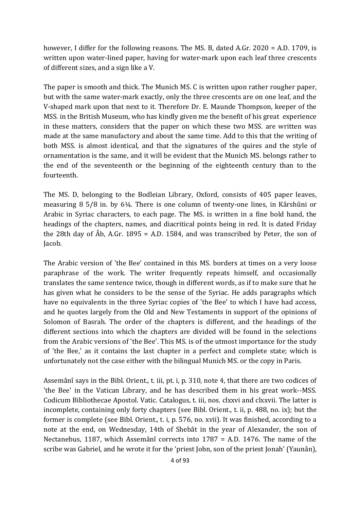however, I differ for the following reasons. The MS. B, dated A.Gr. 2020 = A.D. 1709, is written upon water-lined paper, having for water-mark upon each leaf three crescents of different sizes, and a sign like a V.

The paper is smooth and thick. The Munich MS. C is written upon rather rougher paper, but with the same water-mark exactly, only the three crescents are on one leaf, and the V-shaped mark upon that next to it. Therefore Dr. E. Maunde Thompson, keeper of the MSS. in the British Museum, who has kindly given me the benefit of his great experience in these matters, considers that the paper on which these two MSS. are written was made at the same manufactory and about the same time. Add to this that the writing of both MSS. is almost identical, and that the signatures of the quires and the style of ornamentation is the same, and it will be evident that the Munich MS. belongs rather to the end of the seventeenth or the beginning of the eighteenth century than to the fourteenth.

The MS. D, belonging to the Bodleian Library, Oxford, consists of 405 paper leaves, measuring 8 5/8 in. by 6¼. There is one column of twenty-one lines, in Kârshûni or Arabic in Syriac characters, to each page. The MS. is written in a fine bold hand, the headings of the chapters, names, and diacritical points being in red. It is dated Friday the 28th day of Âb, A.Gr. 1895 = A.D. 1584, and was transcribed by Peter, the son of Jacob.

The Arabic version of 'the Bee' contained in this MS. borders at times on a very loose paraphrase of the work. The writer frequently repeats himself, and occasionally translates the same sentence twice, though in different words, as if to make sure that he has given what he considers to be the sense of the Syriac. He adds paragraphs which have no equivalents in the three Syriac copies of 'the Bee' to which I have had access, and he quotes largely from the Old and New Testaments in support of the opinions of Solomon of Basrah. The order of the chapters is different, and the headings of the different sections into which the chapters are divided will be found in the selections from the Arabic versions of 'the Bee'. This MS. is of the utmost importance for the study of 'the Bee,' as it contains the last chapter in a perfect and complete state; which is unfortunately not the case either with the bilingual Munich MS. or the copy in Paris.

Assemânî says in the Bibl. Orient., t. iii, pt. i, p. 310, note 4, that there are two codices of 'the Bee' in the Vatican Library, and he has described them in his great work--MSS. Codicum Bibliothecae Apostol. Vatic. Catalogus, t. iii, nos. clxxvi and clxxvii. The latter is incomplete, containing only forty chapters (see Bibl. Orient., t. ii, p. 488, no. ix); but the former is complete (see Bibl. Orient., t. i, p. 576, no. xvii). It was finished, according to a note at the end, on Wednesday, 14th of Shebât in the year of Alexander, the son of Nectanebus, 1187, which Assemânî corrects into 1787 = A.D. 1476. The name of the scribe was Gabriel, and he wrote it for the 'priest John, son of the priest Jonah' (Yaunân),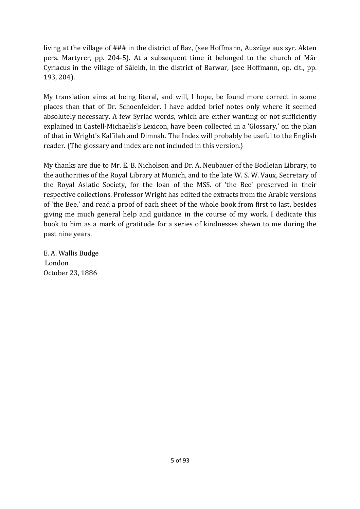living at the village of ### in the district of Baz, (see Hoffmann, Auszüge aus syr. Akten pers. Martyrer, pp. 204-5). At a subsequent time it belonged to the church of Mâr Cyriacus in the village of Sâlekh, in the district of Barwar, (see Hoffmann, op. cit., pp. 193, 204).

My translation aims at being literal, and will, I hope, be found more correct in some places than that of Dr. Schoenfelder. I have added brief notes only where it seemed absolutely necessary. A few Syriac words, which are either wanting or not sufficiently explained in Castell-Michaelis's Lexicon, have been collected in a 'Glossary,' on the plan of that in Wright's Kal¯ilah and Dimnah. The Index will probably be useful to the English reader. {The glossary and index are not included in this version.}

My thanks are due to Mr. E. B. Nicholson and Dr. A. Neubauer of the Bodleian Library, to the authorities of the Royal Library at Munich, and to the late W. S. W. Vaux, Secretary of the Royal Asiatic Society, for the loan of the MSS. of 'the Bee' preserved in their respective collections. Professor Wright has edited the extracts from the Arabic versions of 'the Bee,' and read a proof of each sheet of the whole book from first to last, besides giving me much general help and guidance in the course of my work. I dedicate this book to him as a mark of gratitude for a series of kindnesses shewn to me during the past nine years.

E. A. Wallis Budge London October 23, 1886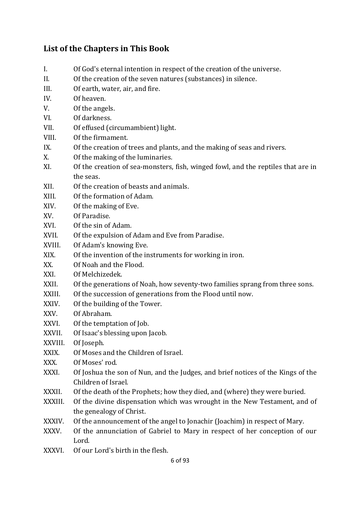### **List of the Chapters in This Book**

- I. Of God's eternal intention in respect of the creation of the universe.
- II. Of the creation of the seven natures (substances) in silence.
- III. Of earth, water, air, and fire.
- IV. Of heaven.
- V. Of the angels.
- VI. Of darkness.
- VII. Of effused (circumambient) light.
- VIII. Of the firmament.
- IX. Of the creation of trees and plants, and the making of seas and rivers.
- X. Of the making of the luminaries.
- XI. Of the creation of sea-monsters, fish, winged fowl, and the reptiles that are in the seas.
- XII. Of the creation of beasts and animals.
- XIII. Of the formation of Adam.
- XIV. Of the making of Eve.
- XV. Of Paradise.
- XVI. Of the sin of Adam.
- XVII. Of the expulsion of Adam and Eve from Paradise.
- XVIII. Of Adam's knowing Eve.
- XIX. Of the invention of the instruments for working in iron.
- XX. Of Noah and the Flood.
- XXI. Of Melchizedek.
- XXII. Of the generations of Noah, how seventy-two families sprang from three sons.
- XXIII. Of the succession of generations from the Flood until now.
- XXIV. Of the building of the Tower.
- XXV. Of Abraham.
- XXVI. Of the temptation of Job.
- XXVII. Of Isaac's blessing upon Jacob.
- XXVIII. Of Joseph.
- XXIX. Of Moses and the Children of Israel.
- XXX. Of Moses' rod.
- XXXI. Of Joshua the son of Nun, and the Judges, and brief notices of the Kings of the Children of Israel.
- XXXII. Of the death of the Prophets; how they died, and (where) they were buried.
- XXXIII. Of the divine dispensation which was wrought in the New Testament, and of the genealogy of Christ.
- XXXIV. Of the announcement of the angel to Jonachir (Joachim) in respect of Mary.
- XXXV. Of the annunciation of Gabriel to Mary in respect of her conception of our Lord.
- XXXVI. Of our Lord's birth in the flesh.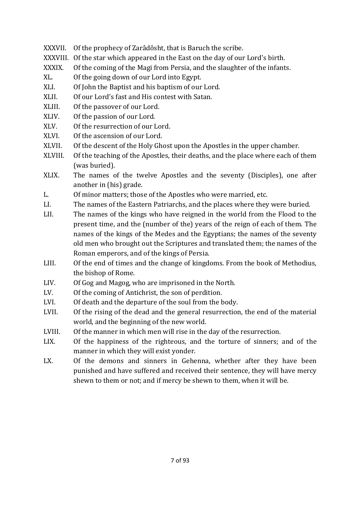- XXXVII. Of the prophecy of Zarâdôsht, that is Baruch the scribe.
- XXXVIII. Of the star which appeared in the East on the day of our Lord's birth.
- XXXIX. Of the coming of the Magi from Persia, and the slaughter of the infants.
- XL. Of the going down of our Lord into Egypt.
- XLI. Of John the Baptist and his baptism of our Lord.
- XLII. Of our Lord's fast and His contest with Satan.
- XLIII. Of the passover of our Lord.
- XLIV. Of the passion of our Lord.
- XLV. Of the resurrection of our Lord.
- XLVI. Of the ascension of our Lord.
- XLVII. Of the descent of the Holy Ghost upon the Apostles in the upper chamber.
- XLVIII. Of the teaching of the Apostles, their deaths, and the place where each of them (was buried).
- XLIX. The names of the twelve Apostles and the seventy (Disciples), one after another in (his) grade.
- L. Of minor matters; those of the Apostles who were married, etc.
- LI. The names of the Eastern Patriarchs, and the places where they were buried.
- LII. The names of the kings who have reigned in the world from the Flood to the present time, and the (number of the) years of the reign of each of them. The names of the kings of the Medes and the Egyptians; the names of the seventy old men who brought out the Scriptures and translated them; the names of the Roman emperors, and of the kings of Persia.
- LIII. Of the end of times and the change of kingdoms. From the book of Methodius, the bishop of Rome.
- LIV. Of Gog and Magog, who are imprisoned in the North.
- LV. Of the coming of Antichrist, the son of perdition.
- LVI. Of death and the departure of the soul from the body.
- LVII. Of the rising of the dead and the general resurrection, the end of the material world, and the beginning of the new world.
- LVIII. Of the manner in which men will rise in the day of the resurrection.
- LIX. Of the happiness of the righteous, and the torture of sinners; and of the manner in which they will exist yonder.
- LX. Of the demons and sinners in Gehenna, whether after they have been punished and have suffered and received their sentence, they will have mercy shewn to them or not; and if mercy be shewn to them, when it will be.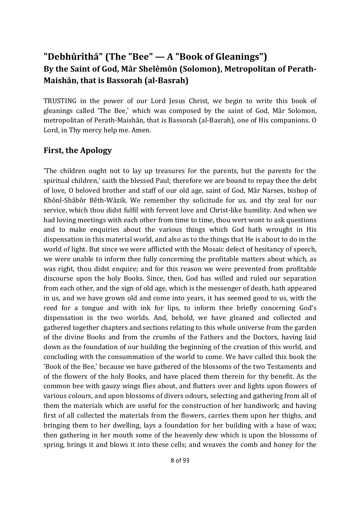# **"Debhûrîthâ" (The "Bee" — A "Book of Gleanings") By the Saint of God, Mâr Shelêmôn (Solomon), Metropolitan of Perath-Maishân, that is Bassorah (al-Basrah)**

TRUSTING in the power of our Lord Jesus Christ, we begin to write this book of gleanings called 'The Bee,' which was composed by the saint of God, Mâr Solomon, metropolitan of Perath-Maishân, that is Bassorah (al-Basrah), one of His companions. O Lord, in Thy mercy help me. Amen.

#### **First, the Apology**

'The children ought not to lay up treasures for the parents, but the parents for the spiritual children,' saith the blessed Paul; therefore we are bound to repay thee the debt of love, O beloved brother and staff of our old age, saint of God, Mâr Narses, bishop of Khônî-Shâbôr Bêth-Wâzik. We remember thy solicitude for us, and thy zeal for our service, which thou didst fulfil with fervent love and Christ-like humility. And when we had loving meetings with each other from time to time, thou wert wont to ask questions and to make enquiries about the various things which God hath wrought in His dispensation in this material world, and also as to the things that He is about to do in the world of light. But since we were afflicted with the Mosaic defect of hesitancy of speech, we were unable to inform thee fully concerning the profitable matters about which, as was right, thou didst enquire; and for this reason we were prevented from profitable discourse upon the holy Books. Since, then, God has willed and ruled our separation from each other, and the sign of old age, which is the messenger of death, hath appeared in us, and we have grown old and come into years, it has seemed good to us, with the reed for a tongue and with ink for lips, to inform thee briefly concerning God's dispensation in the two worlds. And, behold, we have gleaned and collected and gathered together chapters and sections relating to this whole universe from the garden of the divine Books and from the crumbs of the Fathers and the Doctors, having laid down as the foundation of our building the beginning of the creation of this world, and concluding with the consummation of the world to come. We have called this book the 'Book of the Bee,' because we have gathered of the blossoms of the two Testaments and of the flowers of the holy Books, and have placed them therein for thy benefit. As the common bee with gauzy wings flies about, and flutters over and lights upon flowers of various colours, and upon blossoms of divers odours, selecting and gathering from all of them the materials which are useful for the construction of her handiwork; and having first of all collected the materials from the flowers, carries them upon her thighs, and bringing them to her dwelling, lays a foundation for her building with a base of wax; then gathering in her mouth some of the heavenly dew which is upon the blossoms of spring, brings it and blows it into these cells; and weaves the comb and honey for the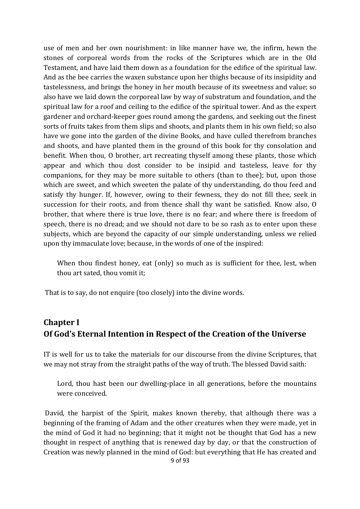use of men and her own nourishment: in like manner have we, the infirm, hewn the stones of corporeal words from the rocks of the Scriptures which are in the Old Testament, and have laid them down as a foundation for the edifice of the spiritual law. And as the bee carries the waxen substance upon her thighs because of its insipidity and tastelessness, and brings the honey in her mouth because of its sweetness and value; so also have we laid down the corporeal law by way of substratum and foundation, and the spiritual law for a roof and ceiling to the edifice of the spiritual tower. And as the expert gardener and orchard-keeper goes round among the gardens, and seeking out the finest sorts of fruits takes from them slips and shoots, and plants them in his own field; so also have we gone into the garden of the divine Books, and have culled therefrom branches and shoots, and have planted them in the ground of this book for thy consolation and benefit. When thou, O brother, art recreating thyself among these plants, those which appear and which thou dost consider to be insipid and tasteless, leave for thy companions, for they may be more suitable to others (than to thee); but, upon those which are sweet, and which sweeten the palate of thy understanding, do thou feed and satisfy thy hunger. If, however, owing to their fewness, they do not fill thee, seek in succession for their roots, and from thence shall thy want be satisfied. Know also, O brother, that where there is true love, there is no fear; and where there is freedom of speech, there is no dread; and we should not dare to be so rash as to enter upon these subjects, which are beyond the capacity of our simple understanding, unless we relied upon thy immaculate love; because, in the words of one of the inspired:

When thou findest honey, eat (only) so much as is sufficient for thee, lest, when thou art sated, thou vomit it;

That is to say, do not enquire (too closely) into the divine words.

### **Chapter I Of God's Eternal Intention in Respect of the Creation of the Universe**

IT is well for us to take the materials for our discourse from the divine Scriptures, that we may not stray from the straight paths of the way of truth. The blessed David saith:

Lord, thou hast been our dwelling-place in all generations, before the mountains were conceived.

David, the harpist of the Spirit, makes known thereby, that although there was a beginning of the framing of Adam and the other creatures when they were made, yet in the mind of God it had no beginning; that it might not be thought that God has a new thought in respect of anything that is renewed day by day, or that the construction of Creation was newly planned in the mind of God: but everything that He has created and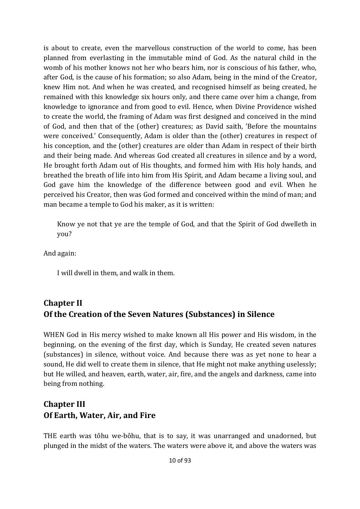is about to create, even the marvellous construction of the world to come, has been planned from everlasting in the immutable mind of God. As the natural child in the womb of his mother knows not her who bears him, nor is conscious of his father, who, after God, is the cause of his formation; so also Adam, being in the mind of the Creator, knew Him not. And when he was created, and recognised himself as being created, he remained with this knowledge six hours only, and there came over him a change, from knowledge to ignorance and from good to evil. Hence, when Divine Providence wished to create the world, the framing of Adam was first designed and conceived in the mind of God, and then that of the (other) creatures; as David saith, 'Before the mountains were conceived.' Consequently, Adam is older than the (other) creatures in respect of his conception, and the (other) creatures are older than Adam in respect of their birth and their being made. And whereas God created all creatures in silence and by a word, He brought forth Adam out of His thoughts, and formed him with His holy hands, and breathed the breath of life into him from His Spirit, and Adam became a living soul, and God gave him the knowledge of the difference between good and evil. When he perceived his Creator, then was God formed and conceived within the mind of man; and man became a temple to God his maker, as it is written:

Know ye not that ye are the temple of God, and that the Spirit of God dwelleth in you?

And again:

I will dwell in them, and walk in them.

# **Chapter II Of the Creation of the Seven Natures (Substances) in Silence**

WHEN God in His mercy wished to make known all His power and His wisdom, in the beginning, on the evening of the first day, which is Sunday, He created seven natures (substances) in silence, without voice. And because there was as yet none to hear a sound, He did well to create them in silence, that He might not make anything uselessly; but He willed, and heaven, earth, water, air, fire, and the angels and darkness, came into being from nothing.

# **Chapter III Of Earth, Water, Air, and Fire**

THE earth was tôhu we-bôhu, that is to say, it was unarranged and unadorned, but plunged in the midst of the waters. The waters were above it, and above the waters was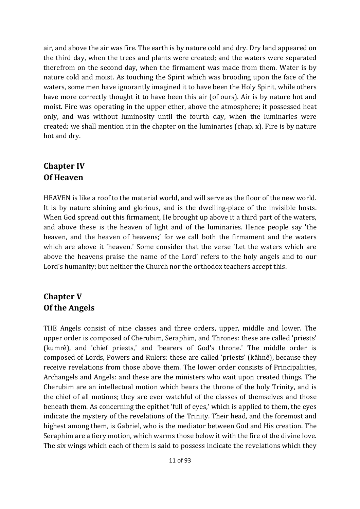air, and above the air was fire. The earth is by nature cold and dry. Dry land appeared on the third day, when the trees and plants were created; and the waters were separated therefrom on the second day, when the firmament was made from them. Water is by nature cold and moist. As touching the Spirit which was brooding upon the face of the waters, some men have ignorantly imagined it to have been the Holy Spirit, while others have more correctly thought it to have been this air (of ours). Air is by nature hot and moist. Fire was operating in the upper ether, above the atmosphere; it possessed heat only, and was without luminosity until the fourth day, when the luminaries were created: we shall mention it in the chapter on the luminaries (chap. x). Fire is by nature hot and dry.

## **Chapter IV Of Heaven**

HEAVEN is like a roof to the material world, and will serve as the floor of the new world. It is by nature shining and glorious, and is the dwelling-place of the invisible hosts. When God spread out this firmament, He brought up above it a third part of the waters, and above these is the heaven of light and of the luminaries. Hence people say 'the heaven, and the heaven of heavens;' for we call both the firmament and the waters which are above it 'heaven.' Some consider that the verse 'Let the waters which are above the heavens praise the name of the Lord' refers to the holy angels and to our Lord's humanity; but neither the Church nor the orthodox teachers accept this.

## **Chapter V Of the Angels**

THE Angels consist of nine classes and three orders, upper, middle and lower. The upper order is composed of Cherubim, Seraphim, and Thrones: these are called 'priests' (kumrê), and 'chief priests,' and 'bearers of God's throne.' The middle order is composed of Lords, Powers and Rulers: these are called 'priests' (kâhnê), because they receive revelations from those above them. The lower order consists of Principalities, Archangels and Angels: and these are the ministers who wait upon created things. The Cherubim are an intellectual motion which bears the throne of the holy Trinity, and is the chief of all motions; they are ever watchful of the classes of themselves and those beneath them. As concerning the epithet 'full of eyes,' which is applied to them, the eyes indicate the mystery of the revelations of the Trinity. Their head, and the foremost and highest among them, is Gabriel, who is the mediator between God and His creation. The Seraphim are a fiery motion, which warms those below it with the fire of the divine love. The six wings which each of them is said to possess indicate the revelations which they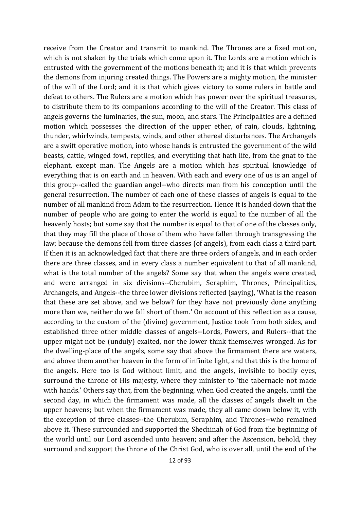receive from the Creator and transmit to mankind. The Thrones are a fixed motion, which is not shaken by the trials which come upon it. The Lords are a motion which is entrusted with the government of the motions beneath it; and it is that which prevents the demons from injuring created things. The Powers are a mighty motion, the minister of the will of the Lord; and it is that which gives victory to some rulers in battle and defeat to others. The Rulers are a motion which has power over the spiritual treasures, to distribute them to its companions according to the will of the Creator. This class of angels governs the luminaries, the sun, moon, and stars. The Principalities are a defined motion which possesses the direction of the upper ether, of rain, clouds, lightning, thunder, whirlwinds, tempests, winds, and other ethereal disturbances. The Archangels are a swift operative motion, into whose hands is entrusted the government of the wild beasts, cattle, winged fowl, reptiles, and everything that hath life, from the gnat to the elephant, except man. The Angels are a motion which has spiritual knowledge of everything that is on earth and in heaven. With each and every one of us is an angel of this group--called the guardian angel--who directs man from his conception until the general resurrection. The number of each one of these classes of angels is equal to the number of all mankind from Adam to the resurrection. Hence it is handed down that the number of people who are going to enter the world is equal to the number of all the heavenly hosts; but some say that the number is equal to that of one of the classes only, that they may fill the place of those of them who have fallen through transgressing the law; because the demons fell from three classes (of angels), from each class a third part. If then it is an acknowledged fact that there are three orders of angels, and in each order there are three classes, and in every class a number equivalent to that of all mankind, what is the total number of the angels? Some say that when the angels were created, and were arranged in six divisions--Cherubim, Seraphim, Thrones, Principalities, Archangels, and Angels--the three lower divisions reflected (saying), 'What is the reason that these are set above, and we below? for they have not previously done anything more than we, neither do we fall short of them.' On account of this reflection as a cause, according to the custom of the (divine) government, Justice took from both sides, and established three other middle classes of angels--Lords, Powers, and Rulers--that the upper might not be (unduly) exalted, nor the lower think themselves wronged. As for the dwelling-place of the angels, some say that above the firmament there are waters, and above them another heaven in the form of infinite light, and that this is the home of the angels. Here too is God without limit, and the angels, invisible to bodily eyes, surround the throne of His majesty, where they minister to 'the tabernacle not made with hands.' Others say that, from the beginning, when God created the angels, until the second day, in which the firmament was made, all the classes of angels dwelt in the upper heavens; but when the firmament was made, they all came down below it, with the exception of three classes--the Cherubim, Seraphim, and Thrones--who remained above it. These surrounded and supported the Shechinah of God from the beginning of the world until our Lord ascended unto heaven; and after the Ascension, behold, they surround and support the throne of the Christ God, who is over all, until the end of the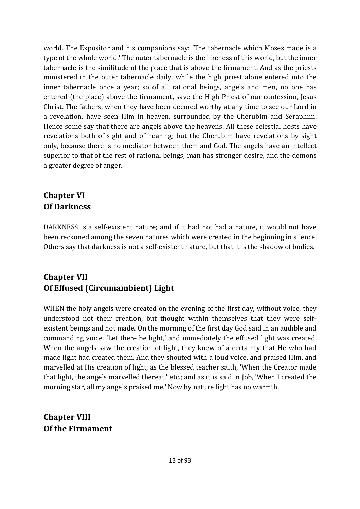world. The Expositor and his companions say: 'The tabernacle which Moses made is a type of the whole world.' The outer tabernacle is the likeness of this world, but the inner tabernacle is the similitude of the place that is above the firmament. And as the priests ministered in the outer tabernacle daily, while the high priest alone entered into the inner tabernacle once a year; so of all rational beings, angels and men, no one has entered (the place) above the firmament, save the High Priest of our confession, Jesus Christ. The fathers, when they have been deemed worthy at any time to see our Lord in a revelation, have seen Him in heaven, surrounded by the Cherubim and Seraphim. Hence some say that there are angels above the heavens. All these celestial hosts have revelations both of sight and of hearing; but the Cherubim have revelations by sight only, because there is no mediator between them and God. The angels have an intellect superior to that of the rest of rational beings; man has stronger desire, and the demons a greater degree of anger.

# **Chapter VI Of Darkness**

DARKNESS is a self-existent nature; and if it had not had a nature, it would not have been reckoned among the seven natures which were created in the beginning in silence. Others say that darkness is not a self-existent nature, but that it is the shadow of bodies.

# **Chapter VII Of Effused (Circumambient) Light**

WHEN the holy angels were created on the evening of the first day, without voice, they understood not their creation, but thought within themselves that they were selfexistent beings and not made. On the morning of the first day God said in an audible and commanding voice, 'Let there be light,' and immediately the effused light was created. When the angels saw the creation of light, they knew of a certainty that He who had made light had created them. And they shouted with a loud voice, and praised Him, and marvelled at His creation of light, as the blessed teacher saith, 'When the Creator made that light, the angels marvelled thereat,' etc.; and as it is said in Job, 'When I created the morning star, all my angels praised me.' Now by nature light has no warmth.

# **Chapter VIII Of the Firmament**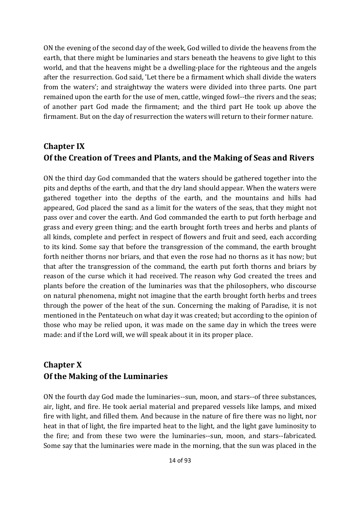ON the evening of the second day of the week, God willed to divide the heavens from the earth, that there might be luminaries and stars beneath the heavens to give light to this world, and that the heavens might be a dwelling-place for the righteous and the angels after the resurrection. God said, 'Let there be a firmament which shall divide the waters from the waters'; and straightway the waters were divided into three parts. One part remained upon the earth for the use of men, cattle, winged fowl--the rivers and the seas; of another part God made the firmament; and the third part He took up above the firmament. But on the day of resurrection the waters will return to their former nature.

# **Chapter IX Of the Creation of Trees and Plants, and the Making of Seas and Rivers**

ON the third day God commanded that the waters should be gathered together into the pits and depths of the earth, and that the dry land should appear. When the waters were gathered together into the depths of the earth, and the mountains and hills had appeared, God placed the sand as a limit for the waters of the seas, that they might not pass over and cover the earth. And God commanded the earth to put forth herbage and grass and every green thing; and the earth brought forth trees and herbs and plants of all kinds, complete and perfect in respect of flowers and fruit and seed, each according to its kind. Some say that before the transgression of the command, the earth brought forth neither thorns nor briars, and that even the rose had no thorns as it has now; but that after the transgression of the command, the earth put forth thorns and briars by reason of the curse which it had received. The reason why God created the trees and plants before the creation of the luminaries was that the philosophers, who discourse on natural phenomena, might not imagine that the earth brought forth herbs and trees through the power of the heat of the sun. Concerning the making of Paradise, it is not mentioned in the Pentateuch on what day it was created; but according to the opinion of those who may be relied upon, it was made on the same day in which the trees were made: and if the Lord will, we will speak about it in its proper place.

# **Chapter X Of the Making of the Luminaries**

ON the fourth day God made the luminaries--sun, moon, and stars--of three substances, air, light, and fire. He took aerial material and prepared vessels like lamps, and mixed fire with light, and filled them. And because in the nature of fire there was no light, nor heat in that of light, the fire imparted heat to the light, and the light gave luminosity to the fire; and from these two were the luminaries--sun, moon, and stars--fabricated. Some say that the luminaries were made in the morning, that the sun was placed in the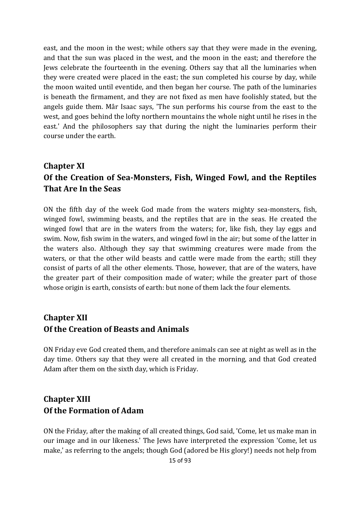east, and the moon in the west; while others say that they were made in the evening, and that the sun was placed in the west, and the moon in the east; and therefore the Jews celebrate the fourteenth in the evening. Others say that all the luminaries when they were created were placed in the east; the sun completed his course by day, while the moon waited until eventide, and then began her course. The path of the luminaries is beneath the firmament, and they are not fixed as men have foolishly stated, but the angels guide them. Mâr Isaac says, 'The sun performs his course from the east to the west, and goes behind the lofty northern mountains the whole night until he rises in the east.' And the philosophers say that during the night the luminaries perform their course under the earth.

# **Chapter XI Of the Creation of Sea-Monsters, Fish, Winged Fowl, and the Reptiles That Are In the Seas**

ON the fifth day of the week God made from the waters mighty sea-monsters, fish, winged fowl, swimming beasts, and the reptiles that are in the seas. He created the winged fowl that are in the waters from the waters; for, like fish, they lay eggs and swim. Now, fish swim in the waters, and winged fowl in the air; but some of the latter in the waters also. Although they say that swimming creatures were made from the waters, or that the other wild beasts and cattle were made from the earth; still they consist of parts of all the other elements. Those, however, that are of the waters, have the greater part of their composition made of water; while the greater part of those whose origin is earth, consists of earth: but none of them lack the four elements.

### **Chapter XII Of the Creation of Beasts and Animals**

ON Friday eve God created them, and therefore animals can see at night as well as in the day time. Others say that they were all created in the morning, and that God created Adam after them on the sixth day, which is Friday.

## **Chapter XIII Of the Formation of Adam**

ON the Friday, after the making of all created things, God said, 'Come, let us make man in our image and in our likeness.' The Jews have interpreted the expression 'Come, let us make,' as referring to the angels; though God (adored be His glory!) needs not help from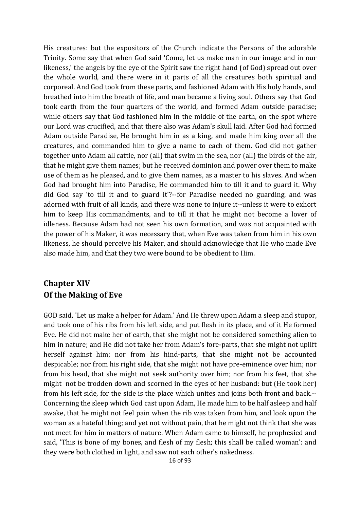His creatures: but the expositors of the Church indicate the Persons of the adorable Trinity. Some say that when God said 'Come, let us make man in our image and in our likeness,' the angels by the eye of the Spirit saw the right hand (of God) spread out over the whole world, and there were in it parts of all the creatures both spiritual and corporeal. And God took from these parts, and fashioned Adam with His holy hands, and breathed into him the breath of life, and man became a living soul. Others say that God took earth from the four quarters of the world, and formed Adam outside paradise; while others say that God fashioned him in the middle of the earth, on the spot where our Lord was crucified, and that there also was Adam's skull laid. After God had formed Adam outside Paradise, He brought him in as a king, and made him king over all the creatures, and commanded him to give a name to each of them. God did not gather together unto Adam all cattle, nor (all) that swim in the sea, nor (all) the birds of the air, that he might give them names; but he received dominion and power over them to make use of them as he pleased, and to give them names, as a master to his slaves. And when God had brought him into Paradise, He commanded him to till it and to guard it. Why did God say 'to till it and to guard it'?--for Paradise needed no guarding, and was adorned with fruit of all kinds, and there was none to injure it--unless it were to exhort him to keep His commandments, and to till it that he might not become a lover of idleness. Because Adam had not seen his own formation, and was not acquainted with the power of his Maker, it was necessary that, when Eve was taken from him in his own likeness, he should perceive his Maker, and should acknowledge that He who made Eve also made him, and that they two were bound to be obedient to Him.

### **Chapter XIV Of the Making of Eve**

GOD said, 'Let us make a helper for Adam.' And He threw upon Adam a sleep and stupor, and took one of his ribs from his left side, and put flesh in its place, and of it He formed Eve. He did not make her of earth, that she might not be considered something alien to him in nature; and He did not take her from Adam's fore-parts, that she might not uplift herself against him; nor from his hind-parts, that she might not be accounted despicable; nor from his right side, that she might not have pre-eminence over him; nor from his head, that she might not seek authority over him; nor from his feet, that she might not be trodden down and scorned in the eyes of her husband: but (He took her) from his left side, for the side is the place which unites and joins both front and back.-- Concerning the sleep which God cast upon Adam, He made him to be half asleep and half awake, that he might not feel pain when the rib was taken from him, and look upon the woman as a hateful thing; and yet not without pain, that he might not think that she was not meet for him in matters of nature. When Adam came to himself, he prophesied and said, 'This is bone of my bones, and flesh of my flesh; this shall be called woman': and they were both clothed in light, and saw not each other's nakedness.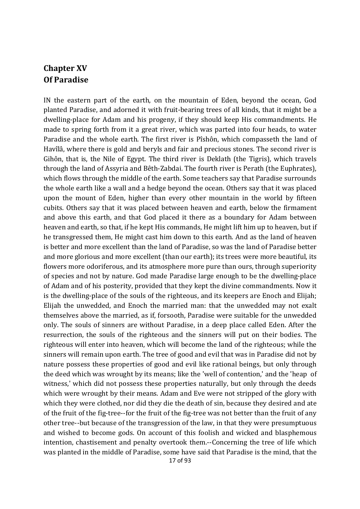#### **Chapter XV Of Paradise**

IN the eastern part of the earth, on the mountain of Eden, beyond the ocean, God planted Paradise, and adorned it with fruit-bearing trees of all kinds, that it might be a dwelling-place for Adam and his progeny, if they should keep His commandments. He made to spring forth from it a great river, which was parted into four heads, to water Paradise and the whole earth. The first river is Pîshôn, which compasseth the land of Havîlâ, where there is gold and beryls and fair and precious stones. The second river is Gihôn, that is, the Nile of Egypt. The third river is Deklath (the Tigris), which travels through the land of Assyria and Bêth-Zabdai. The fourth river is Perath (the Euphrates), which flows through the middle of the earth. Some teachers say that Paradise surrounds the whole earth like a wall and a hedge beyond the ocean. Others say that it was placed upon the mount of Eden, higher than every other mountain in the world by fifteen cubits. Others say that it was placed between heaven and earth, below the firmament and above this earth, and that God placed it there as a boundary for Adam between heaven and earth, so that, if he kept His commands, He might lift him up to heaven, but if he transgressed them, He might cast him down to this earth. And as the land of heaven is better and more excellent than the land of Paradise, so was the land of Paradise better and more glorious and more excellent (than our earth); its trees were more beautiful, its flowers more odoriferous, and its atmosphere more pure than ours, through superiority of species and not by nature. God made Paradise large enough to be the dwelling-place of Adam and of his posterity, provided that they kept the divine commandments. Now it is the dwelling-place of the souls of the righteous, and its keepers are Enoch and Elijah; Elijah the unwedded, and Enoch the married man: that the unwedded may not exalt themselves above the married, as if, forsooth, Paradise were suitable for the unwedded only. The souls of sinners are without Paradise, in a deep place called Eden. After the resurrection, the souls of the righteous and the sinners will put on their bodies. The righteous will enter into heaven, which will become the land of the righteous; while the sinners will remain upon earth. The tree of good and evil that was in Paradise did not by nature possess these properties of good and evil like rational beings, but only through the deed which was wrought by its means; like the 'well of contention,' and the 'heap of witness,' which did not possess these properties naturally, but only through the deeds which were wrought by their means. Adam and Eve were not stripped of the glory with which they were clothed, nor did they die the death of sin, because they desired and ate of the fruit of the fig-tree--for the fruit of the fig-tree was not better than the fruit of any other tree--but because of the transgression of the law, in that they were presumptuous and wished to become gods. On account of this foolish and wicked and blasphemous intention, chastisement and penalty overtook them.--Concerning the tree of life which was planted in the middle of Paradise, some have said that Paradise is the mind, that the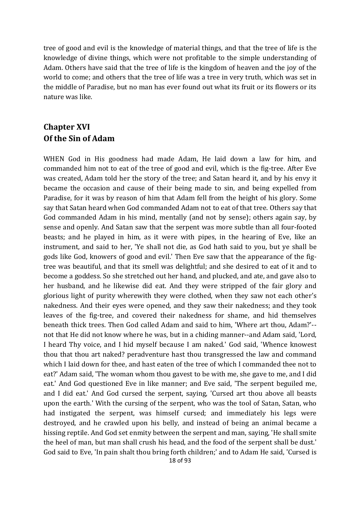tree of good and evil is the knowledge of material things, and that the tree of life is the knowledge of divine things, which were not profitable to the simple understanding of Adam. Others have said that the tree of life is the kingdom of heaven and the joy of the world to come; and others that the tree of life was a tree in very truth, which was set in the middle of Paradise, but no man has ever found out what its fruit or its flowers or its nature was like.

#### **Chapter XVI Of the Sin of Adam**

WHEN God in His goodness had made Adam, He laid down a law for him, and commanded him not to eat of the tree of good and evil, which is the fig-tree. After Eve was created, Adam told her the story of the tree; and Satan heard it, and by his envy it became the occasion and cause of their being made to sin, and being expelled from Paradise, for it was by reason of him that Adam fell from the height of his glory. Some say that Satan heard when God commanded Adam not to eat of that tree. Others say that God commanded Adam in his mind, mentally (and not by sense); others again say, by sense and openly. And Satan saw that the serpent was more subtle than all four-footed beasts; and he played in him, as it were with pipes, in the hearing of Eve, like an instrument, and said to her, 'Ye shall not die, as God hath said to you, but ye shall be gods like God, knowers of good and evil.' Then Eve saw that the appearance of the figtree was beautiful, and that its smell was delightful; and she desired to eat of it and to become a goddess. So she stretched out her hand, and plucked, and ate, and gave also to her husband, and he likewise did eat. And they were stripped of the fair glory and glorious light of purity wherewith they were clothed, when they saw not each other's nakedness. And their eyes were opened, and they saw their nakedness; and they took leaves of the fig-tree, and covered their nakedness for shame, and hid themselves beneath thick trees. Then God called Adam and said to him, 'Where art thou, Adam?'- not that He did not know where he was, but in a chiding manner--and Adam said, 'Lord, I heard Thy voice, and I hid myself because I am naked.' God said, 'Whence knowest thou that thou art naked? peradventure hast thou transgressed the law and command which I laid down for thee, and hast eaten of the tree of which I commanded thee not to eat?' Adam said, 'The woman whom thou gavest to be with me, she gave to me, and I did eat.' And God questioned Eve in like manner; and Eve said, 'The serpent beguiled me, and I did eat.' And God cursed the serpent, saying, 'Cursed art thou above all beasts upon the earth.' With the cursing of the serpent, who was the tool of Satan, Satan, who had instigated the serpent, was himself cursed; and immediately his legs were destroyed, and he crawled upon his belly, and instead of being an animal became a hissing reptile. And God set enmity between the serpent and man, saying, 'He shall smite the heel of man, but man shall crush his head, and the food of the serpent shall be dust.' God said to Eve, 'In pain shalt thou bring forth children;' and to Adam He said, 'Cursed is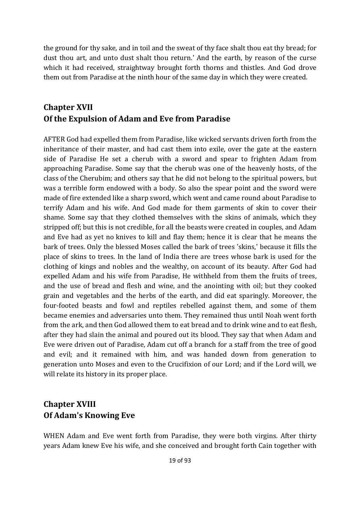the ground for thy sake, and in toil and the sweat of thy face shalt thou eat thy bread; for dust thou art, and unto dust shalt thou return.' And the earth, by reason of the curse which it had received, straightway brought forth thorns and thistles. And God drove them out from Paradise at the ninth hour of the same day in which they were created.

## **Chapter XVII Of the Expulsion of Adam and Eve from Paradise**

AFTER God had expelled them from Paradise, like wicked servants driven forth from the inheritance of their master, and had cast them into exile, over the gate at the eastern side of Paradise He set a cherub with a sword and spear to frighten Adam from approaching Paradise. Some say that the cherub was one of the heavenly hosts, of the class of the Cherubim; and others say that he did not belong to the spiritual powers, but was a terrible form endowed with a body. So also the spear point and the sword were made of fire extended like a sharp sword, which went and came round about Paradise to terrify Adam and his wife. And God made for them garments of skin to cover their shame. Some say that they clothed themselves with the skins of animals, which they stripped off; but this is not credible, for all the beasts were created in couples, and Adam and Eve had as yet no knives to kill and flay them; hence it is clear that he means the bark of trees. Only the blessed Moses called the bark of trees 'skins,' because it fills the place of skins to trees. In the land of India there are trees whose bark is used for the clothing of kings and nobles and the wealthy, on account of its beauty. After God had expelled Adam and his wife from Paradise, He withheld from them the fruits of trees, and the use of bread and flesh and wine, and the anointing with oil; but they cooked grain and vegetables and the herbs of the earth, and did eat sparingly. Moreover, the four-footed beasts and fowl and reptiles rebelled against them, and some of them became enemies and adversaries unto them. They remained thus until Noah went forth from the ark, and then God allowed them to eat bread and to drink wine and to eat flesh, after they had slain the animal and poured out its blood. They say that when Adam and Eve were driven out of Paradise, Adam cut off a branch for a staff from the tree of good and evil; and it remained with him, and was handed down from generation to generation unto Moses and even to the Crucifixion of our Lord; and if the Lord will, we will relate its history in its proper place.

## **Chapter XVIII Of Adam's Knowing Eve**

WHEN Adam and Eve went forth from Paradise, they were both virgins. After thirty years Adam knew Eve his wife, and she conceived and brought forth Cain together with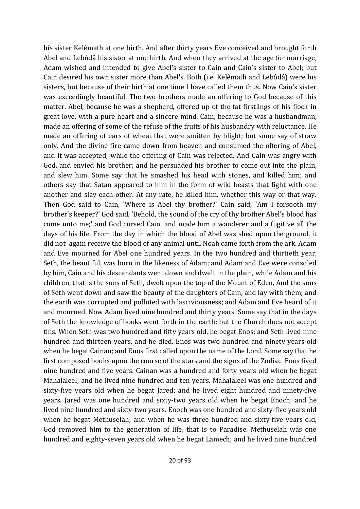his sister Kelêmath at one birth. And after thirty years Eve conceived and brought forth Abel and Lebôdâ his sister at one birth. And when they arrived at the age for marriage, Adam wished and intended to give Abel's sister to Cain and Cain's sister to Abel; but Cain desired his own sister more than Abel's. Both (i.e. Kelêmath and Lebôdâ) were his sisters, but because of their birth at one time I have called them thus. Now Cain's sister was exceedingly beautiful. The two brothers made an offering to God because of this matter. Abel, because he was a shepherd, offered up of the fat firstlings of his flock in great love, with a pure heart and a sincere mind. Cain, because he was a husbandman, made an offering of some of the refuse of the fruits of his husbandry with reluctance. He made an offering of ears of wheat that were smitten by blight; but some say of straw only. And the divine fire came down from heaven and consumed the offering of Abel, and it was accepted; while the offering of Cain was rejected. And Cain was angry with God, and envied his brother; and he persuaded his brother to come out into the plain, and slew him. Some say that he smashed his head with stones, and killed him; and others say that Satan appeared to him in the form of wild beasts that fight with one another and slay each other. At any rate, he killed him, whether this way or that way. Then God said to Cain, 'Where is Abel thy brother?' Cain said, 'Am I forsooth my brother's keeper?' God said, 'Behold, the sound of the cry of thy brother Abel's blood has come unto me;' and God cursed Cain, and made him a wanderer and a fugitive all the days of his life. From the day in which the blood of Abel was shed upon the ground, it did not again receive the blood of any animal until Noah came forth from the ark. Adam and Eve mourned for Abel one hundred years. In the two hundred and thirtieth year, Seth, the beautiful, was born in the likeness of Adam; and Adam and Eve were consoled by him, Cain and his descendants went down and dwelt in the plain, while Adam and his children, that is the sons of Seth, dwelt upon the top of the Mount of Eden, And the sons of Seth went down and saw the beauty of the daughters of Cain, and lay with them; and the earth was corrupted and polluted with lasciviousness; and Adam and Eve heard of it and mourned. Now Adam lived nine hundred and thirty years. Some say that in the days of Seth the knowledge of books went forth in the earth; but the Church does not accept this. When Seth was two hundred and fifty years old, he begat Enos; and Seth lived nine hundred and thirteen years, and he died. Enos was two hundred and ninety years old when he begat Cainan; and Enos first called upon the name of the Lord. Some say that he first composed books upon the course of the stars and the signs of the Zodiac. Enos lived nine hundred and five years. Cainan was a hundred and forty years old when he begat Mahalaleel; and he lived nine hundred and ten years. Mahalaleel was one hundred and sixty-five years old when he begat Jared; and he lived eight hundred and ninety-five years. Jared was one hundred and sixty-two years old when he begat Enoch; and he lived nine hundred and sixty-two years. Enoch was one hundred and sixty-five years old when he begat Methuselah; and when he was three hundred and sixty-five years old, God removed him to the generation of life, that is to Paradise. Methuselah was one hundred and eighty-seven years old when he begat Lamech; and he lived nine hundred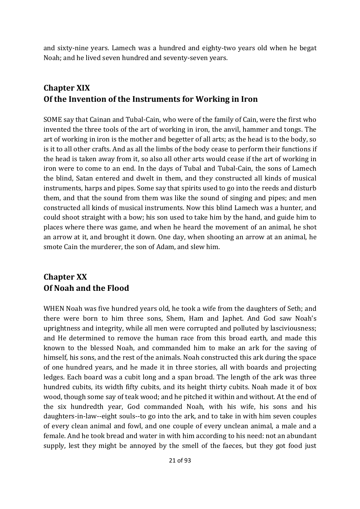and sixty-nine years. Lamech was a hundred and eighty-two years old when he begat Noah; and he lived seven hundred and seventy-seven years.

# **Chapter XIX Of the Invention of the Instruments for Working in Iron**

SOME say that Cainan and Tubal-Cain, who were of the family of Cain, were the first who invented the three tools of the art of working in iron, the anvil, hammer and tongs. The art of working in iron is the mother and begetter of all arts; as the head is to the body, so is it to all other crafts. And as all the limbs of the body cease to perform their functions if the head is taken away from it, so also all other arts would cease if the art of working in iron were to come to an end. In the days of Tubal and Tubal-Cain, the sons of Lamech the blind, Satan entered and dwelt in them, and they constructed all kinds of musical instruments, harps and pipes. Some say that spirits used to go into the reeds and disturb them, and that the sound from them was like the sound of singing and pipes; and men constructed all kinds of musical instruments. Now this blind Lamech was a hunter, and could shoot straight with a bow; his son used to take him by the hand, and guide him to places where there was game, and when he heard the movement of an animal, he shot an arrow at it, and brought it down. One day, when shooting an arrow at an animal, he smote Cain the murderer, the son of Adam, and slew him.

## **Chapter XX Of Noah and the Flood**

WHEN Noah was five hundred years old, he took a wife from the daughters of Seth; and there were born to him three sons, Shem, Ham and Japhet. And God saw Noah's uprightness and integrity, while all men were corrupted and polluted by lasciviousness; and He determined to remove the human race from this broad earth, and made this known to the blessed Noah, and commanded him to make an ark for the saving of himself, his sons, and the rest of the animals. Noah constructed this ark during the space of one hundred years, and he made it in three stories, all with boards and projecting ledges. Each board was a cubit long and a span broad. The length of the ark was three hundred cubits, its width fifty cubits, and its height thirty cubits. Noah made it of box wood, though some say of teak wood; and he pitched it within and without. At the end of the six hundredth year, God commanded Noah, with his wife, his sons and his daughters-in-law--eight souls--to go into the ark, and to take in with him seven couples of every clean animal and fowl, and one couple of every unclean animal, a male and a female. And he took bread and water in with him according to his need: not an abundant supply, lest they might be annoyed by the smell of the faeces, but they got food just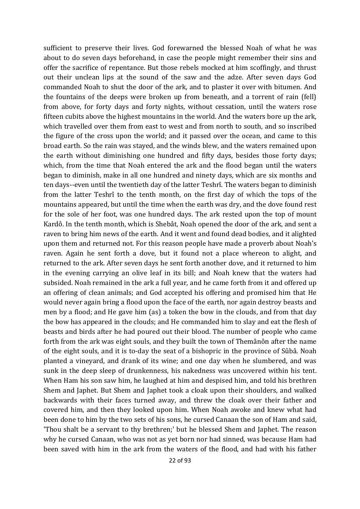sufficient to preserve their lives. God forewarned the blessed Noah of what he was about to do seven days beforehand, in case the people might remember their sins and offer the sacrifice of repentance. But those rebels mocked at him scoffingly, and thrust out their unclean lips at the sound of the saw and the adze. After seven days God commanded Noah to shut the door of the ark, and to plaster it over with bitumen. And the fountains of the deeps were broken up from beneath, and a torrent of rain (fell) from above, for forty days and forty nights, without cessation, until the waters rose fifteen cubits above the highest mountains in the world. And the waters bore up the ark, which travelled over them from east to west and from north to south, and so inscribed the figure of the cross upon the world; and it passed over the ocean, and came to this broad earth. So the rain was stayed, and the winds blew, and the waters remained upon the earth without diminishing one hundred and fifty days, besides those forty days; which, from the time that Noah entered the ark and the flood began until the waters began to diminish, make in all one hundred and ninety days, which are six months and ten days--even until the twentieth day of the latter Teshrî. The waters began to diminish from the latter Teshrî to the tenth month, on the first day of which the tops of the mountains appeared, but until the time when the earth was dry, and the dove found rest for the sole of her foot, was one hundred days. The ark rested upon the top of mount Kardô. In the tenth month, which is Shebât, Noah opened the door of the ark, and sent a raven to bring him news of the earth. And it went and found dead bodies, and it alighted upon them and returned not. For this reason people have made a proverb about Noah's raven. Again he sent forth a dove, but it found not a place whereon to alight, and returned to the ark. After seven days he sent forth another dove, and it returned to him in the evening carrying an olive leaf in its bill; and Noah knew that the waters had subsided. Noah remained in the ark a full year, and he came forth from it and offered up an offering of clean animals; and God accepted his offering and promised him that He would never again bring a flood upon the face of the earth, nor again destroy beasts and men by a flood; and He gave him (as) a token the bow in the clouds, and from that day the bow has appeared in the clouds; and He commanded him to slay and eat the flesh of beasts and birds after he had poured out their blood. The number of people who came forth from the ark was eight souls, and they built the town of Themânôn after the name of the eight souls, and it is to-day the seat of a bishopric in the province of Sûbâ. Noah planted a vineyard, and drank of its wine; and one day when he slumbered, and was sunk in the deep sleep of drunkenness, his nakedness was uncovered within his tent. When Ham his son saw him, he laughed at him and despised him, and told his brethren Shem and Japhet. But Shem and Japhet took a cloak upon their shoulders, and walked backwards with their faces turned away, and threw the cloak over their father and covered him, and then they looked upon him. When Noah awoke and knew what had been done to him by the two sets of his sons, he cursed Canaan the son of Ham and said, 'Thou shalt be a servant to thy brethren;' but he blessed Shem and Japhet. The reason why he cursed Canaan, who was not as yet born nor had sinned, was because Ham had been saved with him in the ark from the waters of the flood, and had with his father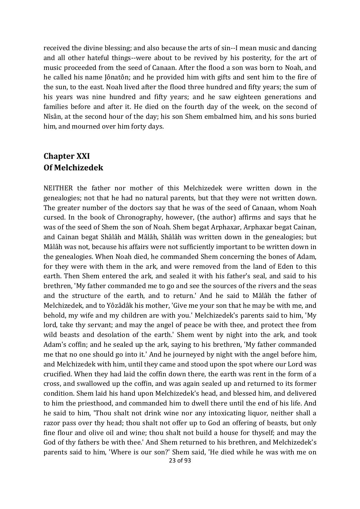received the divine blessing; and also because the arts of sin--I mean music and dancing and all other hateful things--were about to be revived by his posterity, for the art of music proceeded from the seed of Canaan. After the flood a son was born to Noah, and he called his name Jônatôn; and he provided him with gifts and sent him to the fire of the sun, to the east. Noah lived after the flood three hundred and fifty years; the sum of his years was nine hundred and fifty years; and he saw eighteen generations and families before and after it. He died on the fourth day of the week, on the second of Nîsân, at the second hour of the day; his son Shem embalmed him, and his sons buried him, and mourned over him forty days.

#### **Chapter XXI Of Melchizedek**

NEITHER the father nor mother of this Melchizedek were written down in the genealogies; not that he had no natural parents, but that they were not written down. The greater number of the doctors say that he was of the seed of Canaan, whom Noah cursed. In the book of Chronography, however, (the author) affirms and says that he was of the seed of Shem the son of Noah. Shem begat Arphaxar, Arphaxar begat Cainan, and Cainan begat Shâlâh and Mâlâh, Shâlâh was written down in the genealogies; but Mâlâh was not, because his affairs were not sufficiently important to be written down in the genealogies. When Noah died, he commanded Shem concerning the bones of Adam, for they were with them in the ark, and were removed from the land of Eden to this earth. Then Shem entered the ark, and sealed it with his father's seal, and said to his brethren, 'My father commanded me to go and see the sources of the rivers and the seas and the structure of the earth, and to return.' And he said to Mâlâh the father of Melchizedek, and to Yôzâdâk his mother, 'Give me your son that he may be with me, and behold, my wife and my children are with you.' Melchizedek's parents said to him, 'My lord, take thy servant; and may the angel of peace be with thee, and protect thee from wild beasts and desolation of the earth.' Shem went by night into the ark, and took Adam's coffin; and he sealed up the ark, saying to his brethren, 'My father commanded me that no one should go into it.' And he journeyed by night with the angel before him, and Melchizedek with him, until they came and stood upon the spot where our Lord was crucified. When they had laid the coffin down there, the earth was rent in the form of a cross, and swallowed up the coffin, and was again sealed up and returned to its former condition. Shem laid his hand upon Melchizedek's head, and blessed him, and delivered to him the priesthood, and commanded him to dwell there until the end of his life. And he said to him, 'Thou shalt not drink wine nor any intoxicating liquor, neither shall a razor pass over thy head; thou shalt not offer up to God an offering of beasts, but only fine flour and olive oil and wine; thou shalt not build a house for thyself; and may the God of thy fathers be with thee.' And Shem returned to his brethren, and Melchizedek's parents said to him, 'Where is our son?' Shem said, 'He died while he was with me on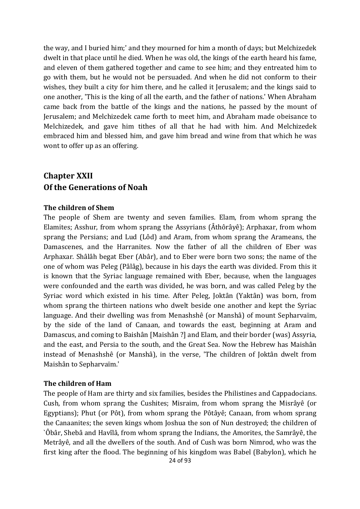the way, and I buried him;' and they mourned for him a month of days; but Melchizedek dwelt in that place until he died. When he was old, the kings of the earth heard his fame, and eleven of them gathered together and came to see him; and they entreated him to go with them, but he would not be persuaded. And when he did not conform to their wishes, they built a city for him there, and he called it Jerusalem; and the kings said to one another, 'This is the king of all the earth, and the father of nations.' When Abraham came back from the battle of the kings and the nations, he passed by the mount of Jerusalem; and Melchizedek came forth to meet him, and Abraham made obeisance to Melchizedek, and gave him tithes of all that he had with him. And Melchizedek embraced him and blessed him, and gave him bread and wine from that which he was wont to offer up as an offering.

## **Chapter XXII Of the Generations of Noah**

#### **The children of Shem**

The people of Shem are twenty and seven families. Elam, from whom sprang the Elamites; Asshur, from whom sprang the Assyrians (Âthôrâyê); Arphaxar, from whom sprang the Persians; and Lud (Lôd) and Aram, from whom sprang the Arameans, the Damascenes, and the Harranites. Now the father of all the children of Eber was Arphaxar. Shâlâh begat Eber (Abâr), and to Eber were born two sons; the name of the one of whom was Peleg (Pâlâg), because in his days the earth was divided. From this it is known that the Syriac language remained with Eber, because, when the languages were confounded and the earth was divided, he was born, and was called Peleg by the Syriac word which existed in his time. After Peleg, Joktân (Yaktân) was born, from whom sprang the thirteen nations who dwelt beside one another and kept the Syriac language. And their dwelling was from Menashshê (or Manshâ) of mount Sepharvaïm, by the side of the land of Canaan, and towards the east, beginning at Aram and Damascus, and coming to Baishân [Maishân ?] and Elam, and their border (was) Assyria, and the east, and Persia to the south, and the Great Sea. Now the Hebrew has Maishân instead of Menashshê (or Manshâ), in the verse, 'The children of Joktân dwelt from Maishân to Sepharvaïm.'

#### **The children of Ham**

The people of Ham are thirty and six families, besides the Philistines and Cappadocians. Cush, from whom sprang the Cushites; Misraim, from whom sprang the Misrâyê (or Egyptians); Phut (or Pôt), from whom sprang the Pôtâyê; Canaan, from whom sprang the Canaanites; the seven kings whom Joshua the son of Nun destroyed; the children of `Ôbâr, Shebâ and Havîlâ, from whom sprang the Indians, the Amorites, the Samrâyê, the Metrâyê, and all the dwellers of the south. And of Cush was born Nimrod, who was the first king after the flood. The beginning of his kingdom was Babel (Babylon), which he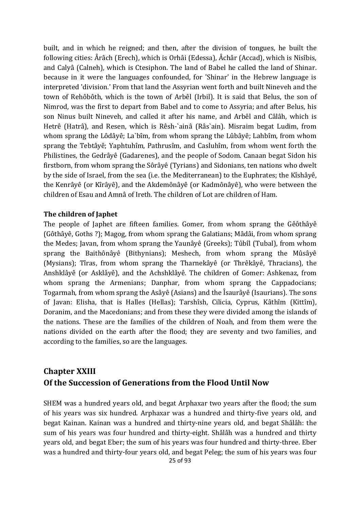built, and in which he reigned; and then, after the division of tongues, he built the following cities: Ârâch (Erech), which is Orhâi (Edessa), Âchâr (Accad), which is Nisîbis, and Calyâ (Calneh), which is Ctesiphon. The land of Babel he called the land of Shinar. because in it were the languages confounded, for 'Shinar' in the Hebrew language is interpreted 'division.' From that land the Assyrian went forth and built Nineveh and the town of Rehôbôth, which is the town of Arbêl (Irbil). It is said that Belus, the son of Nimrod, was the first to depart from Babel and to come to Assyria; and after Belus, his son Ninus built Nineveh, and called it after his name, and Arbêl and Câlâh, which is Hetrê (Hatrâ), and Resen, which is Rêsh-`ainâ (Râs`ain). Misraim begat Ludim, from whom sprang the Lôdâyê; La`bîm, from whom sprang the Lûbâyê; Lahbîm, from whom sprang the Tebtâyê; Yaphtuhîm, Pathrusîm, and Casluhîm, from whom went forth the Philistines, the Gedrâyê (Gadarenes), and the people of Sodom. Canaan begat Sidon his firstborn, from whom sprang the Sôrâyê (Tyrians) and Sidonians, ten nations who dwelt by the side of Israel, from the sea (i.e. the Mediterranean) to the Euphrates; the Kîshâyê, the Kenrâyê (or Kîrâyê), and the Akdemônâyê (or Kadmônâyê), who were between the children of Esau and Amnâ of Ireth. The children of Lot are children of Ham.

#### **The children of Japhet**

The people of Japhet are fifteen families. Gomer, from whom sprang the Gêôthâyê (Gôthâyê, Goths ?); Magog, from whom sprang the Galatians; Mâdâi, from whom sprang the Medes; Javan, from whom sprang the Yaunâyê (Greeks); Tûbîl (Tubal), from whom sprang the Baithônâyê (Bithynians); Meshech, from whom sprang the Mûsâyê (Mysians); Tîras, from whom sprang the Tharnekâyê (or Thrêkâyê, Thracians), the Anshklâyê (or Asklâyê), and the Achshklâyê. The children of Gomer: Ashkenaz, from whom sprang the Armenians; Danphar, from whom sprang the Cappadocians; Togarmah, from whom sprang the Asâyê (Asians) and the Îsaurâyê (Isaurians). The sons of Javan: Elisha, that is Halles (Hellas); Tarshîsh, Cilicia, Cyprus, Kâthîm (Kittîm), Doranim, and the Macedonians; and from these they were divided among the islands of the nations. These are the families of the children of Noah, and from them were the nations divided on the earth after the flood; they are seventy and two families, and according to the families, so are the languages.

## **Chapter XXIII Of the Succession of Generations from the Flood Until Now**

SHEM was a hundred years old, and begat Arphaxar two years after the flood; the sum of his years was six hundred. Arphaxar was a hundred and thirty-five years old, and begat Kainan. Kainan was a hundred and thirty-nine years old, and begat Shâlâh: the sum of his years was four hundred and thirty-eight. Shâlâh was a hundred and thirty years old, and begat Eber; the sum of his years was four hundred and thirty-three. Eber was a hundred and thirty-four years old, and begat Peleg; the sum of his years was four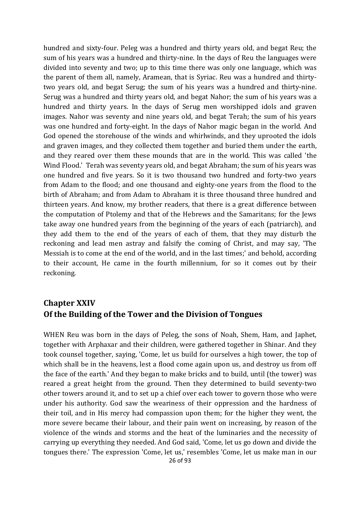hundred and sixty-four. Peleg was a hundred and thirty years old, and begat Reu; the sum of his years was a hundred and thirty-nine. In the days of Reu the languages were divided into seventy and two; up to this time there was only one language, which was the parent of them all, namely, Aramean, that is Syriac. Reu was a hundred and thirtytwo years old, and begat Serug; the sum of his years was a hundred and thirty-nine. Serug was a hundred and thirty years old, and begat Nahor; the sum of his years was a hundred and thirty years. In the days of Serug men worshipped idols and graven images. Nahor was seventy and nine years old, and begat Terah; the sum of his years was one hundred and forty-eight. In the days of Nahor magic began in the world. And God opened the storehouse of the winds and whirlwinds, and they uprooted the idols and graven images, and they collected them together and buried them under the earth, and they reared over them these mounds that are in the world. This was called 'the Wind Flood.' Terah was seventy years old, and begat Abraham; the sum of his years was one hundred and five years. So it is two thousand two hundred and forty-two years from Adam to the flood; and one thousand and eighty-one years from the flood to the birth of Abraham; and from Adam to Abraham it is three thousand three hundred and thirteen years. And know, my brother readers, that there is a great difference between the computation of Ptolemy and that of the Hebrews and the Samaritans; for the Jews take away one hundred years from the beginning of the years of each (patriarch), and they add them to the end of the years of each of them, that they may disturb the reckoning and lead men astray and falsify the coming of Christ, and may say, 'The Messiah is to come at the end of the world, and in the last times;' and behold, according to their account, He came in the fourth millennium, for so it comes out by their reckoning.

### **Chapter XXIV Of the Building of the Tower and the Division of Tongues**

WHEN Reu was born in the days of Peleg, the sons of Noah, Shem, Ham, and Japhet, together with Arphaxar and their children, were gathered together in Shinar. And they took counsel together, saying, 'Come, let us build for ourselves a high tower, the top of which shall be in the heavens, lest a flood come again upon us, and destroy us from off the face of the earth.' And they began to make bricks and to build, until (the tower) was reared a great height from the ground. Then they determined to build seventy-two other towers around it, and to set up a chief over each tower to govern those who were under his authority. God saw the weariness of their oppression and the hardness of their toil, and in His mercy had compassion upon them; for the higher they went, the more severe became their labour, and their pain went on increasing, by reason of the violence of the winds and storms and the heat of the luminaries and the necessity of carrying up everything they needed. And God said, 'Come, let us go down and divide the tongues there.' The expression 'Come, let us,' resembles 'Come, let us make man in our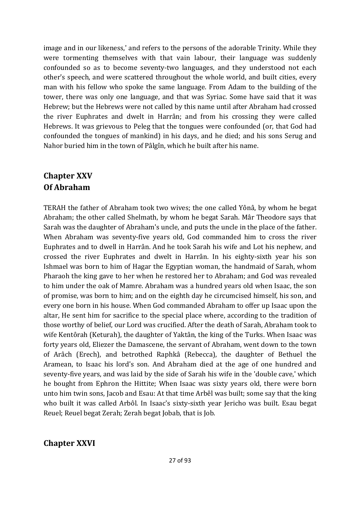image and in our likeness,' and refers to the persons of the adorable Trinity. While they were tormenting themselves with that vain labour, their language was suddenly confounded so as to become seventy-two languages, and they understood not each other's speech, and were scattered throughout the whole world, and built cities, every man with his fellow who spoke the same language. From Adam to the building of the tower, there was only one language, and that was Syriac. Some have said that it was Hebrew; but the Hebrews were not called by this name until after Abraham had crossed the river Euphrates and dwelt in Harrân; and from his crossing they were called Hebrews. It was grievous to Peleg that the tongues were confounded (or, that God had confounded the tongues of mankind) in his days, and he died; and his sons Serug and Nahor buried him in the town of Pâlgîn, which he built after his name.

## **Chapter XXV Of Abraham**

TERAH the father of Abraham took two wives; the one called Yônâ, by whom he begat Abraham; the other called Shelmath, by whom he begat Sarah. Mâr Theodore says that Sarah was the daughter of Abraham's uncle, and puts the uncle in the place of the father. When Abraham was seventy-five years old, God commanded him to cross the river Euphrates and to dwell in Harrân. And he took Sarah his wife and Lot his nephew, and crossed the river Euphrates and dwelt in Harrân. In his eighty-sixth year his son Ishmael was born to him of Hagar the Egyptian woman, the handmaid of Sarah, whom Pharaoh the king gave to her when he restored her to Abraham; and God was revealed to him under the oak of Mamre. Abraham was a hundred years old when Isaac, the son of promise, was born to him; and on the eighth day he circumcised himself, his son, and every one born in his house. When God commanded Abraham to offer up Isaac upon the altar, He sent him for sacrifice to the special place where, according to the tradition of those worthy of belief, our Lord was crucified. After the death of Sarah, Abraham took to wife Kentôrah (Keturah), the daughter of Yaktân, the king of the Turks. When Isaac was forty years old, Eliezer the Damascene, the servant of Abraham, went down to the town of Arâch (Erech), and betrothed Raphkâ (Rebecca), the daughter of Bethuel the Aramean, to Isaac his lord's son. And Abraham died at the age of one hundred and seventy-five years, and was laid by the side of Sarah his wife in the 'double cave,' which he bought from Ephron the Hittite; When Isaac was sixty years old, there were born unto him twin sons, Jacob and Esau: At that time Arbêl was built; some say that the king who built it was called Arbôl. In Isaac's sixty-sixth year Jericho was built. Esau begat Reuel; Reuel begat Zerah; Zerah begat Jobab, that is Job.

## **Chapter XXVI**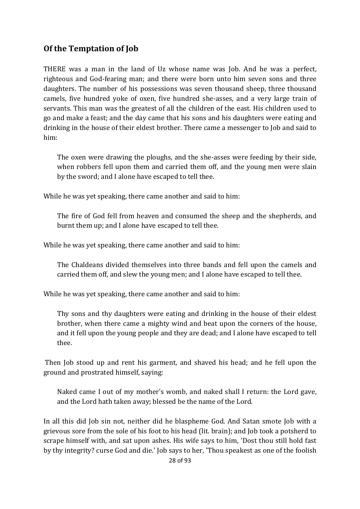## **Of the Temptation of Job**

THERE was a man in the land of Uz whose name was Job. And he was a perfect, righteous and God-fearing man; and there were born unto him seven sons and three daughters. The number of his possessions was seven thousand sheep, three thousand camels, five hundred yoke of oxen, five hundred she-asses, and a very large train of servants. This man was the greatest of all the children of the east. His children used to go and make a feast; and the day came that his sons and his daughters were eating and drinking in the house of their eldest brother. There came a messenger to Job and said to him:

The oxen were drawing the ploughs, and the she-asses were feeding by their side, when robbers fell upon them and carried them off, and the young men were slain by the sword; and I alone have escaped to tell thee.

While he was yet speaking, there came another and said to him:

The fire of God fell from heaven and consumed the sheep and the shepherds, and burnt them up; and I alone have escaped to tell thee.

While he was yet speaking, there came another and said to him:

The Chaldeans divided themselves into three bands and fell upon the camels and carried them off, and slew the young men; and I alone have escaped to tell thee.

While he was yet speaking, there came another and said to him:

Thy sons and thy daughters were eating and drinking in the house of their eldest brother, when there came a mighty wind and beat upon the corners of the house, and it fell upon the young people and they are dead; and I alone have escaped to tell thee.

Then Job stood up and rent his garment, and shaved his head; and he fell upon the ground and prostrated himself, saying:

Naked came I out of my mother's womb, and naked shall I return: the Lord gave, and the Lord hath taken away; blessed be the name of the Lord.

In all this did Job sin not, neither did he blaspheme God. And Satan smote Job with a grievous sore from the sole of his foot to his head (lit. brain); and Job took a potsherd to scrape himself with, and sat upon ashes. His wife says to him, 'Dost thou still hold fast by thy integrity? curse God and die.' Job says to her, 'Thou speakest as one of the foolish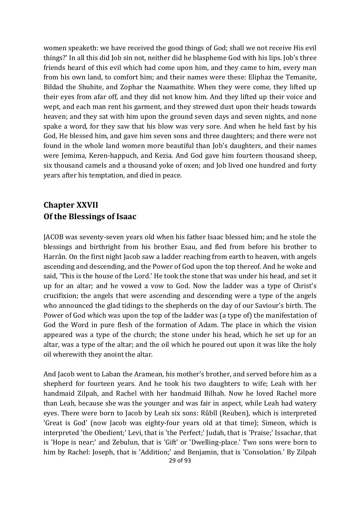women speaketh: we have received the good things of God; shall we not receive His evil things?' In all this did Job sin not, neither did he blaspheme God with his lips. Job's three friends heard of this evil which had come upon him, and they came to him, every man from his own land, to comfort him; and their names were these: Eliphaz the Temanite, Bildad the Shuhite, and Zophar the Naamathite. When they were come, they lifted up their eyes from afar off, and they did not know him. And they lifted up their voice and wept, and each man rent his garment, and they strewed dust upon their heads towards heaven; and they sat with him upon the ground seven days and seven nights, and none spake a word, for they saw that his blow was very sore. And when he held fast by his God, He blessed him, and gave him seven sons and three daughters; and there were not found in the whole land women more beautiful than Job's daughters, and their names were Jemima, Keren-happuch, and Kezia. And God gave him fourteen thousand sheep, six thousand camels and a thousand yoke of oxen; and Job lived one hundred and forty years after his temptation, and died in peace.

## **Chapter XXVII Of the Blessings of Isaac**

JACOB was seventy-seven years old when his father Isaac blessed him; and he stole the blessings and birthright from his brother Esau, and fled from before his brother to Harrân. On the first night Jacob saw a ladder reaching from earth to heaven, with angels ascending and descending, and the Power of God upon the top thereof. And he woke and said, 'This is the house of the Lord.' He took the stone that was under his head, and set it up for an altar; and he vowed a vow to God. Now the ladder was a type of Christ's crucifixion; the angels that were ascending and descending were a type of the angels who announced the glad tidings to the shepherds on the day of our Saviour's birth. The Power of God which was upon the top of the ladder was (a type of) the manifestation of God the Word in pure flesh of the formation of Adam. The place in which the vision appeared was a type of the church; the stone under his head, which he set up for an altar, was a type of the altar; and the oil which he poured out upon it was like the holy oil wherewith they anoint the altar.

And Jacob went to Laban the Aramean, his mother's brother, and served before him as a shepherd for fourteen years. And he took his two daughters to wife; Leah with her handmaid Zilpah, and Rachel with her handmaid Bilhah. Now he loved Rachel more than Leah, because she was the younger and was fair in aspect, while Leah had watery eyes. There were born to Jacob by Leah six sons: Rûbîl (Reuben), which is interpreted 'Great is God' (now Jacob was eighty-four years old at that time); Simeon, which is interpreted 'the Obedient;' Levi, that is 'the Perfect;' Judah, that is 'Praise;' Issachar, that is 'Hope is near;' and Zebulun, that is 'Gift' or 'Dwelling-place.' Two sons were born to him by Rachel: Joseph, that is 'Addition;' and Benjamin, that is 'Consolation.' By Zilpah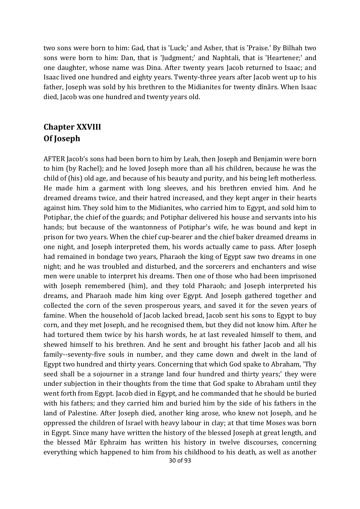two sons were born to him: Gad, that is 'Luck;' and Asher, that is 'Praise.' By Bilhah two sons were born to him: Dan, that is 'Judgment;' and Naphtali, that is 'Heartener;' and one daughter, whose name was Dina. After twenty years Jacob returned to Isaac; and Isaac lived one hundred and eighty years. Twenty-three years after Jacob went up to his father, Joseph was sold by his brethren to the Midianites for twenty dînârs. When Isaac died, Jacob was one hundred and twenty years old.

#### **Chapter XXVIII Of Joseph**

AFTER Jacob's sons had been born to him by Leah, then Joseph and Benjamin were born to him (by Rachel); and he loved Joseph more than all his children, because he was the child of (his) old age, and because of his beauty and purity, and his being left motherless. He made him a garment with long sleeves, and his brethren envied him. And he dreamed dreams twice, and their hatred increased, and they kept anger in their hearts against him. They sold him to the Midianites, who carried him to Egypt, and sold him to Potiphar, the chief of the guards; and Potiphar delivered his house and servants into his hands; but because of the wantonness of Potiphar's wife, he was bound and kept in prison for two years. When the chief cup-bearer and the chief baker dreamed dreams in one night, and Joseph interpreted them, his words actually came to pass. After Joseph had remained in bondage two years, Pharaoh the king of Egypt saw two dreams in one night; and he was troubled and disturbed, and the sorcerers and enchanters and wise men were unable to interpret his dreams. Then one of those who had been imprisoned with Joseph remembered (him), and they told Pharaoh; and Joseph interpreted his dreams, and Pharaoh made him king over Egypt. And Joseph gathered together and collected the corn of the seven prosperous years, and saved it for the seven years of famine. When the household of Jacob lacked bread, Jacob sent his sons to Egypt to buy corn, and they met Joseph, and he recognised them, but they did not know him. After he had tortured them twice by his harsh words, he at last revealed himself to them, and shewed himself to his brethren. And he sent and brought his father Jacob and all his family--seventy-five souls in number, and they came down and dwelt in the land of Egypt two hundred and thirty years. Concerning that which God spake to Abraham, 'Thy seed shall be a sojourner in a strange land four hundred and thirty years;' they were under subjection in their thoughts from the time that God spake to Abraham until they went forth from Egypt. Jacob died in Egypt, and he commanded that he should be buried with his fathers; and they carried him and buried him by the side of his fathers in the land of Palestine. After Joseph died, another king arose, who knew not Joseph, and he oppressed the children of Israel with heavy labour in clay; at that time Moses was born in Egypt. Since many have written the history of the blessed Joseph at great length, and the blessed Mâr Ephraim has written his history in twelve discourses, concerning everything which happened to him from his childhood to his death, as well as another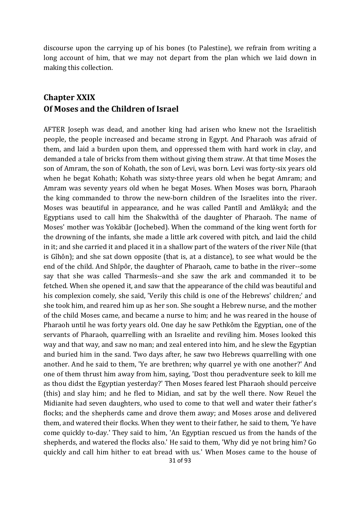discourse upon the carrying up of his bones (to Palestine), we refrain from writing a long account of him, that we may not depart from the plan which we laid down in making this collection.

#### **Chapter XXIX Of Moses and the Children of Israel**

AFTER Joseph was dead, and another king had arisen who knew not the Israelitish people, the people increased and became strong in Egypt. And Pharaoh was afraid of them, and laid a burden upon them, and oppressed them with hard work in clay, and demanded a tale of bricks from them without giving them straw. At that time Moses the son of Amram, the son of Kohath, the son of Levi, was born. Levi was forty-six years old when he begat Kohath; Kohath was sixty-three years old when he begat Amram; and Amram was seventy years old when he begat Moses. When Moses was born, Pharaoh the king commanded to throw the new-born children of the Israelites into the river. Moses was beautiful in appearance, and he was called Pantîl and Amlâkyâ; and the Egyptians used to call him the Shakwîthâ of the daughter of Pharaoh. The name of Moses' mother was Yokâbâr (Jochebed). When the command of the king went forth for the drowning of the infants, she made a little ark covered with pitch, and laid the child in it; and she carried it and placed it in a shallow part of the waters of the river Nile (that is Gîhôn); and she sat down opposite (that is, at a distance), to see what would be the end of the child. And Shîpôr, the daughter of Pharaoh, came to bathe in the river--some say that she was called Tharmesîs--and she saw the ark and commanded it to be fetched. When she opened it, and saw that the appearance of the child was beautiful and his complexion comely, she said, 'Verily this child is one of the Hebrews' children;' and she took him, and reared him up as her son. She sought a Hebrew nurse, and the mother of the child Moses came, and became a nurse to him; and he was reared in the house of Pharaoh until he was forty years old. One day he saw Pethkôm the Egyptian, one of the servants of Pharaoh, quarrelling with an Israelite and reviling him. Moses looked this way and that way, and saw no man; and zeal entered into him, and he slew the Egyptian and buried him in the sand. Two days after, he saw two Hebrews quarrelling with one another. And he said to them, 'Ye are brethren; why quarrel ye with one another?' And one of them thrust him away from him, saying, 'Dost thou peradventure seek to kill me as thou didst the Egyptian yesterday?' Then Moses feared lest Pharaoh should perceive (this) and slay him; and he fled to Midian, and sat by the well there. Now Reuel the Midianite had seven daughters, who used to come to that well and water their father's flocks; and the shepherds came and drove them away; and Moses arose and delivered them, and watered their flocks. When they went to their father, he said to them, 'Ye have come quickly to-day.' They said to him, 'An Egyptian rescued us from the hands of the shepherds, and watered the flocks also.' He said to them, 'Why did ye not bring him? Go quickly and call him hither to eat bread with us.' When Moses came to the house of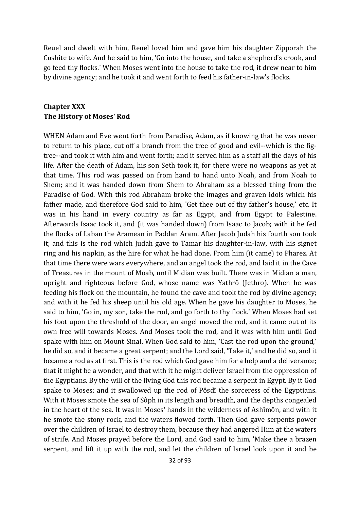Reuel and dwelt with him, Reuel loved him and gave him his daughter Zipporah the Cushite to wife. And he said to him, 'Go into the house, and take a shepherd's crook, and go feed thy flocks.' When Moses went into the house to take the rod, it drew near to him by divine agency; and he took it and went forth to feed his father-in-law's flocks.

#### **Chapter XXX The History of Moses' Rod**

WHEN Adam and Eve went forth from Paradise, Adam, as if knowing that he was never to return to his place, cut off a branch from the tree of good and evil--which is the figtree--and took it with him and went forth; and it served him as a staff all the days of his life. After the death of Adam, his son Seth took it, for there were no weapons as yet at that time. This rod was passed on from hand to hand unto Noah, and from Noah to Shem; and it was handed down from Shem to Abraham as a blessed thing from the Paradise of God. With this rod Abraham broke the images and graven idols which his father made, and therefore God said to him, 'Get thee out of thy father's house,' etc. It was in his hand in every country as far as Egypt, and from Egypt to Palestine. Afterwards Isaac took it, and (it was handed down) from Isaac to Jacob; with it he fed the flocks of Laban the Aramean in Paddan Aram. After Jacob Judah his fourth son took it; and this is the rod which Judah gave to Tamar his daughter-in-law, with his signet ring and his napkin, as the hire for what he had done. From him (it came) to Pharez. At that time there were wars everywhere, and an angel took the rod, and laid it in the Cave of Treasures in the mount of Moab, until Midian was built. There was in Midian a man, upright and righteous before God, whose name was Yathrô (Jethro). When he was feeding his flock on the mountain, he found the cave and took the rod by divine agency; and with it he fed his sheep until his old age. When he gave his daughter to Moses, he said to him, 'Go in, my son, take the rod, and go forth to thy flock.' When Moses had set his foot upon the threshold of the door, an angel moved the rod, and it came out of its own free will towards Moses. And Moses took the rod, and it was with him until God spake with him on Mount Sinai. When God said to him, 'Cast the rod upon the ground,' he did so, and it became a great serpent; and the Lord said, 'Take it,' and he did so, and it became a rod as at first. This is the rod which God gave him for a help and a deliverance; that it might be a wonder, and that with it he might deliver Israel from the oppression of the Egyptians. By the will of the living God this rod became a serpent in Egypt. By it God spake to Moses; and it swallowed up the rod of Pôsdî the sorceress of the Egyptians. With it Moses smote the sea of Sôph in its length and breadth, and the depths congealed in the heart of the sea. It was in Moses' hands in the wilderness of Ashîmôn, and with it he smote the stony rock, and the waters flowed forth. Then God gave serpents power over the children of Israel to destroy them, because they had angered Him at the waters of strife. And Moses prayed before the Lord, and God said to him, 'Make thee a brazen serpent, and lift it up with the rod, and let the children of Israel look upon it and be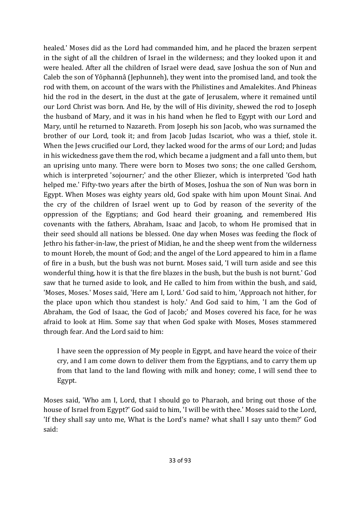healed.' Moses did as the Lord had commanded him, and he placed the brazen serpent in the sight of all the children of Israel in the wilderness; and they looked upon it and were healed. After all the children of Israel were dead, save Joshua the son of Nun and Caleb the son of Yôphannâ (Jephunneh), they went into the promised land, and took the rod with them, on account of the wars with the Philistines and Amalekites. And Phineas hid the rod in the desert, in the dust at the gate of Jerusalem, where it remained until our Lord Christ was born. And He, by the will of His divinity, shewed the rod to Joseph the husband of Mary, and it was in his hand when he fled to Egypt with our Lord and Mary, until he returned to Nazareth. From Joseph his son Jacob, who was surnamed the brother of our Lord, took it; and from Jacob Judas Iscariot, who was a thief, stole it. When the Jews crucified our Lord, they lacked wood for the arms of our Lord; and Judas in his wickedness gave them the rod, which became a judgment and a fall unto them, but an uprising unto many. There were born to Moses two sons; the one called Gershom, which is interpreted 'sojourner;' and the other Eliezer, which is interpreted 'God hath helped me.' Fifty-two years after the birth of Moses, Joshua the son of Nun was born in Egypt. When Moses was eighty years old, God spake with him upon Mount Sinai. And the cry of the children of Israel went up to God by reason of the severity of the oppression of the Egyptians; and God heard their groaning, and remembered His covenants with the fathers, Abraham, Isaac and Jacob, to whom He promised that in their seed should all nations be blessed. One day when Moses was feeding the flock of Jethro his father-in-law, the priest of Midian, he and the sheep went from the wilderness to mount Horeb, the mount of God; and the angel of the Lord appeared to him in a flame of fire in a bush, but the bush was not burnt. Moses said, 'I will turn aside and see this wonderful thing, how it is that the fire blazes in the bush, but the bush is not burnt.' God saw that he turned aside to look, and He called to him from within the bush, and said, 'Moses, Moses.' Moses said, 'Here am I, Lord.' God said to him, 'Approach not hither, for the place upon which thou standest is holy.' And God said to him, 'I am the God of Abraham, the God of Isaac, the God of Jacob;' and Moses covered his face, for he was afraid to look at Him. Some say that when God spake with Moses, Moses stammered through fear. And the Lord said to him:

I have seen the oppression of My people in Egypt, and have heard the voice of their cry, and I am come down to deliver them from the Egyptians, and to carry them up from that land to the land flowing with milk and honey; come, I will send thee to Egypt.

Moses said, 'Who am I, Lord, that I should go to Pharaoh, and bring out those of the house of Israel from Egypt?' God said to him, 'I will be with thee.' Moses said to the Lord, 'If they shall say unto me, What is the Lord's name? what shall I say unto them?' God said: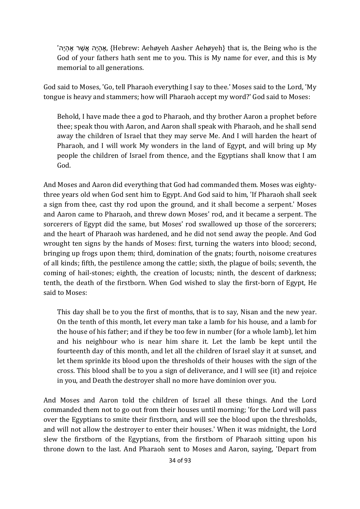'אֲהָיֵה אֱשֶׁר אֶהָיֶה, {Hebrew: Aehøyeh Aasher Aehøyeh} that is, the Being who is the God of your fathers hath sent me to you. This is My name for ever, and this is My memorial to all generations.

God said to Moses, 'Go, tell Pharaoh everything I say to thee.' Moses said to the Lord, 'My tongue is heavy and stammers; how will Pharaoh accept my word?' God said to Moses:

Behold, I have made thee a god to Pharaoh, and thy brother Aaron a prophet before thee; speak thou with Aaron, and Aaron shall speak with Pharaoh, and he shall send away the children of Israel that they may serve Me. And I will harden the heart of Pharaoh, and I will work My wonders in the land of Egypt, and will bring up My people the children of Israel from thence, and the Egyptians shall know that I am God.

And Moses and Aaron did everything that God had commanded them. Moses was eightythree years old when God sent him to Egypt. And God said to him, 'If Pharaoh shall seek a sign from thee, cast thy rod upon the ground, and it shall become a serpent.' Moses and Aaron came to Pharaoh, and threw down Moses' rod, and it became a serpent. The sorcerers of Egypt did the same, but Moses' rod swallowed up those of the sorcerers; and the heart of Pharaoh was hardened, and he did not send away the people. And God wrought ten signs by the hands of Moses: first, turning the waters into blood; second, bringing up frogs upon them; third, domination of the gnats; fourth, noisome creatures of all kinds; fifth, the pestilence among the cattle; sixth, the plague of boils; seventh, the coming of hail-stones; eighth, the creation of locusts; ninth, the descent of darkness; tenth, the death of the firstborn. When God wished to slay the first-born of Egypt, He said to Moses:

This day shall be to you the first of months, that is to say, Nisan and the new year. On the tenth of this month, let every man take a lamb for his house, and a lamb for the house of his father; and if they be too few in number (for a whole lamb), let him and his neighbour who is near him share it. Let the lamb be kept until the fourteenth day of this month, and let all the children of Israel slay it at sunset, and let them sprinkle its blood upon the thresholds of their houses with the sign of the cross. This blood shall be to you a sign of deliverance, and I will see (it) and rejoice in you, and Death the destroyer shall no more have dominion over you.

And Moses and Aaron told the children of Israel all these things. And the Lord commanded them not to go out from their houses until morning; 'for the Lord will pass over the Egyptians to smite their firstborn, and will see the blood upon the thresholds, and will not allow the destroyer to enter their houses.' When it was midnight, the Lord slew the firstborn of the Egyptians, from the firstborn of Pharaoh sitting upon his throne down to the last. And Pharaoh sent to Moses and Aaron, saying, 'Depart from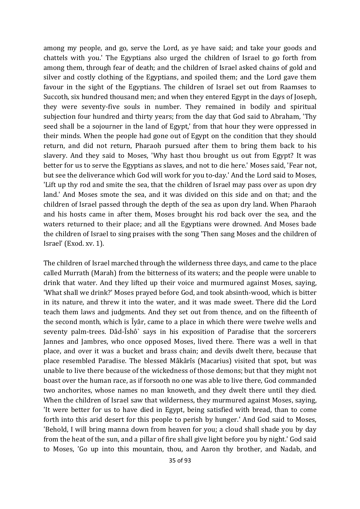among my people, and go, serve the Lord, as ye have said; and take your goods and chattels with you.' The Egyptians also urged the children of Israel to go forth from among them, through fear of death; and the children of Israel asked chains of gold and silver and costly clothing of the Egyptians, and spoiled them; and the Lord gave them favour in the sight of the Egyptians. The children of Israel set out from Raamses to Succoth, six hundred thousand men; and when they entered Egypt in the days of Joseph, they were seventy-five souls in number. They remained in bodily and spiritual subjection four hundred and thirty years; from the day that God said to Abraham, 'Thy seed shall be a sojourner in the land of Egypt,' from that hour they were oppressed in their minds. When the people had gone out of Egypt on the condition that they should return, and did not return, Pharaoh pursued after them to bring them back to his slavery. And they said to Moses, 'Why hast thou brought us out from Egypt? It was better for us to serve the Egyptians as slaves, and not to die here.' Moses said, 'Fear not, but see the deliverance which God will work for you to-day.' And the Lord said to Moses, 'Lift up thy rod and smite the sea, that the children of Israel may pass over as upon dry land.' And Moses smote the sea, and it was divided on this side and on that; and the children of Israel passed through the depth of the sea as upon dry land. When Pharaoh and his hosts came in after them, Moses brought his rod back over the sea, and the waters returned to their place; and all the Egyptians were drowned. And Moses bade the children of Israel to sing praises with the song 'Then sang Moses and the children of Israel' (Exod. xv. 1).

The children of Israel marched through the wilderness three days, and came to the place called Murrath (Marah) from the bitterness of its waters; and the people were unable to drink that water. And they lifted up their voice and murmured against Moses, saying, 'What shall we drink?' Moses prayed before God, and took absinth-wood, which is bitter in its nature, and threw it into the water, and it was made sweet. There did the Lord teach them laws and judgments. And they set out from thence, and on the fifteenth of the second month, which is Îyâr, came to a place in which there were twelve wells and seventy palm-trees. Dâd-Îshô` says in his exposition of Paradise that the sorcerers Jannes and Jambres, who once opposed Moses, lived there. There was a well in that place, and over it was a bucket and brass chain; and devils dwelt there, because that place resembled Paradise. The blessed Mâkârîs (Macarius) visited that spot, but was unable to live there because of the wickedness of those demons; but that they might not boast over the human race, as if forsooth no one was able to live there, God commanded two anchorites, whose names no man knoweth, and they dwelt there until they died. When the children of Israel saw that wilderness, they murmured against Moses, saying, 'It were better for us to have died in Egypt, being satisfied with bread, than to come forth into this arid desert for this people to perish by hunger.' And God said to Moses, 'Behold, I will bring manna down from heaven for you; a cloud shall shade you by day from the heat of the sun, and a pillar of fire shall give light before you by night.' God said to Moses, 'Go up into this mountain, thou, and Aaron thy brother, and Nadab, and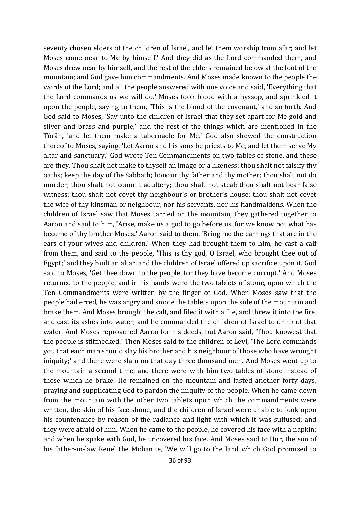seventy chosen elders of the children of Israel, and let them worship from afar; and let Moses come near to Me by himself.' And they did as the Lord commanded them, and Moses drew near by himself, and the rest of the elders remained below at the foot of the mountain; and God gave him commandments. And Moses made known to the people the words of the Lord; and all the people answered with one voice and said, 'Everything that the Lord commands us we will do.' Moses took blood with a hyssop, and sprinkled it upon the people, saying to them, 'This is the blood of the covenant,' and so forth. And God said to Moses, 'Say unto the children of Israel that they set apart for Me gold and silver and brass and purple,' and the rest of the things which are mentioned in the Tôrâh, 'and let them make a tabernacle for Me.' God also shewed the construction thereof to Moses, saying, 'Let Aaron and his sons be priests to Me, and let them serve My altar and sanctuary.' God wrote Ten Commandments on two tables of stone, and these are they. Thou shalt not make to thyself an image or a likeness; thou shalt not falsify thy oaths; keep the day of the Sabbath; honour thy father and thy mother; thou shalt not do murder; thou shalt not commit adultery; thou shalt not steal; thou shalt not bear false witness; thou shalt not covet thy neighbour's or brother's house; thou shalt not covet the wife of thy kinsman or neighbour, nor his servants, nor his handmaidens. When the children of Israel saw that Moses tarried on the mountain, they gathered together to Aaron and said to him, 'Arise, make us a god to go before us, for we know not what has become of thy brother Moses.' Aaron said to them, 'Bring me the earrings that are in the ears of your wives and children.' When they had brought them to him, he cast a calf from them, and said to the people, 'This is thy god, O Israel, who brought thee out of Egypt;' and they built an altar, and the children of Israel offered up sacrifice upon it. God said to Moses, 'Get thee down to the people, for they have become corrupt.' And Moses returned to the people, and in his hands were the two tablets of stone, upon which the Ten Commandments were written by the finger of God. When Moses saw that the people had erred, he was angry and smote the tablets upon the side of the mountain and brake them. And Moses brought the calf, and filed it with a file, and threw it into the fire, and cast its ashes into water; and he commanded the children of Israel to drink of that water. And Moses reproached Aaron for his deeds, but Aaron said, 'Thou knowest that the people is stiffnecked.' Then Moses said to the children of Levi, 'The Lord commands you that each man should slay his brother and his neighbour of those who have wrought iniquity;' and there were slain on that day three thousand men. And Moses went up to the mountain a second time, and there were with him two tables of stone instead of those which he brake. He remained on the mountain and fasted another forty days, praying and supplicating God to pardon the iniquity of the people. When he came down from the mountain with the other two tablets upon which the commandments were written, the skin of his face shone, and the children of Israel were unable to look upon his countenance by reason of the radiance and light with which it was suffused; and they were afraid of him. When he came to the people, he covered his face with a napkin; and when he spake with God, he uncovered his face. And Moses said to Hur, the son of his father-in-law Reuel the Midianite, 'We will go to the land which God promised to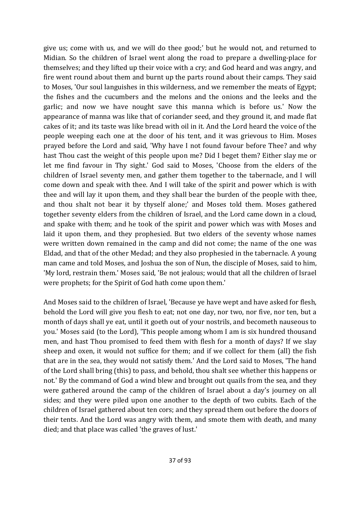give us; come with us, and we will do thee good;' but he would not, and returned to Midian. So the children of Israel went along the road to prepare a dwelling-place for themselves; and they lifted up their voice with a cry; and God heard and was angry, and fire went round about them and burnt up the parts round about their camps. They said to Moses, 'Our soul languishes in this wilderness, and we remember the meats of Egypt; the fishes and the cucumbers and the melons and the onions and the leeks and the garlic; and now we have nought save this manna which is before us.' Now the appearance of manna was like that of coriander seed, and they ground it, and made flat cakes of it; and its taste was like bread with oil in it. And the Lord heard the voice of the people weeping each one at the door of his tent, and it was grievous to Him. Moses prayed before the Lord and said, 'Why have I not found favour before Thee? and why hast Thou cast the weight of this people upon me? Did I beget them? Either slay me or let me find favour in Thy sight.' God said to Moses, 'Choose from the elders of the children of Israel seventy men, and gather them together to the tabernacle, and I will come down and speak with thee. And I will take of the spirit and power which is with thee and will lay it upon them, and they shall bear the burden of the people with thee, and thou shalt not bear it by thyself alone;' and Moses told them. Moses gathered together seventy elders from the children of Israel, and the Lord came down in a cloud, and spake with them; and he took of the spirit and power which was with Moses and laid it upon them, and they prophesied. But two elders of the seventy whose names were written down remained in the camp and did not come; the name of the one was Eldad, and that of the other Medad; and they also prophesied in the tabernacle. A young man came and told Moses, and Joshua the son of Nun, the disciple of Moses, said to him, 'My lord, restrain them.' Moses said, 'Be not jealous; would that all the children of Israel were prophets; for the Spirit of God hath come upon them.'

And Moses said to the children of Israel, 'Because ye have wept and have asked for flesh, behold the Lord will give you flesh to eat; not one day, nor two, nor five, nor ten, but a month of days shall ye eat, until it goeth out of your nostrils, and becometh nauseous to you.' Moses said (to the Lord), 'This people among whom I am is six hundred thousand men, and hast Thou promised to feed them with flesh for a month of days? If we slay sheep and oxen, it would not suffice for them; and if we collect for them (all) the fish that are in the sea, they would not satisfy them.' And the Lord said to Moses, 'The hand of the Lord shall bring (this) to pass, and behold, thou shalt see whether this happens or not.' By the command of God a wind blew and brought out quails from the sea, and they were gathered around the camp of the children of Israel about a day's journey on all sides; and they were piled upon one another to the depth of two cubits. Each of the children of Israel gathered about ten cors; and they spread them out before the doors of their tents. And the Lord was angry with them, and smote them with death, and many died; and that place was called 'the graves of lust.'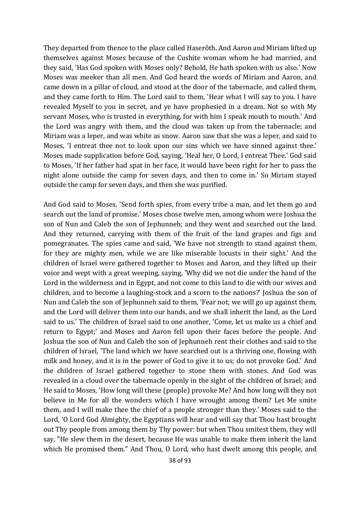They departed from thence to the place called Haserôth. And Aaron and Miriam lifted up themselves against Moses because of the Cushite woman whom he had married, and they said, 'Has God spoken with Moses only? Behold, He hath spoken with us also.' Now Moses was meeker than all men. And God heard the words of Miriam and Aaron, and came down in a pillar of cloud, and stood at the door of the tabernacle, and called them, and they came forth to Him. The Lord said to them, 'Hear what I will say to you. I have revealed Myself to you in secret, and ye have prophesied in a dream. Not so with My servant Moses, who is trusted in everything, for with him I speak mouth to mouth.' And the Lord was angry with them, and the cloud was taken up from the tabernacle; and Miriam was a leper, and was white as snow. Aaron saw that she was a leper, and said to Moses, 'I entreat thee not to look upon our sins which we have sinned against thee.' Moses made supplication before God, saying, 'Heal her, O Lord, I entreat Thee.' God said to Moses, 'If her father had spat in her face, it would have been right for her to pass the night alone outside the camp for seven days, and then to come in.' So Miriam stayed outside the camp for seven days, and then she was purified.

And God said to Moses, 'Send forth spies, from every tribe a man, and let them go and search out the land of promise.' Moses chose twelve men, among whom were Joshua the son of Nun and Caleb the son of Jephunneh; and they went and searched out the land. And they returned, carrying with them of the fruit of the land grapes and figs and pomegranates. The spies came and said, 'We have not strength to stand against them, for they are mighty men, while we are like miserable locusts in their sight.' And the children of Israel were gathered together to Moses and Aaron, and they lifted up their voice and wept with a great weeping, saying, 'Why did we not die under the hand of the Lord in the wilderness and in Egypt, and not come to this land to die with our wives and children, and to become a laughing-stock and a scorn to the nations?' Joshua the son of Nun and Caleb the son of Jephunneh said to them, 'Fear not; we will go up against them, and the Lord will deliver them into our hands, and we shall inherit the land, as the Lord said to us.' The children of Israel said to one another, 'Come, let us make us a chief and return to Egypt;' and Moses and Aaron fell upon their faces before the people. And Joshua the son of Nun and Caleb the son of Jephunneh rent their clothes and said to the children of Israel, 'The land which we have searched out is a thriving one, flowing with milk and honey, and it is in the power of God to give it to us; do not provoke God.' And the children of Israel gathered together to stone them with stones. And God was revealed in a cloud over the tabernacle openly in the sight of the children of Israel; and He said to Moses, 'How long will these (people) provoke Me? And how long will they not believe in Me for all the wonders which I have wrought among them? Let Me smite them, and I will make thee the chief of a people stronger than they.' Moses said to the Lord, 'O Lord God Almighty, the Egyptians will hear and will say that Thou hast brought out Thy people from among them by Thy power: but when Thou smitest them, they will say, "He slew them in the desert, because He was unable to make them inherit the land which He promised them." And Thou, O Lord, who hast dwelt among this people, and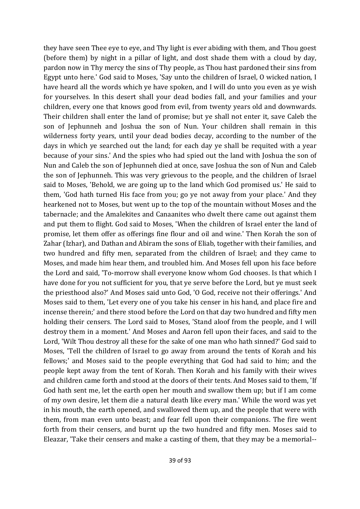they have seen Thee eye to eye, and Thy light is ever abiding with them, and Thou goest (before them) by night in a pillar of light, and dost shade them with a cloud by day, pardon now in Thy mercy the sins of Thy people, as Thou hast pardoned their sins from Egypt unto here.' God said to Moses, 'Say unto the children of Israel, O wicked nation, I have heard all the words which ye have spoken, and I will do unto you even as ye wish for yourselves. In this desert shall your dead bodies fall, and your families and your children, every one that knows good from evil, from twenty years old and downwards. Their children shall enter the land of promise; but ye shall not enter it, save Caleb the son of Jephunneh and Joshua the son of Nun. Your children shall remain in this wilderness forty years, until your dead bodies decay, according to the number of the days in which ye searched out the land; for each day ye shall be requited with a year because of your sins.' And the spies who had spied out the land with Joshua the son of Nun and Caleb the son of Jephunneh died at once, save Joshua the son of Nun and Caleb the son of Jephunneh. This was very grievous to the people, and the children of Israel said to Moses, 'Behold, we are going up to the land which God promised us.' He said to them, 'God hath turned His face from you; go ye not away from your place.' And they hearkened not to Moses, but went up to the top of the mountain without Moses and the tabernacle; and the Amalekites and Canaanites who dwelt there came out against them and put them to flight. God said to Moses, 'When the children of Israel enter the land of promise, let them offer as offerings fine flour and oil and wine.' Then Korah the son of Zahar (Izhar), and Dathan and Abiram the sons of Eliab, together with their families, and two hundred and fifty men, separated from the children of Israel; and they came to Moses, and made him hear them, and troubled him. And Moses fell upon his face before the Lord and said, 'To-morrow shall everyone know whom God chooses. Is that which I have done for you not sufficient for you, that ye serve before the Lord, but ye must seek the priesthood also?' And Moses said unto God, 'O God, receive not their offerings.' And Moses said to them, 'Let every one of you take his censer in his hand, and place fire and incense therein;' and there stood before the Lord on that day two hundred and fifty men holding their censers. The Lord said to Moses, 'Stand aloof from the people, and I will destroy them in a moment.' And Moses and Aaron fell upon their faces, and said to the Lord, 'Wilt Thou destroy all these for the sake of one man who hath sinned?' God said to Moses, 'Tell the children of Israel to go away from around the tents of Korah and his fellows;' and Moses said to the people everything that God had said to him; and the people kept away from the tent of Korah. Then Korah and his family with their wives and children came forth and stood at the doors of their tents. And Moses said to them, 'If God hath sent me, let the earth open her mouth and swallow them up; but if I am come of my own desire, let them die a natural death like every man.' While the word was yet in his mouth, the earth opened, and swallowed them up, and the people that were with them, from man even unto beast; and fear fell upon their companions. The fire went forth from their censers, and burnt up the two hundred and fifty men. Moses said to Eleazar, 'Take their censers and make a casting of them, that they may be a memorial--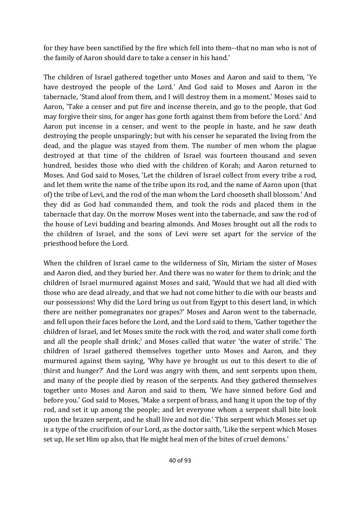for they have been sanctified by the fire which fell into them--that no man who is not of the family of Aaron should dare to take a censer in his hand.'

The children of Israel gathered together unto Moses and Aaron and said to them, 'Ye have destroyed the people of the Lord.' And God said to Moses and Aaron in the tabernacle, 'Stand aloof from them, and I will destroy them in a moment.' Moses said to Aaron, 'Take a censer and put fire and incense therein, and go to the people, that God may forgive their sins, for anger has gone forth against them from before the Lord.' And Aaron put incense in a censer, and went to the people in haste, and he saw death destroying the people unsparingly; but with his censer he separated the living from the dead, and the plague was stayed from them. The number of men whom the plague destroyed at that time of the children of Israel was fourteen thousand and seven hundred, besides those who died with the children of Korah; and Aaron returned to Moses. And God said to Moses, 'Let the children of Israel collect from every tribe a rod, and let them write the name of the tribe upon its rod, and the name of Aaron upon (that of) the tribe of Levi, and the rod of the man whom the Lord chooseth shall blossom.' And they did as God had commanded them, and took the rods and placed them in the tabernacle that day. On the morrow Moses went into the tabernacle, and saw the rod of the house of Levi budding and bearing almonds. And Moses brought out all the rods to the children of Israel, and the sons of Levi were set apart for the service of the priesthood before the Lord.

When the children of Israel came to the wilderness of Sîn, Miriam the sister of Moses and Aaron died, and they buried her. And there was no water for them to drink; and the children of Israel murmured against Moses and said, 'Would that we had all died with those who are dead already, and that we had not come hither to die with our beasts and our possessions! Why did the Lord bring us out from Egypt to this desert land, in which there are neither pomegranates nor grapes?' Moses and Aaron went to the tabernacle, and fell upon their faces before the Lord, and the Lord said to them, 'Gather together the children of Israel, and let Moses smite the rock with the rod, and water shall come forth and all the people shall drink;' and Moses called that water 'the water of strife.' The children of Israel gathered themselves together unto Moses and Aaron, and they murmured against them saying, 'Why have ye brought us out to this desert to die of thirst and hunger?' And the Lord was angry with them, and sent serpents upon them, and many of the people died by reason of the serpents. And they gathered themselves together unto Moses and Aaron and said to them, 'We have sinned before God and before you.' God said to Moses, 'Make a serpent of brass, and hang it upon the top of thy rod, and set it up among the people; and let everyone whom a serpent shall bite look upon the brazen serpent, and he shall live and not die.' This serpent which Moses set up is a type of the crucifixion of our Lord, as the doctor saith, 'Like the serpent which Moses set up, He set Him up also, that He might heal men of the bites of cruel demons.'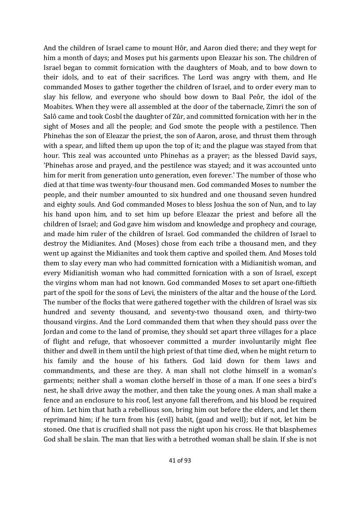And the children of Israel came to mount Hôr, and Aaron died there; and they wept for him a month of days; and Moses put his garments upon Eleazar his son. The children of Israel began to commit fornication with the daughters of Moab, and to bow down to their idols, and to eat of their sacrifices. The Lord was angry with them, and He commanded Moses to gather together the children of Israel, and to order every man to slay his fellow, and everyone who should bow down to Baal Peôr, the idol of the Moabites. When they were all assembled at the door of the tabernacle, Zimri the son of Salô came and took Cosbî the daughter of Zûr, and committed fornication with her in the sight of Moses and all the people; and God smote the people with a pestilence. Then Phinehas the son of Eleazar the priest, the son of Aaron, arose, and thrust them through with a spear, and lifted them up upon the top of it; and the plague was stayed from that hour. This zeal was accounted unto Phinehas as a prayer; as the blessed David says, 'Phinehas arose and prayed, and the pestilence was stayed; and it was accounted unto him for merit from generation unto generation, even forever.' The number of those who died at that time was twenty-four thousand men. God commanded Moses to number the people, and their number amounted to six hundred and one thousand seven hundred and eighty souls. And God commanded Moses to bless Joshua the son of Nun, and to lay his hand upon him, and to set him up before Eleazar the priest and before all the children of Israel; and God gave him wisdom and knowledge and prophecy and courage, and made him ruler of the children of Israel. God commanded the children of Israel to destroy the Midianites. And (Moses) chose from each tribe a thousand men, and they went up against the Midianites and took them captive and spoiled them. And Moses told them to slay every man who had committed fornication with a Midianitish woman, and every Midianitish woman who had committed fornication with a son of Israel, except the virgins whom man had not known. God commanded Moses to set apart one-fiftieth part of the spoil for the sons of Levi, the ministers of the altar and the house of the Lord. The number of the flocks that were gathered together with the children of Israel was six hundred and seventy thousand, and seventy-two thousand oxen, and thirty-two thousand virgins. And the Lord commanded them that when they should pass over the Jordan and come to the land of promise, they should set apart three villages for a place of flight and refuge, that whosoever committed a murder involuntarily might flee thither and dwell in them until the high priest of that time died, when he might return to his family and the house of his fathers. God laid down for them laws and commandments, and these are they. A man shall not clothe himself in a woman's garments; neither shall a woman clothe herself in those of a man. If one sees a bird's nest, he shall drive away the mother, and then take the young ones. A man shall make a fence and an enclosure to his roof, lest anyone fall therefrom, and his blood be required of him. Let him that hath a rebellious son, bring him out before the elders, and let them reprimand him; if he turn from his (evil) habit, (goad and well); but if not, let him be stoned. One that is crucified shall not pass the night upon his cross. He that blasphemes God shall be slain. The man that lies with a betrothed woman shall be slain. If she is not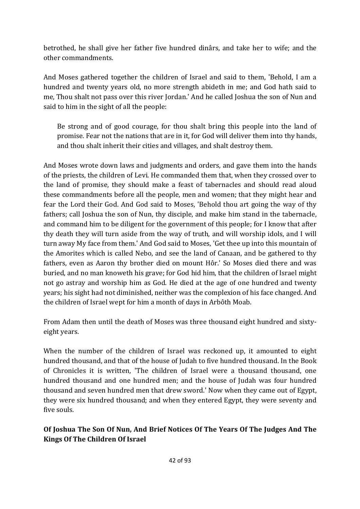betrothed, he shall give her father five hundred dinârs, and take her to wife; and the other commandments.

And Moses gathered together the children of Israel and said to them, 'Behold, I am a hundred and twenty years old, no more strength abideth in me; and God hath said to me, Thou shalt not pass over this river Jordan.' And he called Joshua the son of Nun and said to him in the sight of all the people:

Be strong and of good courage, for thou shalt bring this people into the land of promise. Fear not the nations that are in it, for God will deliver them into thy hands, and thou shalt inherit their cities and villages, and shalt destroy them.

And Moses wrote down laws and judgments and orders, and gave them into the hands of the priests, the children of Levi. He commanded them that, when they crossed over to the land of promise, they should make a feast of tabernacles and should read aloud these commandments before all the people, men and women; that they might hear and fear the Lord their God. And God said to Moses, 'Behold thou art going the way of thy fathers; call Joshua the son of Nun, thy disciple, and make him stand in the tabernacle, and command him to be diligent for the government of this people; for I know that after thy death they will turn aside from the way of truth, and will worship idols, and I will turn away My face from them.' And God said to Moses, 'Get thee up into this mountain of the Amorites which is called Nebo, and see the land of Canaan, and be gathered to thy fathers, even as Aaron thy brother died on mount Hôr.' So Moses died there and was buried, and no man knoweth his grave; for God hid him, that the children of Israel might not go astray and worship him as God. He died at the age of one hundred and twenty years; his sight had not diminished, neither was the complexion of his face changed. And the children of Israel wept for him a month of days in Arbôth Moab.

From Adam then until the death of Moses was three thousand eight hundred and sixtyeight years.

When the number of the children of Israel was reckoned up, it amounted to eight hundred thousand, and that of the house of Judah to five hundred thousand. In the Book of Chronicles it is written, 'The children of Israel were a thousand thousand, one hundred thousand and one hundred men; and the house of Judah was four hundred thousand and seven hundred men that drew sword.' Now when they came out of Egypt, they were six hundred thousand; and when they entered Egypt, they were seventy and five souls.

#### **Of Joshua The Son Of Nun, And Brief Notices Of The Years Of The Judges And The Kings Of The Children Of Israel**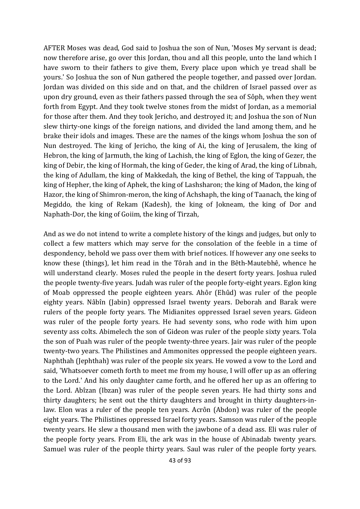AFTER Moses was dead, God said to Joshua the son of Nun, 'Moses My servant is dead; now therefore arise, go over this Jordan, thou and all this people, unto the land which I have sworn to their fathers to give them, Every place upon which ye tread shall be yours.' So Joshua the son of Nun gathered the people together, and passed over Jordan. Jordan was divided on this side and on that, and the children of Israel passed over as upon dry ground, even as their fathers passed through the sea of Sôph, when they went forth from Egypt. And they took twelve stones from the midst of Jordan, as a memorial for those after them. And they took Jericho, and destroyed it; and Joshua the son of Nun slew thirty-one kings of the foreign nations, and divided the land among them, and he brake their idols and images. These are the names of the kings whom Joshua the son of Nun destroyed. The king of Jericho, the king of Ai, the king of Jerusalem, the king of Hebron, the king of Jarmuth, the king of Lachish, the king of Eglon, the king of Gezer, the king of Debir, the king of Hormah, the king of Geder, the king of Arad, the king of Libnah, the king of Adullam, the king of Makkedah, the king of Bethel, the king of Tappuah, the king of Hepher, the king of Aphek, the king of Lashsharon; the king of Madon, the king of Hazor, the king of Shimron-meron, the king of Achshaph, the king of Taanach, the king of Megiddo, the king of Rekam (Kadesh), the king of Jokneam, the king of Dor and Naphath-Dor, the king of Goiim, the king of Tirzah,

And as we do not intend to write a complete history of the kings and judges, but only to collect a few matters which may serve for the consolation of the feeble in a time of despondency, behold we pass over them with brief notices. If however any one seeks to know these (things), let him read in the Tôrah and in the Bêth-Mautebhê, whence he will understand clearly. Moses ruled the people in the desert forty years. Joshua ruled the people twenty-five years. Judah was ruler of the people forty-eight years. Eglon king of Moab oppressed the people eighteen years. Ahôr (Ehûd) was ruler of the people eighty years. Nâbîn (Jabin) oppressed Israel twenty years. Deborah and Barak were rulers of the people forty years. The Midianites oppressed Israel seven years. Gideon was ruler of the people forty years. He had seventy sons, who rode with him upon seventy ass colts. Abimelech the son of Gideon was ruler of the people sixty years. Tola the son of Puah was ruler of the people twenty-three years. Jair was ruler of the people twenty-two years. The Philistines and Ammonites oppressed the people eighteen years. Naphthah (Jephthah) was ruler of the people six years. He vowed a vow to the Lord and said, 'Whatsoever cometh forth to meet me from my house, I will offer up as an offering to the Lord.' And his only daughter came forth, and he offered her up as an offering to the Lord. Abîzan (Ibzan) was ruler of the people seven years. He had thirty sons and thirty daughters; he sent out the thirty daughters and brought in thirty daughters-inlaw. Elon was a ruler of the people ten years. Acrôn (Abdon) was ruler of the people eight years. The Philistines oppressed Israel forty years. Samson was ruler of the people twenty years. He slew a thousand men with the jawbone of a dead ass. Eli was ruler of the people forty years. From Eli, the ark was in the house of Abinadab twenty years. Samuel was ruler of the people thirty years. Saul was ruler of the people forty years.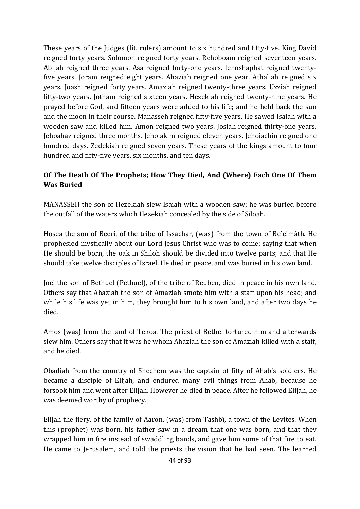These years of the Judges (lit. rulers) amount to six hundred and fifty-five. King David reigned forty years. Solomon reigned forty years. Rehoboam reigned seventeen years. Abijah reigned three years. Asa reigned forty-one years. Jehoshaphat reigned twentyfive years. Joram reigned eight years. Ahaziah reigned one year. Athaliah reigned six years. Joash reigned forty years. Amaziah reigned twenty-three years. Uzziah reigned fifty-two years. Jotham reigned sixteen years. Hezekiah reigned twenty-nine years. He prayed before God, and fifteen years were added to his life; and he held back the sun and the moon in their course. Manasseh reigned fifty-five years. He sawed Isaiah with a wooden saw and killed him. Amon reigned two years. Josiah reigned thirty-one years. Jehoahaz reigned three months. Jehoiakim reigned eleven years. Jehoiachin reigned one hundred days. Zedekiah reigned seven years. These years of the kings amount to four hundred and fifty-five years, six months, and ten days.

#### **Of The Death Of The Prophets; How They Died, And (Where) Each One Of Them Was Buried**

MANASSEH the son of Hezekiah slew Isaiah with a wooden saw; he was buried before the outfall of the waters which Hezekiah concealed by the side of Siloah.

Hosea the son of Beeri, of the tribe of Issachar, (was) from the town of Be`elmâth. He prophesied mystically about our Lord Jesus Christ who was to come; saying that when He should be born, the oak in Shiloh should be divided into twelve parts; and that He should take twelve disciples of Israel. He died in peace, and was buried in his own land.

Joel the son of Bethuel (Pethuel), of the tribe of Reuben, died in peace in his own land. Others say that Ahaziah the son of Amaziah smote him with a staff upon his head; and while his life was yet in him, they brought him to his own land, and after two days he died.

Amos (was) from the land of Tekoa. The priest of Bethel tortured him and afterwards slew him. Others say that it was he whom Ahaziah the son of Amaziah killed with a staff, and he died.

Obadiah from the country of Shechem was the captain of fifty of Ahab's soldiers. He became a disciple of Elijah, and endured many evil things from Ahab, because he forsook him and went after Elijah. However he died in peace. After he followed Elijah, he was deemed worthy of prophecy.

Elijah the fiery, of the family of Aaron, (was) from Tashbî, a town of the Levites. When this (prophet) was born, his father saw in a dream that one was born, and that they wrapped him in fire instead of swaddling bands, and gave him some of that fire to eat. He came to Jerusalem, and told the priests the vision that he had seen. The learned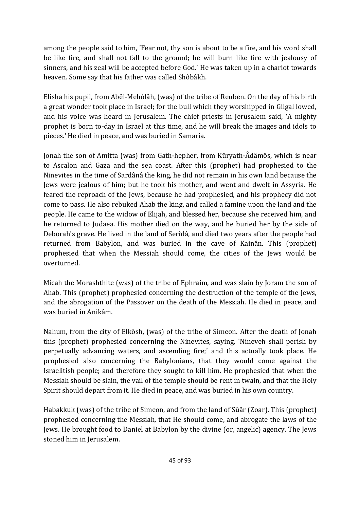among the people said to him, 'Fear not, thy son is about to be a fire, and his word shall be like fire, and shall not fall to the ground; he will burn like fire with jealousy of sinners, and his zeal will be accepted before God.' He was taken up in a chariot towards heaven. Some say that his father was called Shôbâkh.

Elisha his pupil, from Abêl-Mehôlâh, (was) of the tribe of Reuben. On the day of his birth a great wonder took place in Israel; for the bull which they worshipped in Gilgal lowed, and his voice was heard in Jerusalem. The chief priests in Jerusalem said, 'A mighty prophet is born to-day in Israel at this time, and he will break the images and idols to pieces.' He died in peace, and was buried in Samaria.

Jonah the son of Amitta (was) from Gath-hepher, from Kûryath-Âdâmôs, which is near to Ascalon and Gaza and the sea coast. After this (prophet) had prophesied to the Ninevites in the time of Sardânâ the king, he did not remain in his own land because the Jews were jealous of him; but he took his mother, and went and dwelt in Assyria. He feared the reproach of the Jews, because he had prophesied, and his prophecy did not come to pass. He also rebuked Ahab the king, and called a famine upon the land and the people. He came to the widow of Elijah, and blessed her, because she received him, and he returned to Judaea. His mother died on the way, and he buried her by the side of Deborah's grave. He lived in the land of Serîdâ, and died two years after the people had returned from Babylon, and was buried in the cave of Kainân. This (prophet) prophesied that when the Messiah should come, the cities of the Jews would be overturned.

Micah the Morashthite (was) of the tribe of Ephraim, and was slain by Joram the son of Ahab. This (prophet) prophesied concerning the destruction of the temple of the Jews, and the abrogation of the Passover on the death of the Messiah. He died in peace, and was buried in Anikâm.

Nahum, from the city of Elkôsh, (was) of the tribe of Simeon. After the death of Jonah this (prophet) prophesied concerning the Ninevites, saying, 'Nineveh shall perish by perpetually advancing waters, and ascending fire;' and this actually took place. He prophesied also concerning the Babylonians, that they would come against the Israelitish people; and therefore they sought to kill him. He prophesied that when the Messiah should be slain, the vail of the temple should be rent in twain, and that the Holy Spirit should depart from it. He died in peace, and was buried in his own country.

Habakkuk (was) of the tribe of Simeon, and from the land of Sûâr (Zoar). This (prophet) prophesied concerning the Messiah, that He should come, and abrogate the laws of the Jews. He brought food to Daniel at Babylon by the divine (or, angelic) agency. The Jews stoned him in Jerusalem.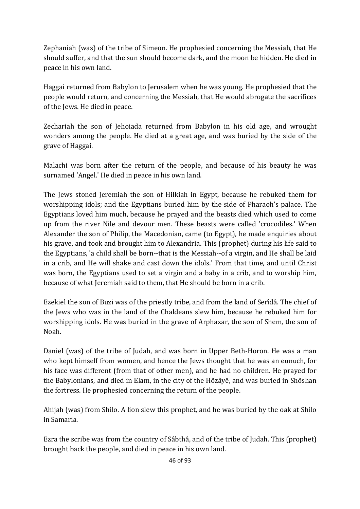Zephaniah (was) of the tribe of Simeon. He prophesied concerning the Messiah, that He should suffer, and that the sun should become dark, and the moon be hidden. He died in peace in his own land.

Haggai returned from Babylon to Jerusalem when he was young. He prophesied that the people would return, and concerning the Messiah, that He would abrogate the sacrifices of the Jews. He died in peace.

Zechariah the son of Jehoiada returned from Babylon in his old age, and wrought wonders among the people. He died at a great age, and was buried by the side of the grave of Haggai.

Malachi was born after the return of the people, and because of his beauty he was surnamed 'Angel.' He died in peace in his own land.

The Jews stoned Jeremiah the son of Hilkiah in Egypt, because he rebuked them for worshipping idols; and the Egyptians buried him by the side of Pharaoh's palace. The Egyptians loved him much, because he prayed and the beasts died which used to come up from the river Nile and devour men. These beasts were called 'crocodiles.' When Alexander the son of Philip, the Macedonian, came (to Egypt), he made enquiries about his grave, and took and brought him to Alexandria. This (prophet) during his life said to the Egyptians, 'a child shall be born--that is the Messiah--of a virgin, and He shall be laid in a crib, and He will shake and cast down the idols.' From that time, and until Christ was born, the Egyptians used to set a virgin and a baby in a crib, and to worship him, because of what Jeremiah said to them, that He should be born in a crib.

Ezekiel the son of Buzi was of the priestly tribe, and from the land of Serîdâ. The chief of the Jews who was in the land of the Chaldeans slew him, because he rebuked him for worshipping idols. He was buried in the grave of Arphaxar, the son of Shem, the son of Noah.

Daniel (was) of the tribe of Judah, and was born in Upper Beth-Horon. He was a man who kept himself from women, and hence the Jews thought that he was an eunuch, for his face was different (from that of other men), and he had no children. He prayed for the Babylonians, and died in Elam, in the city of the Hôzâyê, and was buried in Shôshan the fortress. He prophesied concerning the return of the people.

Ahijah (was) from Shilo. A lion slew this prophet, and he was buried by the oak at Shilo in Samaria.

Ezra the scribe was from the country of Sâbthâ, and of the tribe of Judah. This (prophet) brought back the people, and died in peace in his own land.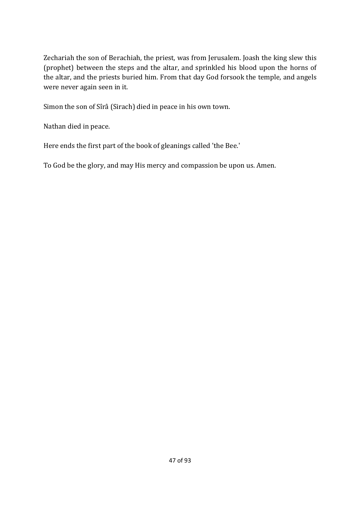Zechariah the son of Berachiah, the priest, was from Jerusalem. Joash the king slew this (prophet) between the steps and the altar, and sprinkled his blood upon the horns of the altar, and the priests buried him. From that day God forsook the temple, and angels were never again seen in it.

Simon the son of Sîrâ (Sirach) died in peace in his own town.

Nathan died in peace.

Here ends the first part of the book of gleanings called 'the Bee.'

To God be the glory, and may His mercy and compassion be upon us. Amen.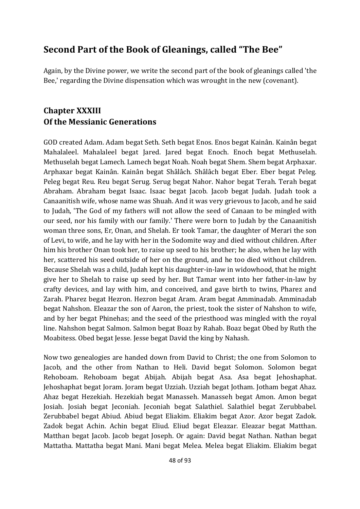# **Second Part of the Book of Gleanings, called "The Bee"**

Again, by the Divine power, we write the second part of the book of gleanings called 'the Bee,' regarding the Divine dispensation which was wrought in the new (covenant).

## **Chapter XXXIII Of the Messianic Generations**

GOD created Adam. Adam begat Seth. Seth begat Enos. Enos begat Kainân. Kainân begat Mahalaleel. Mahalaleel begat Jared. Jared begat Enoch. Enoch begat Methuselah. Methuselah begat Lamech. Lamech begat Noah. Noah begat Shem. Shem begat Arphaxar. Arphaxar begat Kainân. Kainân begat Shâlâch. Shâlâch begat Eber. Eber begat Peleg. Peleg begat Reu. Reu begat Serug. Serug begat Nahor. Nahor begat Terah. Terah begat Abraham. Abraham begat Isaac. Isaac begat Jacob. Jacob begat Judah. Judah took a Canaanitish wife, whose name was Shuah. And it was very grievous to Jacob, and he said to Judah, 'The God of my fathers will not allow the seed of Canaan to be mingled with our seed, nor his family with our family.' There were born to Judah by the Canaanitish woman three sons, Er, Onan, and Shelah. Er took Tamar, the daughter of Merari the son of Levi, to wife, and he lay with her in the Sodomite way and died without children. After him his brother Onan took her, to raise up seed to his brother; he also, when he lay with her, scattered his seed outside of her on the ground, and he too died without children. Because Shelah was a child, Judah kept his daughter-in-law in widowhood, that he might give her to Shelah to raise up seed by her. But Tamar went into her father-in-law by crafty devices, and lay with him, and conceived, and gave birth to twins, Pharez and Zarah. Pharez begat Hezron. Hezron begat Aram. Aram begat Amminadab. Amminadab begat Nahshon. Eleazar the son of Aaron, the priest, took the sister of Nahshon to wife, and by her begat Phinehas; and the seed of the priesthood was mingled with the royal line. Nahshon begat Salmon. Salmon begat Boaz by Rahab. Boaz begat Obed by Ruth the Moabitess. Obed begat Jesse. Jesse begat David the king by Nahash.

Now two genealogies are handed down from David to Christ; the one from Solomon to Jacob, and the other from Nathan to Heli. David begat Solomon. Solomon begat Rehoboam. Rehoboam begat Abijah. Abijah begat Asa. Asa begat Jehoshaphat. Jehoshaphat begat Joram. Joram begat Uzziah. Uzziah begat Jotham. Jotham begat Ahaz. Ahaz begat Hezekiah. Hezekiah begat Manasseh. Manasseh begat Amon. Amon begat Josiah. Josiah begat Jeconiah. Jeconiah begat Salathiel. Salathiel begat Zerubbabel. Zerubbabel begat Abiud. Abiud begat Eliakim. Eliakim begat Azor. Azor begat Zadok. Zadok begat Achin. Achin begat Eliud. Eliud begat Eleazar. Eleazar begat Matthan. Matthan begat Jacob. Jacob begat Joseph. Or again: David begat Nathan. Nathan begat Mattatha. Mattatha begat Mani. Mani begat Melea. Melea begat Eliakim. Eliakim begat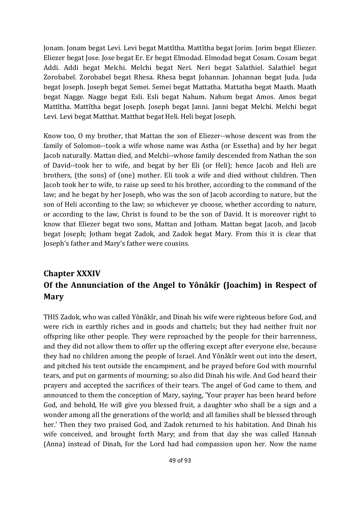Jonam. Jonam begat Levi. Levi begat Mattîtha. Mattîtha begat Jorim. Jorim begat Eliezer. Eliezer begat Jose. Jose begat Er. Er begat Elmodad. Elmodad begat Cosam. Cosam begat Addi. Addi begat Melchi. Melchi begat Neri. Neri begat Salathiel. Salathiel begat Zorobabel. Zorobabel begat Rhesa. Rhesa begat Johannan. Johannan begat Juda. Juda begat Joseph. Joseph begat Semei. Semei begat Mattatha. Mattatha begat Maath. Maath begat Nagge. Nagge begat Esli. Esli begat Nahum. Nahum begat Amos. Amos begat Mattîtha. Mattîtha begat Joseph. Joseph begat Janni. Janni begat Melchi. Melchi begat Levi. Levi begat Matthat. Matthat begat Heli. Heli begat Joseph.

Know too, O my brother, that Mattan the son of Eliezer--whose descent was from the family of Solomon--took a wife whose name was Astha (or Essetha) and by her begat Jacob naturally. Mattan died, and Melchi--whose family descended from Nathan the son of David--took her to wife, and begat by her Eli (or Heli); hence Jacob and Heli are brothers, (the sons) of (one) mother. Eli took a wife and died without children. Then Jacob took her to wife, to raise up seed to his brother, according to the command of the law; and he begat by her Joseph, who was the son of Jacob according to nature, but the son of Heli according to the law; so whichever ye choose, whether according to nature, or according to the law, Christ is found to be the son of David. It is moreover right to know that Eliezer begat two sons, Mattan and Jotham. Mattan begat Jacob, and Jacob begat Joseph; Jotham begat Zadok, and Zadok begat Mary. From this it is clear that Joseph's father and Mary's father were cousins.

# **Chapter XXXIV Of the Annunciation of the Angel to Yônâkîr (Joachim) in Respect of Mary**

THIS Zadok, who was called Yônâkîr, and Dinah his wife were righteous before God, and were rich in earthly riches and in goods and chattels; but they had neither fruit nor offspring like other people. They were reproached by the people for their barrenness, and they did not allow them to offer up the offering except after everyone else, because they had no children among the people of Israel. And Yônâkîr went out into the desert, and pitched his tent outside the encampment, and he prayed before God with mournful tears, and put on garments of mourning; so also did Dinah his wife. And God heard their prayers and accepted the sacrifices of their tears. The angel of God came to them, and announced to them the conception of Mary, saying, 'Your prayer has been heard before God, and behold, He will give you blessed fruit, a daughter who shall be a sign and a wonder among all the generations of the world; and all families shall be blessed through her.' Then they two praised God, and Zadok returned to his habitation. And Dinah his wife conceived, and brought forth Mary; and from that day she was called Hannah (Anna) instead of Dinah, for the Lord had had compassion upon her. Now the name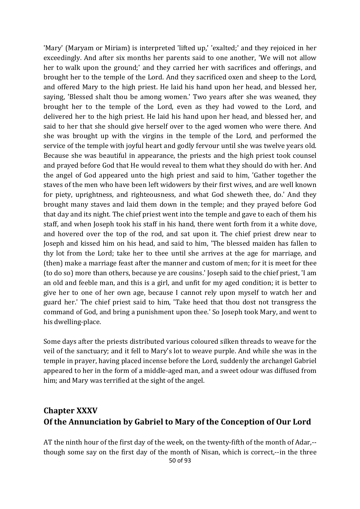'Mary' (Maryam or Miriam) is interpreted 'lifted up,' 'exalted;' and they rejoiced in her exceedingly. And after six months her parents said to one another, 'We will not allow her to walk upon the ground;' and they carried her with sacrifices and offerings, and brought her to the temple of the Lord. And they sacrificed oxen and sheep to the Lord, and offered Mary to the high priest. He laid his hand upon her head, and blessed her, saying, 'Blessed shalt thou be among women.' Two years after she was weaned, they brought her to the temple of the Lord, even as they had vowed to the Lord, and delivered her to the high priest. He laid his hand upon her head, and blessed her, and said to her that she should give herself over to the aged women who were there. And she was brought up with the virgins in the temple of the Lord, and performed the service of the temple with joyful heart and godly fervour until she was twelve years old. Because she was beautiful in appearance, the priests and the high priest took counsel and prayed before God that He would reveal to them what they should do with her. And the angel of God appeared unto the high priest and said to him, 'Gather together the staves of the men who have been left widowers by their first wives, and are well known for piety, uprightness, and righteousness, and what God sheweth thee, do.' And they brought many staves and laid them down in the temple; and they prayed before God that day and its night. The chief priest went into the temple and gave to each of them his staff, and when Joseph took his staff in his hand, there went forth from it a white dove, and hovered over the top of the rod, and sat upon it. The chief priest drew near to Joseph and kissed him on his head, and said to him, 'The blessed maiden has fallen to thy lot from the Lord; take her to thee until she arrives at the age for marriage, and (then) make a marriage feast after the manner and custom of men; for it is meet for thee (to do so) more than others, because ye are cousins.' Joseph said to the chief priest, 'I am an old and feeble man, and this is a girl, and unfit for my aged condition; it is better to give her to one of her own age, because I cannot rely upon myself to watch her and guard her.' The chief priest said to him, 'Take heed that thou dost not transgress the command of God, and bring a punishment upon thee.' So Joseph took Mary, and went to his dwelling-place.

Some days after the priests distributed various coloured silken threads to weave for the veil of the sanctuary; and it fell to Mary's lot to weave purple. And while she was in the temple in prayer, having placed incense before the Lord, suddenly the archangel Gabriel appeared to her in the form of a middle-aged man, and a sweet odour was diffused from him; and Mary was terrified at the sight of the angel.

## **Chapter XXXV Of the Annunciation by Gabriel to Mary of the Conception of Our Lord**

AT the ninth hour of the first day of the week, on the twenty-fifth of the month of Adar,- though some say on the first day of the month of Nisan, which is correct,--in the three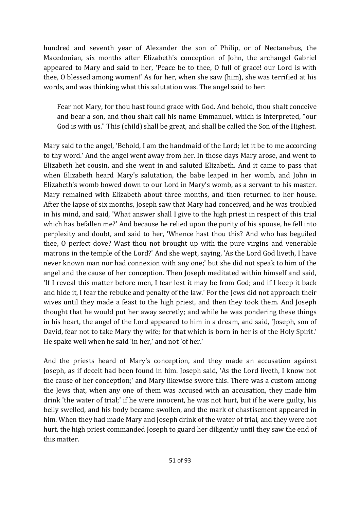hundred and seventh year of Alexander the son of Philip, or of Nectanebus, the Macedonian, six months after Elizabeth's conception of John, the archangel Gabriel appeared to Mary and said to her, 'Peace be to thee, O full of grace! our Lord is with thee, O blessed among women!' As for her, when she saw (him), she was terrified at his words, and was thinking what this salutation was. The angel said to her:

Fear not Mary, for thou hast found grace with God. And behold, thou shalt conceive and bear a son, and thou shalt call his name Emmanuel, which is interpreted, "our God is with us." This (child) shall be great, and shall be called the Son of the Highest.

Mary said to the angel, 'Behold, I am the handmaid of the Lord; let it be to me according to thy word.' And the angel went away from her. In those days Mary arose, and went to Elizabeth het cousin, and she went in and saluted Elizabeth. And it came to pass that when Elizabeth heard Mary's salutation, the babe leaped in her womb, and John in Elizabeth's womb bowed down to our Lord in Mary's womb, as a servant to his master. Mary remained with Elizabeth about three months, and then returned to her house. After the lapse of six months, Joseph saw that Mary had conceived, and he was troubled in his mind, and said, 'What answer shall I give to the high priest in respect of this trial which has befallen me?' And because he relied upon the purity of his spouse, he fell into perplexity and doubt, and said to her, 'Whence hast thou this? And who has beguiled thee, O perfect dove? Wast thou not brought up with the pure virgins and venerable matrons in the temple of the Lord?' And she wept, saying, 'As the Lord God liveth, I have never known man nor had connexion with any one;' but she did not speak to him of the angel and the cause of her conception. Then Joseph meditated within himself and said, 'If I reveal this matter before men, I fear lest it may be from God; and if I keep it back and hide it, I fear the rebuke and penalty of the law.' For the Jews did not approach their wives until they made a feast to the high priest, and then they took them. And Joseph thought that he would put her away secretly; and while he was pondering these things in his heart, the angel of the Lord appeared to him in a dream, and said, 'Joseph, son of David, fear not to take Mary thy wife; for that which is born in her is of the Holy Spirit.' He spake well when he said 'in her,' and not 'of her.'

And the priests heard of Mary's conception, and they made an accusation against Joseph, as if deceit had been found in him. Joseph said, 'As the Lord liveth, I know not the cause of her conception;' and Mary likewise swore this. There was a custom among the Jews that, when any one of them was accused with an accusation, they made him drink 'the water of trial;' if he were innocent, he was not hurt, but if he were guilty, his belly swelled, and his body became swollen, and the mark of chastisement appeared in him. When they had made Mary and Joseph drink of the water of trial, and they were not hurt, the high priest commanded Joseph to guard her diligently until they saw the end of this matter.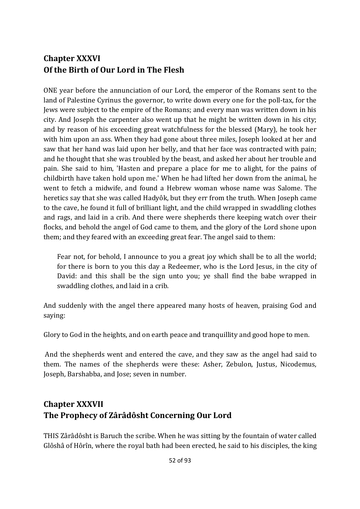## **Chapter XXXVI Of the Birth of Our Lord in The Flesh**

ONE year before the annunciation of our Lord, the emperor of the Romans sent to the land of Palestine Cyrinus the governor, to write down every one for the poll-tax, for the Jews were subject to the empire of the Romans; and every man was written down in his city. And Joseph the carpenter also went up that he might be written down in his city; and by reason of his exceeding great watchfulness for the blessed (Mary), he took her with him upon an ass. When they had gone about three miles, Joseph looked at her and saw that her hand was laid upon her belly, and that her face was contracted with pain; and he thought that she was troubled by the beast, and asked her about her trouble and pain. She said to him, 'Hasten and prepare a place for me to alight, for the pains of childbirth have taken hold upon me.' When he had lifted her down from the animal, he went to fetch a midwife, and found a Hebrew woman whose name was Salome. The heretics say that she was called Hadyôk, but they err from the truth. When Joseph came to the cave, he found it full of brilliant light, and the child wrapped in swaddling clothes and rags, and laid in a crib. And there were shepherds there keeping watch over their flocks, and behold the angel of God came to them, and the glory of the Lord shone upon them; and they feared with an exceeding great fear. The angel said to them:

Fear not, for behold, I announce to you a great joy which shall be to all the world; for there is born to you this day a Redeemer, who is the Lord Jesus, in the city of David: and this shall be the sign unto you; ye shall find the babe wrapped in swaddling clothes, and laid in a crib.

And suddenly with the angel there appeared many hosts of heaven, praising God and saying:

Glory to God in the heights, and on earth peace and tranquillity and good hope to men.

And the shepherds went and entered the cave, and they saw as the angel had said to them. The names of the shepherds were these: Asher, Zebulon, Justus, Nicodemus, Joseph, Barshabba, and Jose; seven in number.

## **Chapter XXXVII The Prophecy of Zârâdôsht Concerning Our Lord**

THIS Zârâdôsht is Baruch the scribe. When he was sitting by the fountain of water called Glôshâ of Hôrîn, where the royal bath had been erected, he said to his disciples, the king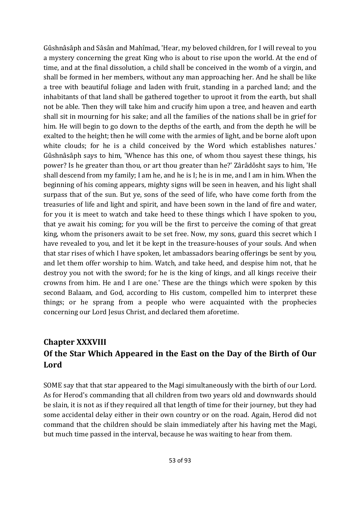Gûshnâsâph and Sâsân and Mahîmad, 'Hear, my beloved children, for I will reveal to you a mystery concerning the great King who is about to rise upon the world. At the end of time, and at the final dissolution, a child shall be conceived in the womb of a virgin, and shall be formed in her members, without any man approaching her. And he shall be like a tree with beautiful foliage and laden with fruit, standing in a parched land; and the inhabitants of that land shall be gathered together to uproot it from the earth, but shall not be able. Then they will take him and crucify him upon a tree, and heaven and earth shall sit in mourning for his sake; and all the families of the nations shall be in grief for him. He will begin to go down to the depths of the earth, and from the depth he will be exalted to the height; then he will come with the armies of light, and be borne aloft upon white clouds; for he is a child conceived by the Word which establishes natures.' Gûshnâsâph says to him, 'Whence has this one, of whom thou sayest these things, his power? Is he greater than thou, or art thou greater than he?' Zârâdôsht says to him, 'He shall descend from my family; I am he, and he is I; he is in me, and I am in him. When the beginning of his coming appears, mighty signs will be seen in heaven, and his light shall surpass that of the sun. But ye, sons of the seed of life, who have come forth from the treasuries of life and light and spirit, and have been sown in the land of fire and water, for you it is meet to watch and take heed to these things which I have spoken to you, that ye await his coming; for you will be the first to perceive the coming of that great king, whom the prisoners await to be set free. Now, my sons, guard this secret which I have revealed to you, and let it be kept in the treasure-houses of your souls. And when that star rises of which I have spoken, let ambassadors bearing offerings be sent by you, and let them offer worship to him. Watch, and take heed, and despise him not, that he destroy you not with the sword; for he is the king of kings, and all kings receive their crowns from him. He and I are one.' These are the things which were spoken by this second Balaam, and God, according to His custom, compelled him to interpret these things; or he sprang from a people who were acquainted with the prophecies concerning our Lord Jesus Christ, and declared them aforetime.

# **Chapter XXXVIII Of the Star Which Appeared in the East on the Day of the Birth of Our Lord**

SOME say that that star appeared to the Magi simultaneously with the birth of our Lord. As for Herod's commanding that all children from two years old and downwards should be slain, it is not as if they required all that length of time for their journey, but they had some accidental delay either in their own country or on the road. Again, Herod did not command that the children should be slain immediately after his having met the Magi, but much time passed in the interval, because he was waiting to hear from them.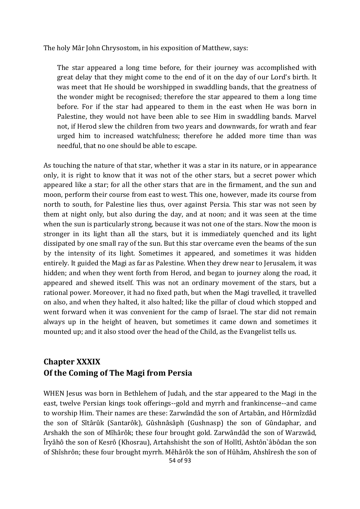The holy Mâr John Chrysostom, in his exposition of Matthew, says:

The star appeared a long time before, for their journey was accomplished with great delay that they might come to the end of it on the day of our Lord's birth. It was meet that He should be worshipped in swaddling bands, that the greatness of the wonder might be recognised; therefore the star appeared to them a long time before. For if the star had appeared to them in the east when He was born in Palestine, they would not have been able to see Him in swaddling bands. Marvel not, if Herod slew the children from two years and downwards, for wrath and fear urged him to increased watchfulness; therefore he added more time than was needful, that no one should be able to escape.

As touching the nature of that star, whether it was a star in its nature, or in appearance only, it is right to know that it was not of the other stars, but a secret power which appeared like a star; for all the other stars that are in the firmament, and the sun and moon, perform their course from east to west. This one, however, made its course from north to south, for Palestine lies thus, over against Persia. This star was not seen by them at night only, but also during the day, and at noon; and it was seen at the time when the sun is particularly strong, because it was not one of the stars. Now the moon is stronger in its light than all the stars, but it is immediately quenched and its light dissipated by one small ray of the sun. But this star overcame even the beams of the sun by the intensity of its light. Sometimes it appeared, and sometimes it was hidden entirely. It guided the Magi as far as Palestine. When they drew near to Jerusalem, it was hidden; and when they went forth from Herod, and began to journey along the road, it appeared and shewed itself. This was not an ordinary movement of the stars, but a rational power. Moreover, it had no fixed path, but when the Magi travelled, it travelled on also, and when they halted, it also halted; like the pillar of cloud which stopped and went forward when it was convenient for the camp of Israel. The star did not remain always up in the height of heaven, but sometimes it came down and sometimes it mounted up; and it also stood over the head of the Child, as the Evangelist tells us.

### **Chapter XXXIX Of the Coming of The Magi from Persia**

WHEN Jesus was born in Bethlehem of Judah, and the star appeared to the Magi in the east, twelve Persian kings took offerings--gold and myrrh and frankincense--and came to worship Him. Their names are these: Zarwândâd the son of Artabân, and Hôrmîzdâd the son of Sîtârûk (Santarôk), Gûshnâsâph (Gushnasp) the son of Gûndaphar, and Arshakh the son of Mîhârôk; these four brought gold. Zarwândâd the son of Warzwâd, Îryâhô the son of Kesrô (Khosrau), Artahshisht the son of Holîtî, Ashtôn`âbôdan the son of Shîshrôn; these four brought myrrh. Mêhârôk the son of Hûhâm, Ahshîresh the son of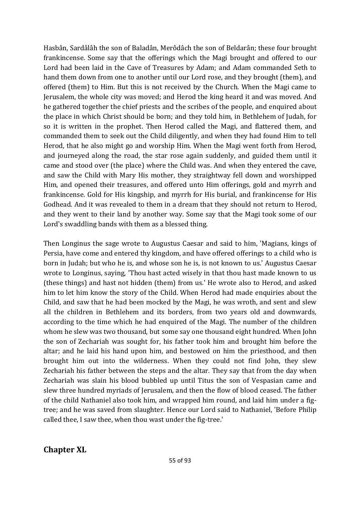Hasbân, Sardâlâh the son of Baladân, Merôdâch the son of Beldarân; these four brought frankincense. Some say that the offerings which the Magi brought and offered to our Lord had been laid in the Cave of Treasures by Adam; and Adam commanded Seth to hand them down from one to another until our Lord rose, and they brought (them), and offered (them) to Him. But this is not received by the Church. When the Magi came to Jerusalem, the whole city was moved; and Herod the king heard it and was moved. And he gathered together the chief priests and the scribes of the people, and enquired about the place in which Christ should be born; and they told him, in Bethlehem of Judah, for so it is written in the prophet. Then Herod called the Magi, and flattered them, and commanded them to seek out the Child diligently, and when they had found Him to tell Herod, that he also might go and worship Him. When the Magi went forth from Herod, and journeyed along the road, the star rose again suddenly, and guided them until it came and stood over (the place) where the Child was. And when they entered the cave, and saw the Child with Mary His mother, they straightway fell down and worshipped Him, and opened their treasures, and offered unto Him offerings, gold and myrrh and frankincense. Gold for His kingship, and myrrh for His burial, and frankincense for His Godhead. And it was revealed to them in a dream that they should not return to Herod, and they went to their land by another way. Some say that the Magi took some of our Lord's swaddling bands with them as a blessed thing.

Then Longinus the sage wrote to Augustus Caesar and said to him, 'Magians, kings of Persia, have come and entered thy kingdom, and have offered offerings to a child who is born in Judah; but who he is, and whose son he is, is not known to us.' Augustus Caesar wrote to Longinus, saying, 'Thou hast acted wisely in that thou hast made known to us (these things) and hast not hidden (them) from us.' He wrote also to Herod, and asked him to let him know the story of the Child. When Herod had made enquiries about the Child, and saw that he had been mocked by the Magi, he was wroth, and sent and slew all the children in Bethlehem and its borders, from two years old and downwards, according to the time which he had enquired of the Magi. The number of the children whom he slew was two thousand, but some say one thousand eight hundred. When John the son of Zechariah was sought for, his father took him and brought him before the altar; and he laid his hand upon him, and bestowed on him the priesthood, and then brought him out into the wilderness. When they could not find John, they slew Zechariah his father between the steps and the altar. They say that from the day when Zechariah was slain his blood bubbled up until Titus the son of Vespasian came and slew three hundred myriads of Jerusalem, and then the flow of blood ceased. The father of the child Nathaniel also took him, and wrapped him round, and laid him under a figtree; and he was saved from slaughter. Hence our Lord said to Nathaniel, 'Before Philip called thee, I saw thee, when thou wast under the fig-tree.'

#### **Chapter XL**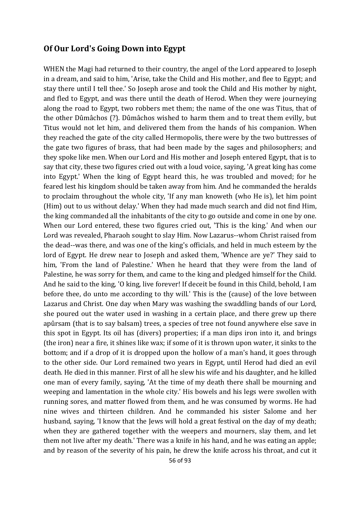#### **Of Our Lord's Going Down into Egypt**

WHEN the Magi had returned to their country, the angel of the Lord appeared to Joseph in a dream, and said to him, 'Arise, take the Child and His mother, and flee to Egypt; and stay there until I tell thee.' So Joseph arose and took the Child and His mother by night, and fled to Egypt, and was there until the death of Herod. When they were journeying along the road to Egypt, two robbers met them; the name of the one was Titus, that of the other Dûmâchos (?). Dûmâchos wished to harm them and to treat them evilly, but Titus would not let him, and delivered them from the hands of his companion. When they reached the gate of the city called Hermopolis, there were by the two buttresses of the gate two figures of brass, that had been made by the sages and philosophers; and they spoke like men. When our Lord and His mother and Joseph entered Egypt, that is to say that city, these two figures cried out with a loud voice, saying, 'A great king has come into Egypt.' When the king of Egypt heard this, he was troubled and moved; for he feared lest his kingdom should be taken away from him. And he commanded the heralds to proclaim throughout the whole city, 'If any man knoweth (who He is), let him point (Him) out to us without delay.' When they had made much search and did not find Him, the king commanded all the inhabitants of the city to go outside and come in one by one. When our Lord entered, these two figures cried out, 'This is the king.' And when our Lord was revealed, Pharaoh sought to slay Him. Now Lazarus--whom Christ raised from the dead--was there, and was one of the king's officials, and held in much esteem by the lord of Egypt. He drew near to Joseph and asked them, 'Whence are ye?' They said to him, 'From the land of Palestine.' When he heard that they were from the land of Palestine, he was sorry for them, and came to the king and pledged himself for the Child. And he said to the king, 'O king, live forever! If deceit be found in this Child, behold, I am before thee, do unto me according to thy will.' This is the (cause) of the love between Lazarus and Christ. One day when Mary was washing the swaddling bands of our Lord, she poured out the water used in washing in a certain place, and there grew up there apûrsam (that is to say balsam) trees, a species of tree not found anywhere else save in this spot in Egypt. Its oil has (divers) properties; if a man dips iron into it, and brings (the iron) near a fire, it shines like wax; if some of it is thrown upon water, it sinks to the bottom; and if a drop of it is dropped upon the hollow of a man's hand, it goes through to the other side. Our Lord remained two years in Egypt, until Herod had died an evil death. He died in this manner. First of all he slew his wife and his daughter, and he killed one man of every family, saying, 'At the time of my death there shall be mourning and weeping and lamentation in the whole city.' His bowels and his legs were swollen with running sores, and matter flowed from them, and he was consumed by worms. He had nine wives and thirteen children. And he commanded his sister Salome and her husband, saying, 'I know that the Jews will hold a great festival on the day of my death; when they are gathered together with the weepers and mourners, slay them, and let them not live after my death.' There was a knife in his hand, and he was eating an apple; and by reason of the severity of his pain, he drew the knife across his throat, and cut it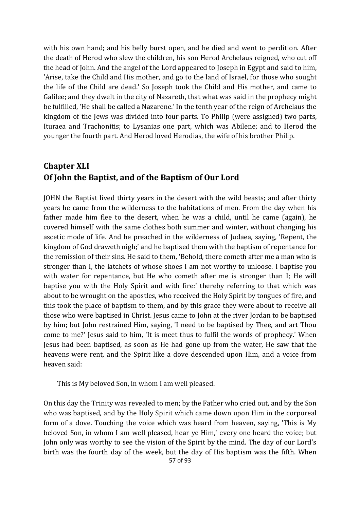with his own hand; and his belly burst open, and he died and went to perdition. After the death of Herod who slew the children, his son Herod Archelaus reigned, who cut off the head of John. And the angel of the Lord appeared to Joseph in Egypt and said to him, 'Arise, take the Child and His mother, and go to the land of Israel, for those who sought the life of the Child are dead.' So Joseph took the Child and His mother, and came to Galilee; and they dwelt in the city of Nazareth, that what was said in the prophecy might be fulfilled, 'He shall be called a Nazarene.' In the tenth year of the reign of Archelaus the kingdom of the Jews was divided into four parts. To Philip (were assigned) two parts, Ituraea and Trachonitis; to Lysanias one part, which was Abilene; and to Herod the younger the fourth part. And Herod loved Herodias, the wife of his brother Philip.

## **Chapter XLI Of John the Baptist, and of the Baptism of Our Lord**

JOHN the Baptist lived thirty years in the desert with the wild beasts; and after thirty years he came from the wilderness to the habitations of men. From the day when his father made him flee to the desert, when he was a child, until he came (again), he covered himself with the same clothes both summer and winter, without changing his ascetic mode of life. And he preached in the wilderness of Judaea, saying, 'Repent, the kingdom of God draweth nigh;' and he baptised them with the baptism of repentance for the remission of their sins. He said to them, 'Behold, there cometh after me a man who is stronger than I, the latchets of whose shoes I am not worthy to unloose. I baptise you with water for repentance, but He who cometh after me is stronger than I; He will baptise you with the Holy Spirit and with fire:' thereby referring to that which was about to be wrought on the apostles, who received the Holy Spirit by tongues of fire, and this took the place of baptism to them, and by this grace they were about to receive all those who were baptised in Christ. Jesus came to John at the river Jordan to be baptised by him; but John restrained Him, saying, 'I need to be baptised by Thee, and art Thou come to me?' Jesus said to him, 'It is meet thus to fulfil the words of prophecy.' When Jesus had been baptised, as soon as He had gone up from the water, He saw that the heavens were rent, and the Spirit like a dove descended upon Him, and a voice from heaven said:

This is My beloved Son, in whom I am well pleased.

On this day the Trinity was revealed to men; by the Father who cried out, and by the Son who was baptised, and by the Holy Spirit which came down upon Him in the corporeal form of a dove. Touching the voice which was heard from heaven, saying, 'This is My beloved Son, in whom I am well pleased, hear ye Him,' every one heard the voice; but John only was worthy to see the vision of the Spirit by the mind. The day of our Lord's birth was the fourth day of the week, but the day of His baptism was the fifth. When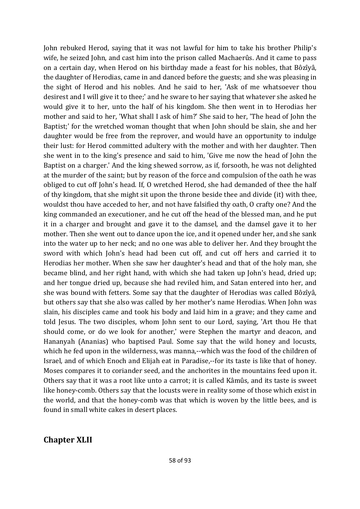John rebuked Herod, saying that it was not lawful for him to take his brother Philip's wife, he seized John, and cast him into the prison called Machaerûs. And it came to pass on a certain day, when Herod on his birthday made a feast for his nobles, that Bôzîyâ, the daughter of Herodias, came in and danced before the guests; and she was pleasing in the sight of Herod and his nobles. And he said to her, 'Ask of me whatsoever thou desirest and I will give it to thee;' and he sware to her saying that whatever she asked he would give it to her, unto the half of his kingdom. She then went in to Herodias her mother and said to her, 'What shall I ask of him?' She said to her, 'The head of John the Baptist;' for the wretched woman thought that when John should be slain, she and her daughter would be free from the reprover, and would have an opportunity to indulge their lust: for Herod committed adultery with the mother and with her daughter. Then she went in to the king's presence and said to him, 'Give me now the head of John the Baptist on a charger.' And the king shewed sorrow, as if, forsooth, he was not delighted at the murder of the saint; but by reason of the force and compulsion of the oath he was obliged to cut off John's head. If, O wretched Herod, she had demanded of thee the half of thy kingdom, that she might sit upon the throne beside thee and divide (it) with thee, wouldst thou have acceded to her, and not have falsified thy oath, O crafty one? And the king commanded an executioner, and he cut off the head of the blessed man, and he put it in a charger and brought and gave it to the damsel, and the damsel gave it to her mother. Then she went out to dance upon the ice, and it opened under her, and she sank into the water up to her neck; and no one was able to deliver her. And they brought the sword with which John's head had been cut off, and cut off hers and carried it to Herodias her mother. When she saw her daughter's head and that of the holy man, she became blind, and her right hand, with which she had taken up John's head, dried up; and her tongue dried up, because she had reviled him, and Satan entered into her, and she was bound with fetters. Some say that the daughter of Herodias was called Bôzîyâ, but others say that she also was called by her mother's name Herodias. When John was slain, his disciples came and took his body and laid him in a grave; and they came and told Jesus. The two disciples, whom John sent to our Lord, saying, 'Art thou He that should come, or do we look for another,' were Stephen the martyr and deacon, and Hananyah (Ananias) who baptised Paul. Some say that the wild honey and locusts, which he fed upon in the wilderness, was manna,--which was the food of the children of Israel, and of which Enoch and Elijah eat in Paradise,--for its taste is like that of honey. Moses compares it to coriander seed, and the anchorites in the mountains feed upon it. Others say that it was a root like unto a carrot; it is called Kâmûs, and its taste is sweet like honey-comb. Others say that the locusts were in reality some of those which exist in the world, and that the honey-comb was that which is woven by the little bees, and is found in small white cakes in desert places.

#### **Chapter XLII**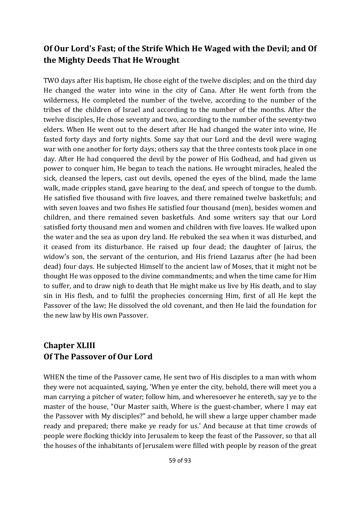### **Of Our Lord's Fast; of the Strife Which He Waged with the Devil; and Of the Mighty Deeds That He Wrought**

TWO days after His baptism, He chose eight of the twelve disciples; and on the third day He changed the water into wine in the city of Cana. After He went forth from the wilderness, He completed the number of the twelve, according to the number of the tribes of the children of Israel and according to the number of the months. After the twelve disciples, He chose seventy and two, according to the number of the seventy-two elders. When He went out to the desert after He had changed the water into wine, He fasted forty days and forty nights. Some say that our Lord and the devil were waging war with one another for forty days; others say that the three contests took place in one day. After He had conquered the devil by the power of His Godhead, and had given us power to conquer him, He began to teach the nations. He wrought miracles, healed the sick, cleansed the lepers, cast out devils, opened the eyes of the blind, made the lame walk, made cripples stand, gave hearing to the deaf, and speech of tongue to the dumb. He satisfied five thousand with five loaves, and there remained twelve basketfuls; and with seven loaves and two fishes He satisfied four thousand (men), besides women and children, and there remained seven basketfuls. And some writers say that our Lord satisfied forty thousand men and women and children with five loaves. He walked upon the water and the sea as upon dry land. He rebuked the sea when it was disturbed, and it ceased from its disturbance. He raised up four dead; the daughter of Jairus, the widow's son, the servant of the centurion, and His friend Lazarus after (he had been dead) four days. He subjected Himself to the ancient law of Moses, that it might not be thought He was opposed to the divine commandments; and when the time came for Him to suffer, and to draw nigh to death that He might make us live by His death, and to slay sin in His flesh, and to fulfil the prophecies concerning Him, first of all He kept the Passover of the law; He dissolved the old covenant, and then He laid the foundation for the new law by His own Passover.

### **Chapter XLIII Of The Passover of Our Lord**

WHEN the time of the Passover came, He sent two of His disciples to a man with whom they were not acquainted, saying, 'When ye enter the city, behold, there will meet you a man carrying a pitcher of water; follow him, and wheresoever he entereth, say ye to the master of the house, "Our Master saith, Where is the guest-chamber, where I may eat the Passover with My disciples?" and behold, he will shew a large upper chamber made ready and prepared; there make ye ready for us.' And because at that time crowds of people were flocking thickly into Jerusalem to keep the feast of the Passover, so that all the houses of the inhabitants of Jerusalem were filled with people by reason of the great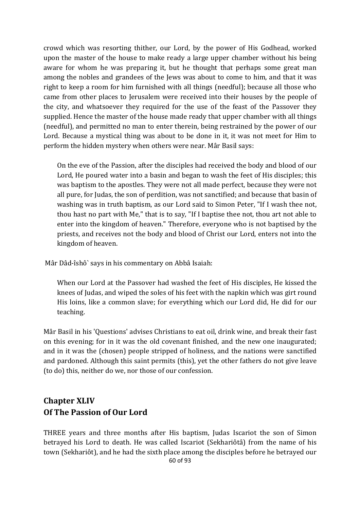crowd which was resorting thither, our Lord, by the power of His Godhead, worked upon the master of the house to make ready a large upper chamber without his being aware for whom he was preparing it, but he thought that perhaps some great man among the nobles and grandees of the Jews was about to come to him, and that it was right to keep a room for him furnished with all things (needful); because all those who came from other places to Jerusalem were received into their houses by the people of the city, and whatsoever they required for the use of the feast of the Passover they supplied. Hence the master of the house made ready that upper chamber with all things (needful), and permitted no man to enter therein, being restrained by the power of our Lord. Because a mystical thing was about to be done in it, it was not meet for Him to perform the hidden mystery when others were near. Mâr Basil says:

On the eve of the Passion, after the disciples had received the body and blood of our Lord, He poured water into a basin and began to wash the feet of His disciples; this was baptism to the apostles. They were not all made perfect, because they were not all pure, for Judas, the son of perdition, was not sanctified; and because that basin of washing was in truth baptism, as our Lord said to Simon Peter, "If I wash thee not, thou hast no part with Me," that is to say, "If I baptise thee not, thou art not able to enter into the kingdom of heaven." Therefore, everyone who is not baptised by the priests, and receives not the body and blood of Christ our Lord, enters not into the kingdom of heaven.

Mâr Dâd-îshô` says in his commentary on Abbâ Isaiah:

When our Lord at the Passover had washed the feet of His disciples, He kissed the knees of Judas, and wiped the soles of his feet with the napkin which was girt round His loins, like a common slave; for everything which our Lord did, He did for our teaching.

Mâr Basil in his 'Questions' advises Christians to eat oil, drink wine, and break their fast on this evening; for in it was the old covenant finished, and the new one inaugurated; and in it was the (chosen) people stripped of holiness, and the nations were sanctified and pardoned. Although this saint permits (this), yet the other fathers do not give leave (to do) this, neither do we, nor those of our confession.

## **Chapter XLIV Of The Passion of Our Lord**

THREE years and three months after His baptism, Judas Iscariot the son of Simon betrayed his Lord to death. He was called Iscariot (Sekhariôtâ) from the name of his town (Sekhariôt), and he had the sixth place among the disciples before he betrayed our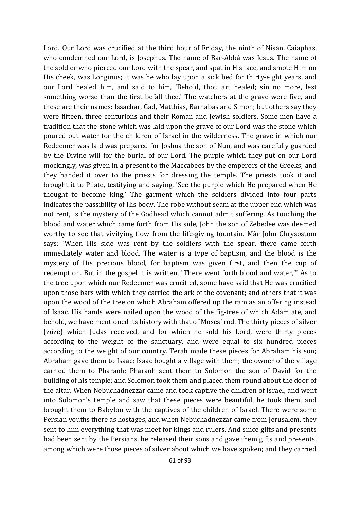Lord. Our Lord was crucified at the third hour of Friday, the ninth of Nisan. Caiaphas, who condemned our Lord, is Josephus. The name of Bar-Abbâ was Jesus. The name of the soldier who pierced our Lord with the spear, and spat in His face, and smote Him on His cheek, was Longinus; it was he who lay upon a sick bed for thirty-eight years, and our Lord healed him, and said to him, 'Behold, thou art healed; sin no more, lest something worse than the first befall thee.' The watchers at the grave were five, and these are their names: Issachar, Gad, Matthias, Barnabas and Simon; but others say they were fifteen, three centurions and their Roman and Jewish soldiers. Some men have a tradition that the stone which was laid upon the grave of our Lord was the stone which poured out water for the children of Israel in the wilderness. The grave in which our Redeemer was laid was prepared for Joshua the son of Nun, and was carefully guarded by the Divine will for the burial of our Lord. The purple which they put on our Lord mockingly, was given in a present to the Maccabees by the emperors of the Greeks; and they handed it over to the priests for dressing the temple. The priests took it and brought it to Pilate, testifying and saying, 'See the purple which He prepared when He thought to become king,' The garment which the soldiers divided into four parts indicates the passibility of His body, The robe without seam at the upper end which was not rent, is the mystery of the Godhead which cannot admit suffering. As touching the blood and water which came forth from His side, John the son of Zebedee was deemed worthy to see that vivifying flow from the life-giving fountain. Mâr John Chrysostom says: 'When His side was rent by the soldiers with the spear, there came forth immediately water and blood. The water is a type of baptism, and the blood is the mystery of His precious blood, for baptism was given first, and then the cup of redemption. But in the gospel it is written, "There went forth blood and water,"' As to the tree upon which our Redeemer was crucified, some have said that He was crucified upon those bars with which they carried the ark of the covenant; and others that it was upon the wood of the tree on which Abraham offered up the ram as an offering instead of Isaac. His hands were nailed upon the wood of the fig-tree of which Adam ate, and behold, we have mentioned its history with that of Moses' rod. The thirty pieces of silver (zûzê) which Judas received, and for which he sold his Lord, were thirty pieces according to the weight of the sanctuary, and were equal to six hundred pieces according to the weight of our country. Terah made these pieces for Abraham his son; Abraham gave them to Isaac; Isaac bought a village with them; the owner of the village carried them to Pharaoh; Pharaoh sent them to Solomon the son of David for the building of his temple; and Solomon took them and placed them round about the door of the altar. When Nebuchadnezzar came and took captive the children of Israel, and went into Solomon's temple and saw that these pieces were beautiful, he took them, and brought them to Babylon with the captives of the children of Israel. There were some Persian youths there as hostages, and when Nebuchadnezzar came from Jerusalem, they sent to him everything that was meet for kings and rulers. And since gifts and presents had been sent by the Persians, he released their sons and gave them gifts and presents, among which were those pieces of silver about which we have spoken; and they carried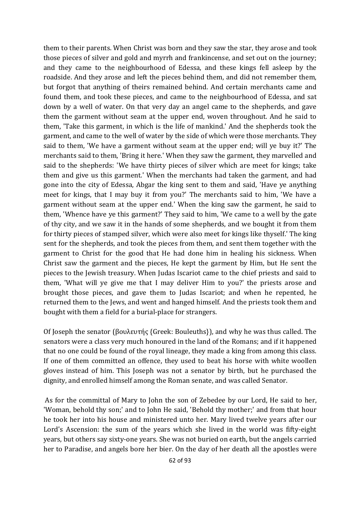them to their parents. When Christ was born and they saw the star, they arose and took those pieces of silver and gold and myrrh and frankincense, and set out on the journey; and they came to the neighbourhood of Edessa, and these kings fell asleep by the roadside. And they arose and left the pieces behind them, and did not remember them, but forgot that anything of theirs remained behind. And certain merchants came and found them, and took these pieces, and came to the neighbourhood of Edessa, and sat down by a well of water. On that very day an angel came to the shepherds, and gave them the garment without seam at the upper end, woven throughout. And he said to them, 'Take this garment, in which is the life of mankind.' And the shepherds took the garment, and came to the well of water by the side of which were those merchants. They said to them, 'We have a garment without seam at the upper end; will ye buy it?' The merchants said to them, 'Bring it here.' When they saw the garment, they marvelled and said to the shepherds: 'We have thirty pieces of silver which are meet for kings; take them and give us this garment.' When the merchants had taken the garment, and had gone into the city of Edessa, Abgar the king sent to them and said, 'Have ye anything meet for kings, that I may buy it from you?' The merchants said to him, 'We have a garment without seam at the upper end.' When the king saw the garment, he said to them, 'Whence have ye this garment?' They said to him, 'We came to a well by the gate of thy city, and we saw it in the hands of some shepherds, and we bought it from them for thirty pieces of stamped silver, which were also meet for kings like thyself.' The king sent for the shepherds, and took the pieces from them, and sent them together with the garment to Christ for the good that He had done him in healing his sickness. When Christ saw the garment and the pieces, He kept the garment by Him, but He sent the pieces to the Jewish treasury. When Judas Iscariot came to the chief priests and said to them, 'What will ye give me that I may deliver Him to you?' the priests arose and brought those pieces, and gave them to Judas Iscariot; and when he repented, he returned them to the Jews, and went and hanged himself. And the priests took them and bought with them a field for a burial-place for strangers.

Of Joseph the senator (βουλευτής {Greek: Bouleuths}), and why he was thus called. The senators were a class very much honoured in the land of the Romans; and if it happened that no one could be found of the royal lineage, they made a king from among this class. If one of them committed an offence, they used to beat his horse with white woollen gloves instead of him. This Joseph was not a senator by birth, but he purchased the dignity, and enrolled himself among the Roman senate, and was called Senator.

As for the committal of Mary to John the son of Zebedee by our Lord, He said to her, 'Woman, behold thy son;' and to John He said, 'Behold thy mother;' and from that hour he took her into his house and ministered unto her. Mary lived twelve years after our Lord's Ascension: the sum of the years which she lived in the world was fifty-eight years, but others say sixty-one years. She was not buried on earth, but the angels carried her to Paradise, and angels bore her bier. On the day of her death all the apostles were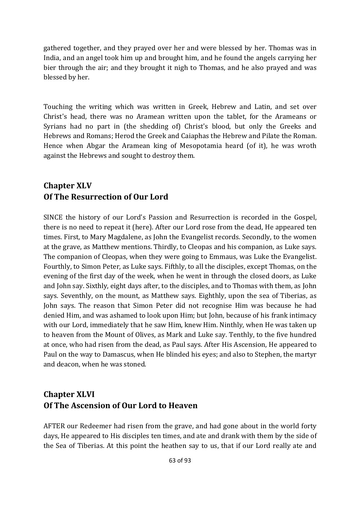gathered together, and they prayed over her and were blessed by her. Thomas was in India, and an angel took him up and brought him, and he found the angels carrying her bier through the air; and they brought it nigh to Thomas, and he also prayed and was blessed by her.

Touching the writing which was written in Greek, Hebrew and Latin, and set over Christ's head, there was no Aramean written upon the tablet, for the Arameans or Syrians had no part in (the shedding of) Christ's blood, but only the Greeks and Hebrews and Romans; Herod the Greek and Caiaphas the Hebrew and Pilate the Roman. Hence when Abgar the Aramean king of Mesopotamia heard (of it), he was wroth against the Hebrews and sought to destroy them.

### **Chapter XLV Of The Resurrection of Our Lord**

SINCE the history of our Lord's Passion and Resurrection is recorded in the Gospel, there is no need to repeat it (here). After our Lord rose from the dead, He appeared ten times. First, to Mary Magdalene, as John the Evangelist records. Secondly, to the women at the grave, as Matthew mentions. Thirdly, to Cleopas and his companion, as Luke says. The companion of Cleopas, when they were going to Emmaus, was Luke the Evangelist. Fourthly, to Simon Peter, as Luke says. Fifthly, to all the disciples, except Thomas, on the evening of the first day of the week, when he went in through the closed doors, as Luke and John say. Sixthly, eight days after, to the disciples, and to Thomas with them, as John says. Seventhly, on the mount, as Matthew says. Eighthly, upon the sea of Tiberias, as John says. The reason that Simon Peter did not recognise Him was because he had denied Him, and was ashamed to look upon Him; but John, because of his frank intimacy with our Lord, immediately that he saw Him, knew Him. Ninthly, when He was taken up to heaven from the Mount of Olives, as Mark and Luke say. Tenthly, to the five hundred at once, who had risen from the dead, as Paul says. After His Ascension, He appeared to Paul on the way to Damascus, when He blinded his eyes; and also to Stephen, the martyr and deacon, when he was stoned.

### **Chapter XLVI Of The Ascension of Our Lord to Heaven**

AFTER our Redeemer had risen from the grave, and had gone about in the world forty days, He appeared to His disciples ten times, and ate and drank with them by the side of the Sea of Tiberias. At this point the heathen say to us, that if our Lord really ate and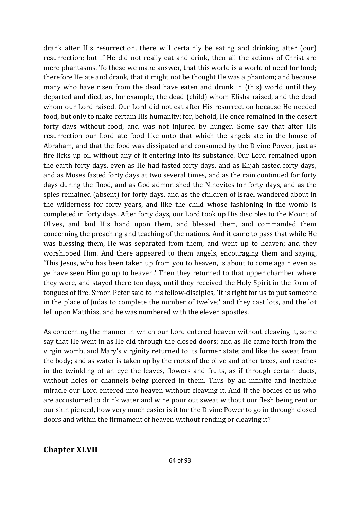drank after His resurrection, there will certainly be eating and drinking after (our) resurrection; but if He did not really eat and drink, then all the actions of Christ are mere phantasms. To these we make answer, that this world is a world of need for food; therefore He ate and drank, that it might not be thought He was a phantom; and because many who have risen from the dead have eaten and drunk in (this) world until they departed and died, as, for example, the dead (child) whom Elisha raised, and the dead whom our Lord raised. Our Lord did not eat after His resurrection because He needed food, but only to make certain His humanity: for, behold, He once remained in the desert forty days without food, and was not injured by hunger. Some say that after His resurrection our Lord ate food like unto that which the angels ate in the house of Abraham, and that the food was dissipated and consumed by the Divine Power, just as fire licks up oil without any of it entering into its substance. Our Lord remained upon the earth forty days, even as He had fasted forty days, and as Elijah fasted forty days, and as Moses fasted forty days at two several times, and as the rain continued for forty days during the flood, and as God admonished the Ninevites for forty days, and as the spies remained (absent) for forty days, and as the children of Israel wandered about in the wilderness for forty years, and like the child whose fashioning in the womb is completed in forty days. After forty days, our Lord took up His disciples to the Mount of Olives, and laid His hand upon them, and blessed them, and commanded them concerning the preaching and teaching of the nations. And it came to pass that while He was blessing them, He was separated from them, and went up to heaven; and they worshipped Him. And there appeared to them angels, encouraging them and saying, 'This Jesus, who has been taken up from you to heaven, is about to come again even as ye have seen Him go up to heaven.' Then they returned to that upper chamber where they were, and stayed there ten days, until they received the Holy Spirit in the form of tongues of fire. Simon Peter said to his fellow-disciples, 'It is right for us to put someone in the place of Judas to complete the number of twelve;' and they cast lots, and the lot fell upon Matthias, and he was numbered with the eleven apostles.

As concerning the manner in which our Lord entered heaven without cleaving it, some say that He went in as He did through the closed doors; and as He came forth from the virgin womb, and Mary's virginity returned to its former state; and like the sweat from the body; and as water is taken up by the roots of the olive and other trees, and reaches in the twinkling of an eye the leaves, flowers and fruits, as if through certain ducts, without holes or channels being pierced in them. Thus by an infinite and ineffable miracle our Lord entered into heaven without cleaving it. And if the bodies of us who are accustomed to drink water and wine pour out sweat without our flesh being rent or our skin pierced, how very much easier is it for the Divine Power to go in through closed doors and within the firmament of heaven without rending or cleaving it?

#### **Chapter XLVII**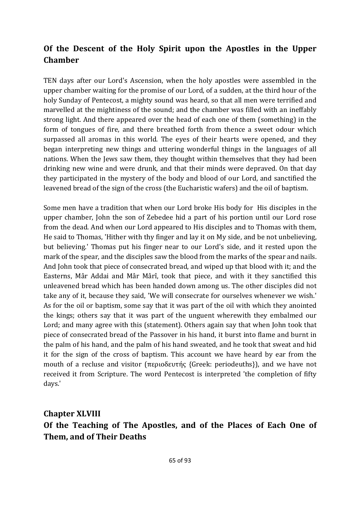## **Of the Descent of the Holy Spirit upon the Apostles in the Upper Chamber**

TEN days after our Lord's Ascension, when the holy apostles were assembled in the upper chamber waiting for the promise of our Lord, of a sudden, at the third hour of the holy Sunday of Pentecost, a mighty sound was heard, so that all men were terrified and marvelled at the mightiness of the sound; and the chamber was filled with an ineffably strong light. And there appeared over the head of each one of them (something) in the form of tongues of fire, and there breathed forth from thence a sweet odour which surpassed all aromas in this world. The eyes of their hearts were opened, and they began interpreting new things and uttering wonderful things in the languages of all nations. When the Jews saw them, they thought within themselves that they had been drinking new wine and were drunk, and that their minds were depraved. On that day they participated in the mystery of the body and blood of our Lord, and sanctified the leavened bread of the sign of the cross (the Eucharistic wafers) and the oil of baptism.

Some men have a tradition that when our Lord broke His body for His disciples in the upper chamber, John the son of Zebedee hid a part of his portion until our Lord rose from the dead. And when our Lord appeared to His disciples and to Thomas with them, He said to Thomas, 'Hither with thy finger and lay it on My side, and be not unbelieving, but believing.' Thomas put his finger near to our Lord's side, and it rested upon the mark of the spear, and the disciples saw the blood from the marks of the spear and nails. And John took that piece of consecrated bread, and wiped up that blood with it; and the Easterns, Mâr Addai and Mâr Mârî, took that piece, and with it they sanctified this unleavened bread which has been handed down among us. The other disciples did not take any of it, because they said, 'We will consecrate for ourselves whenever we wish.' As for the oil or baptism, some say that it was part of the oil with which they anointed the kings; others say that it was part of the unguent wherewith they embalmed our Lord; and many agree with this (statement). Others again say that when John took that piece of consecrated bread of the Passover in his hand, it burst into flame and burnt in the palm of his hand, and the palm of his hand sweated, and he took that sweat and hid it for the sign of the cross of baptism. This account we have heard by ear from the mouth of a recluse and visitor (περιοδευτής {Greek: periodeuths}), and we have not received it from Scripture. The word Pentecost is interpreted 'the completion of fifty days.'

#### **Chapter XLVIII**

## **Of the Teaching of The Apostles, and of the Places of Each One of Them, and of Their Deaths**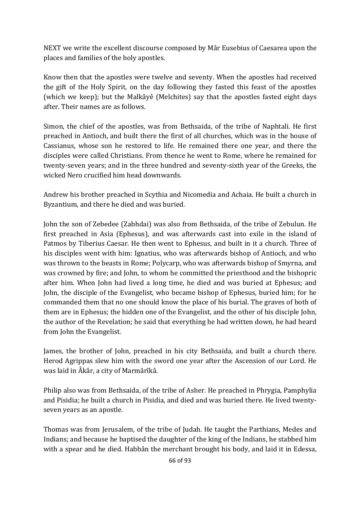NEXT we write the excellent discourse composed by Mâr Eusebius of Caesarea upon the places and families of the holy apostles.

Know then that the apostles were twelve and seventy. When the apostles had received the gift of the Holy Spirit, on the day following they fasted this feast of the apostles (which we keep); but the Malkâyê (Melchites) say that the apostles fasted eight days after. Their names are as follows.

Simon, the chief of the apostles, was from Bethsaida, of the tribe of Naphtali. He first preached in Antioch, and built there the first of all churches, which was in the house of Cassianus, whose son he restored to life. He remained there one year, and there the disciples were called Christians. From thence he went to Rome, where he remained for twenty-seven years; and in the three hundred and seventy-sixth year of the Greeks, the wicked Nero crucified him head downwards.

Andrew his brother preached in Scythia and Nicomedia and Achaia. He built a church in Byzantium, and there he died and was buried.

John the son of Zebedee (Zabhdai) was also from Bethsaida, of the tribe of Zebulun. He first preached in Asia (Ephesus), and was afterwards cast into exile in the island of Patmos by Tiberius Caesar. He then went to Ephesus, and built in it a church. Three of his disciples went with him: Ignatius, who was afterwards bishop of Antioch, and who was thrown to the beasts in Rome; Polycarp, who was afterwards bishop of Smyrna, and was crowned by fire; and John, to whom he committed the priesthood and the bishopric after him. When John had lived a long time, he died and was buried at Ephesus; and John, the disciple of the Evangelist, who became bishop of Ephesus, buried him; for he commanded them that no one should know the place of his burial. The graves of both of them are in Ephesus; the hidden one of the Evangelist, and the other of his disciple John, the author of the Revelation; he said that everything he had written down, he had heard from John the Evangelist.

James, the brother of John, preached in his city Bethsaida, and built a church there. Herod Agrippas slew him with the sword one year after the Ascension of our Lord. He was laid in Âkâr, a city of Marmârîkâ.

Philip also was from Bethsaida, of the tribe of Asher. He preached in Phrygia, Pamphylia and Pisidia; he built a church in Pisidia, and died and was buried there. He lived twentyseven years as an apostle.

Thomas was from Jerusalem, of the tribe of Judah. He taught the Parthians, Medes and Indians; and because he baptised the daughter of the king of the Indians, he stabbed him with a spear and he died. Habbân the merchant brought his body, and laid it in Edessa,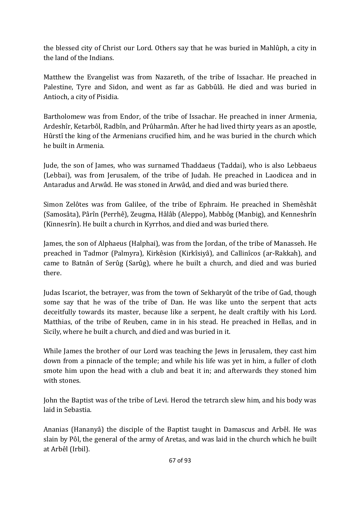the blessed city of Christ our Lord. Others say that he was buried in Mahlûph, a city in the land of the Indians.

Matthew the Evangelist was from Nazareth, of the tribe of Issachar. He preached in Palestine, Tyre and Sidon, and went as far as Gabbûlâ. He died and was buried in Antioch, a city of Pisidia.

Bartholomew was from Endor, of the tribe of Issachar. He preached in inner Armenia, Ardeshîr, Ketarbôl, Radbîn, and Prûharmân. After he had lived thirty years as an apostle, Hûrstî the king of the Armenians crucified him, and he was buried in the church which he built in Armenia.

Jude, the son of James, who was surnamed Thaddaeus (Taddai), who is also Lebbaeus (Lebbai), was from Jerusalem, of the tribe of Judah. He preached in Laodicea and in Antaradus and Arwâd. He was stoned in Arwâd, and died and was buried there.

Simon Zelôtes was from Galilee, of the tribe of Ephraim. He preached in Shemêshât (Samosâta), Pârîn (Perrhê), Zeugma, Hâlâb (Aleppo), Mabbôg (Manbig), and Kenneshrîn (Kinnesrîn). He built a church in Kyrrhos, and died and was buried there.

James, the son of Alphaeus (Halphai), was from the Jordan, of the tribe of Manasseh. He preached in Tadmor (Palmyra), Kirkêsion (Kirkîsiyâ), and Callinîcos (ar-Rakkah), and came to Batnân of Serûg (Sarûg), where he built a church, and died and was buried there.

Judas Iscariot, the betrayer, was from the town of Sekharyût of the tribe of Gad, though some say that he was of the tribe of Dan. He was like unto the serpent that acts deceitfully towards its master, because like a serpent, he dealt craftily with his Lord. Matthias, of the tribe of Reuben, came in in his stead. He preached in Hellas, and in Sicily, where he built a church, and died and was buried in it.

While James the brother of our Lord was teaching the Jews in Jerusalem, they cast him down from a pinnacle of the temple; and while his life was yet in him, a fuller of cloth smote him upon the head with a club and beat it in; and afterwards they stoned him with stones.

John the Baptist was of the tribe of Levi. Herod the tetrarch slew him, and his body was laid in Sebastia.

Ananias (Hananyâ) the disciple of the Baptist taught in Damascus and Arbêl. He was slain by Pôl, the general of the army of Aretas, and was laid in the church which he built at Arbêl (Irbil).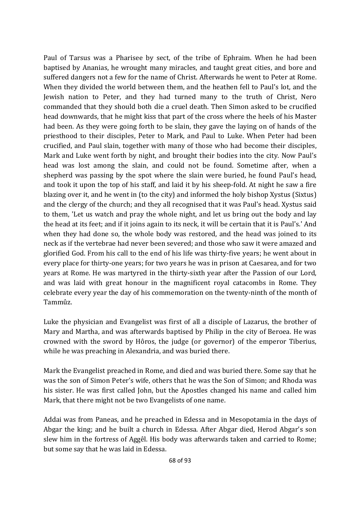Paul of Tarsus was a Pharisee by sect, of the tribe of Ephraim. When he had been baptised by Ananias, he wrought many miracles, and taught great cities, and bore and suffered dangers not a few for the name of Christ. Afterwards he went to Peter at Rome. When they divided the world between them, and the heathen fell to Paul's lot, and the Jewish nation to Peter, and they had turned many to the truth of Christ, Nero commanded that they should both die a cruel death. Then Simon asked to be crucified head downwards, that he might kiss that part of the cross where the heels of his Master had been. As they were going forth to be slain, they gave the laying on of hands of the priesthood to their disciples, Peter to Mark, and Paul to Luke. When Peter had been crucified, and Paul slain, together with many of those who had become their disciples, Mark and Luke went forth by night, and brought their bodies into the city. Now Paul's head was lost among the slain, and could not be found. Sometime after, when a shepherd was passing by the spot where the slain were buried, he found Paul's head, and took it upon the top of his staff, and laid it by his sheep-fold. At night he saw a fire blazing over it, and he went in (to the city) and informed the holy bishop Xystus (Sixtus) and the clergy of the church; and they all recognised that it was Paul's head. Xystus said to them, 'Let us watch and pray the whole night, and let us bring out the body and lay the head at its feet; and if it joins again to its neck, it will be certain that it is Paul's.' And when they had done so, the whole body was restored, and the head was joined to its neck as if the vertebrae had never been severed; and those who saw it were amazed and glorified God. From his call to the end of his life was thirty-five years; he went about in every place for thirty-one years; for two years he was in prison at Caesarea, and for two years at Rome. He was martyred in the thirty-sixth year after the Passion of our Lord, and was laid with great honour in the magnificent royal catacombs in Rome. They celebrate every year the day of his commemoration on the twenty-ninth of the month of Tammûz.

Luke the physician and Evangelist was first of all a disciple of Lazarus, the brother of Mary and Martha, and was afterwards baptised by Philip in the city of Beroea. He was crowned with the sword by Hôros, the judge (or governor) of the emperor Tiberius, while he was preaching in Alexandria, and was buried there.

Mark the Evangelist preached in Rome, and died and was buried there. Some say that he was the son of Simon Peter's wife, others that he was the Son of Simon; and Rhoda was his sister. He was first called John, but the Apostles changed his name and called him Mark, that there might not be two Evangelists of one name.

Addai was from Paneas, and he preached in Edessa and in Mesopotamia in the days of Abgar the king; and he built a church in Edessa. After Abgar died, Herod Abgar's son slew him in the fortress of Aggêl. His body was afterwards taken and carried to Rome; but some say that he was laid in Edessa.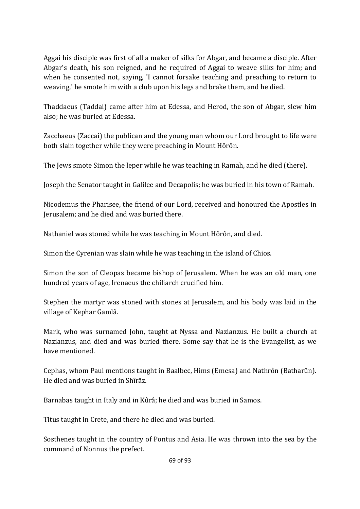Aggai his disciple was first of all a maker of silks for Abgar, and became a disciple. After Abgar's death, his son reigned, and he required of Aggai to weave silks for him; and when he consented not, saying, 'I cannot forsake teaching and preaching to return to weaving,' he smote him with a club upon his legs and brake them, and he died.

Thaddaeus (Taddai) came after him at Edessa, and Herod, the son of Abgar, slew him also; he was buried at Edessa.

Zacchaeus (Zaccai) the publican and the young man whom our Lord brought to life were both slain together while they were preaching in Mount Hôrôn.

The Jews smote Simon the leper while he was teaching in Ramah, and he died (there).

Joseph the Senator taught in Galilee and Decapolis; he was buried in his town of Ramah.

Nicodemus the Pharisee, the friend of our Lord, received and honoured the Apostles in Jerusalem; and he died and was buried there.

Nathaniel was stoned while he was teaching in Mount Hôrôn, and died.

Simon the Cyrenian was slain while he was teaching in the island of Chios.

Simon the son of Cleopas became bishop of Jerusalem. When he was an old man, one hundred years of age, Irenaeus the chiliarch crucified him.

Stephen the martyr was stoned with stones at Jerusalem, and his body was laid in the village of Kephar Gamlâ.

Mark, who was surnamed John, taught at Nyssa and Nazianzus. He built a church at Nazianzus, and died and was buried there. Some say that he is the Evangelist, as we have mentioned.

Cephas, whom Paul mentions taught in Baalbec, Hims (Emesa) and Nathrôn (Batharûn). He died and was buried in Shîrâz.

Barnabas taught in Italy and in Kûrâ; he died and was buried in Samos.

Titus taught in Crete, and there he died and was buried.

Sosthenes taught in the country of Pontus and Asia. He was thrown into the sea by the command of Nonnus the prefect.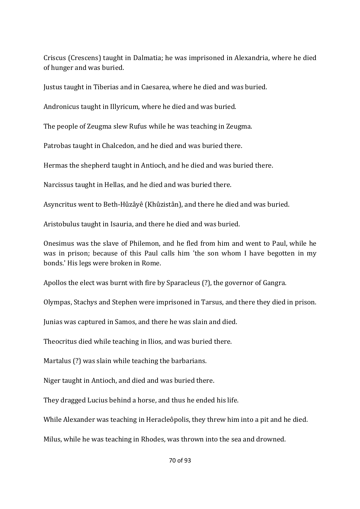Criscus (Crescens) taught in Dalmatia; he was imprisoned in Alexandria, where he died of hunger and was buried.

Justus taught in Tiberias and in Caesarea, where he died and was buried.

Andronicus taught in Illyricum, where he died and was buried.

The people of Zeugma slew Rufus while he was teaching in Zeugma.

Patrobas taught in Chalcedon, and he died and was buried there.

Hermas the shepherd taught in Antioch, and he died and was buried there.

Narcissus taught in Hellas, and he died and was buried there.

Asyncritus went to Beth-Hûzâyê (Khûzistân), and there he died and was buried.

Aristobulus taught in Isauria, and there he died and was buried.

Onesimus was the slave of Philemon, and he fled from him and went to Paul, while he was in prison; because of this Paul calls him 'the son whom I have begotten in my bonds.' His legs were broken in Rome.

Apollos the elect was burnt with fire by Sparacleus (?), the governor of Gangra.

Olympas, Stachys and Stephen were imprisoned in Tarsus, and there they died in prison.

Junias was captured in Samos, and there he was slain and died.

Theocritus died while teaching in Ilios, and was buried there.

Martalus (?) was slain while teaching the barbarians.

Niger taught in Antioch, and died and was buried there.

They dragged Lucius behind a horse, and thus he ended his life.

While Alexander was teaching in Heracleôpolis, they threw him into a pit and he died.

Milus, while he was teaching in Rhodes, was thrown into the sea and drowned.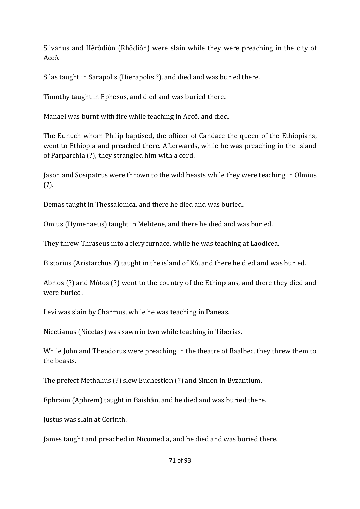Silvanus and Hêrôdiôn (Rhôdiôn) were slain while they were preaching in the city of Accô.

Silas taught in Sarapolis (Hierapolis ?), and died and was buried there.

Timothy taught in Ephesus, and died and was buried there.

Manael was burnt with fire while teaching in Accô, and died.

The Eunuch whom Philip baptised, the officer of Candace the queen of the Ethiopians, went to Ethiopia and preached there. Afterwards, while he was preaching in the island of Parparchia (?), they strangled him with a cord.

Jason and Sosipatrus were thrown to the wild beasts while they were teaching in Olmius (?).

Demas taught in Thessalonica, and there he died and was buried.

Omius (Hymenaeus) taught in Melitene, and there he died and was buried.

They threw Thraseus into a fiery furnace, while he was teaching at Laodicea.

Bistorius (Aristarchus ?) taught in the island of Kô, and there he died and was buried.

Abrios (?) and Môtos (?) went to the country of the Ethiopians, and there they died and were buried.

Levi was slain by Charmus, while he was teaching in Paneas.

Nicetianus (Nicetas) was sawn in two while teaching in Tiberias.

While John and Theodorus were preaching in the theatre of Baalbec, they threw them to the beasts.

The prefect Methalius (?) slew Euchestion (?) and Simon in Byzantium.

Ephraim (Aphrem) taught in Baishân, and he died and was buried there.

Justus was slain at Corinth.

James taught and preached in Nicomedia, and he died and was buried there.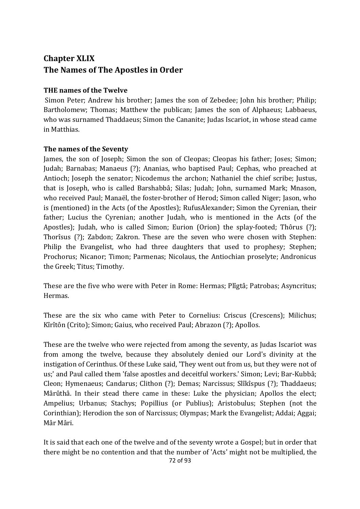## **Chapter XLIX The Names of The Apostles in Order**

#### **THE names of the Twelve**

Simon Peter; Andrew his brother; James the son of Zebedee; John his brother; Philip; Bartholomew; Thomas; Matthew the publican; James the son of Alphaeus; Labbaeus, who was surnamed Thaddaeus; Simon the Cananite; Judas Iscariot, in whose stead came in Matthias.

#### **The names of the Seventy**

James, the son of Joseph; Simon the son of Cleopas; Cleopas his father; Joses; Simon; Judah; Barnabas; Manaeus (?); Ananias, who baptised Paul; Cephas, who preached at Antioch; Joseph the senator; Nicodemus the archon; Nathaniel the chief scribe; Justus, that is Joseph, who is called Barshabbâ; Silas; Judah; John, surnamed Mark; Mnason, who received Paul; Manaël, the foster-brother of Herod; Simon called Niger; Jason, who is (mentioned) in the Acts (of the Apostles); RufusAlexander; Simon the Cyrenian, their father; Lucius the Cyrenian; another Judah, who is mentioned in the Acts (of the Apostles); Judah, who is called Simon; Eurion (Orion) the splay-footed; Thôrus (?); Thorîsus (?); Zabdon; Zakron. These are the seven who were chosen with Stephen: Philip the Evangelist, who had three daughters that used to prophesy; Stephen; Prochorus; Nicanor; Timon; Parmenas; Nicolaus, the Antiochian proselyte; Andronicus the Greek; Titus; Timothy.

These are the five who were with Peter in Rome: Hermas; Plîgtâ; Patrobas; Asyncritus; Hermas.

These are the six who came with Peter to Cornelius: Criscus (Crescens); Milichus; Kîrîtôn (Crito); Simon; Gaius, who received Paul; Abrazon (?); Apollos.

These are the twelve who were rejected from among the seventy, as Judas Iscariot was from among the twelve, because they absolutely denied our Lord's divinity at the instigation of Cerinthus. Of these Luke said, 'They went out from us, but they were not of us;' and Paul called them 'false apostles and deceitful workers.' Simon; Levi; Bar-Kubbâ; Cleon; Hymenaeus; Candarus; Clithon (?); Demas; Narcissus; Slîkîspus (?); Thaddaeus; Mârûthâ. In their stead there came in these: Luke the physician; Apollos the elect; Ampelius; Urbanus; Stachys; Popillius (or Publius); Aristobulus; Stephen (not the Corinthian); Herodion the son of Narcissus; Olympas; Mark the Evangelist; Addai; Aggai; Mâr Mâri.

It is said that each one of the twelve and of the seventy wrote a Gospel; but in order that there might be no contention and that the number of 'Acts' might not be multiplied, the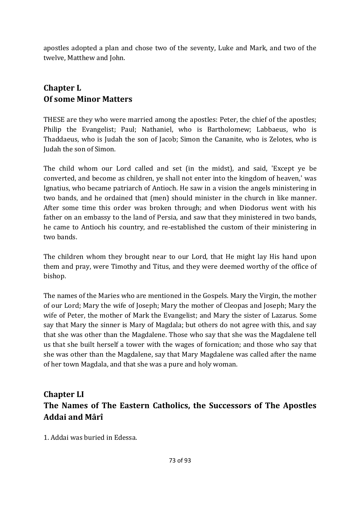apostles adopted a plan and chose two of the seventy, Luke and Mark, and two of the twelve, Matthew and John.

### **Chapter L Of some Minor Matters**

THESE are they who were married among the apostles: Peter, the chief of the apostles; Philip the Evangelist; Paul; Nathaniel, who is Bartholomew; Labbaeus, who is Thaddaeus, who is Judah the son of Jacob; Simon the Cananite, who is Zelotes, who is Judah the son of Simon.

The child whom our Lord called and set (in the midst), and said, 'Except ye be converted, and become as children, ye shall not enter into the kingdom of heaven,' was Ignatius, who became patriarch of Antioch. He saw in a vision the angels ministering in two bands, and he ordained that (men) should minister in the church in like manner. After some time this order was broken through; and when Diodorus went with his father on an embassy to the land of Persia, and saw that they ministered in two bands, he came to Antioch his country, and re-established the custom of their ministering in two bands.

The children whom they brought near to our Lord, that He might lay His hand upon them and pray, were Timothy and Titus, and they were deemed worthy of the office of bishop.

The names of the Maries who are mentioned in the Gospels. Mary the Virgin, the mother of our Lord; Mary the wife of Joseph; Mary the mother of Cleopas and Joseph; Mary the wife of Peter, the mother of Mark the Evangelist; and Mary the sister of Lazarus. Some say that Mary the sinner is Mary of Magdala; but others do not agree with this, and say that she was other than the Magdalene. Those who say that she was the Magdalene tell us that she built herself a tower with the wages of fornication; and those who say that she was other than the Magdalene, say that Mary Magdalene was called after the name of her town Magdala, and that she was a pure and holy woman.

# **Chapter LI The Names of The Eastern Catholics, the Successors of The Apostles Addai and Mârî**

1. Addai was buried in Edessa.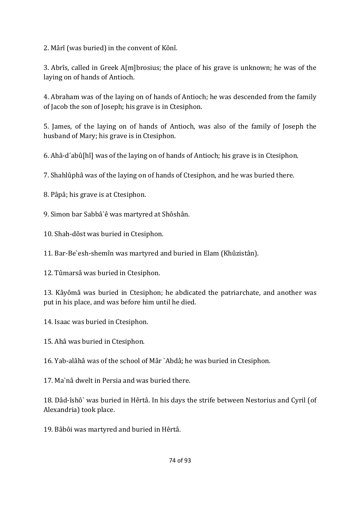2. Mârî (was buried) in the convent of Kônî.

3. Abrîs, called in Greek A[m]brosius; the place of his grave is unknown; he was of the laying on of hands of Antioch.

4. Abraham was of the laying on of hands of Antioch; he was descended from the family of Jacob the son of Joseph; his grave is in Ctesiphon.

5. James, of the laying on of hands of Antioch, was also of the family of Joseph the husband of Mary; his grave is in Ctesiphon.

6. Ahâ-d´abû[hî] was of the laying on of hands of Antioch; his grave is in Ctesiphon.

7. Shahlûphâ was of the laying on of hands of Ctesiphon, and he was buried there.

8. Pâpâ; his grave is at Ctesiphon.

9. Simon bar Sabbâ`ê was martyred at Shôshân.

10. Shah-dôst was buried in Ctesiphon.

11. Bar-Be`esh-shemîn was martyred and buried in Elam (Khûzistân).

12. Tûmarsâ was buried in Ctesiphon.

13. Kâyômâ was buried in Ctesiphon; he abdicated the patriarchate, and another was put in his place, and was before him until he died.

14. Isaac was buried in Ctesiphon.

15. Ahâ was buried in Ctesiphon.

16. Yab-alâhâ was of the school of Mâr `Abdâ; he was buried in Ctesiphon.

17. Ma`nâ dwelt in Persia and was buried there.

18. Dâd-îshô` was buried in Hêrtâ. In his days the strife between Nestorius and Cyril (of Alexandria) took place.

19. Bâbôi was martyred and buried in Hêrtâ.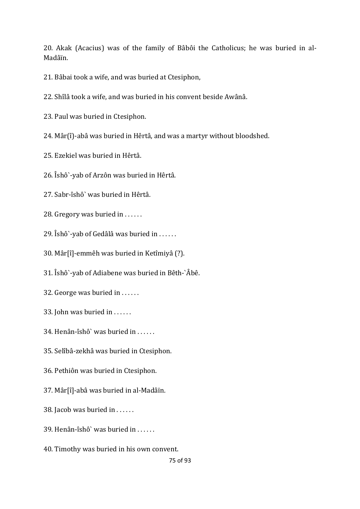20. Akak (Acacius) was of the family of Bâbôi the Catholicus; he was buried in al-Madâïn.

21. Bâbai took a wife, and was buried at Ctesiphon,

22. Shîlâ took a wife, and was buried in his convent beside Awânâ.

- 23. Paul was buried in Ctesiphon.
- 24. Mâr(î)-abâ was buried in Hêrtâ, and was a martyr without bloodshed.
- 25. Ezekiel was buried in Hêrtâ.
- 26. Îshô`-yab of Arzôn was buried in Hêrtâ.
- 27. Sabr-îshô` was buried in Hêrtâ.
- 28. Gregory was buried in ......

29. Îshô`-yab of Gedâlâ was buried in . . . . . .

30. Mâr[î]-emmêh was buried in Ketîmiyâ (?).

31. Îshô`-yab of Adiabene was buried in Bêth-`Âbê.

- 32. George was buried in ......
- 33. John was buried in . . . . . .
- 34. Henân-îshô` was buried in . . . . . .
- 35. Selîbâ-zekhâ was buried in Ctesiphon.
- 36. Pethiôn was buried in Ctesiphon.
- 37. Mâr[î]-abâ was buried in al-Madâïn.
- 38. Jacob was buried in . . . . . .
- 39. Henân-îshô` was buried in . . . . . .
- 40. Timothy was buried in his own convent.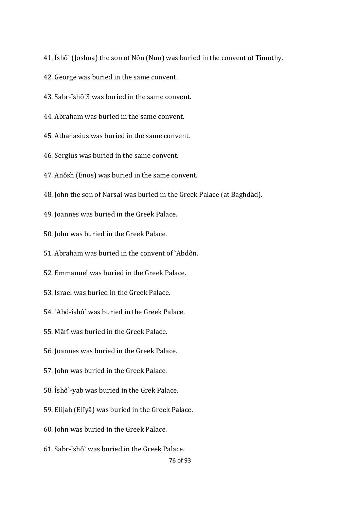41. Îshô` (Joshua) the son of Nôn (Nun) was buried in the convent of Timothy.

- 42. George was buried in the same convent.
- 43. Sabr-îshô`3 was buried in the same convent.
- 44. Abraham was buried in the same convent.
- 45. Athanasius was buried in the same convent.
- 46. Sergius was buried in the same convent.
- 47. Anôsh (Enos) was buried in the same convent.
- 48. John the son of Narsai was buried in the Greek Palace (at Baghdâd).
- 49. Joannes was buried in the Greek Palace.
- 50. John was buried in the Greek Palace.
- 51. Abraham was buried in the convent of `Abdôn.
- 52. Emmanuel was buried in the Greek Palace.
- 53. Israel was buried in the Greek Palace.
- 54. `Abd-îshô` was buried in the Greek Palace.
- 55. Mârî was buried in the Greek Palace.
- 56. Joannes was buried in the Greek Palace.
- 57. John was buried in the Greek Palace.
- 58. Îshô`-yab was buried in the Grek Palace.
- 59. Elijah (Elîyâ) was buried in the Greek Palace.
- 60. John was buried in the Greek Palace.
- 61. Sabr-îshô` was buried in the Greek Palace.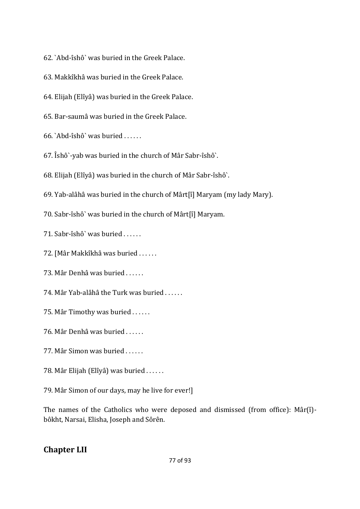62. `Abd-îshô` was buried in the Greek Palace.

- 63. Makkîkhâ was buried in the Greek Palace.
- 64. Elijah (Elîyâ) was buried in the Greek Palace.
- 65. Bar-saumâ was buried in the Greek Palace.
- 66. `Abd-îshô` was buried . . . . . .
- 67. Îshô`-yab was buried in the church of Mâr Sabr-îshô`.
- 68. Elijah (Elîyâ) was buried in the church of Mâr Sabr-îshô`.
- 69. Yab-alâhâ was buried in the church of Mârt[î] Maryam (my lady Mary).
- 70. Sabr-îshô` was buried in the church of Mârt[î] Maryam.
- 71. Sabr-îshô` was buried . . . . . .
- 72. [Mâr Makkîkhâ was buried . . . . . .
- 73. Mâr Denhâ was buried . . . . . .
- 74. Mâr Yab-alâhâ the Turk was buried . . . . . .
- 75. Mâr Timothy was buried . . . . . .
- 76. Mâr Denhâ was buried . . . . . .
- 77. Mâr Simon was buried . . . . . .
- 78. Mâr Elijah (Elîyâ) was buried . . . . . .
- 79. Mâr Simon of our days, may he live for ever!]

The names of the Catholics who were deposed and dismissed (from office): Mâr(î) bôkht, Narsai, Elisha, Joseph and Sôrên.

#### **Chapter LII**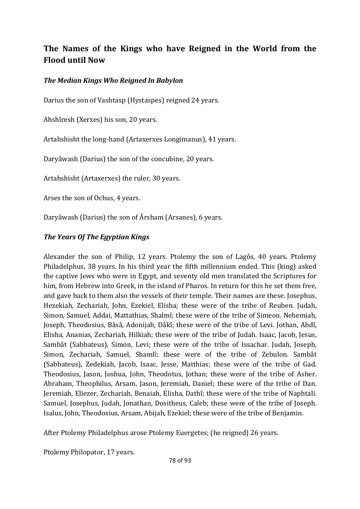### **The Names of the Kings who have Reigned in the World from the Flood until Now**

#### *The Median Kings Who Reigned In Babylon*

Darius the son of Vashtasp (Hystaspes) reigned 24 years.

Ahshîresh (Xerxes) his son, 20 years.

Artahshisht the long-hand (Artaxerxes Longimanus), 41 years.

Daryâwash (Darius) the son of the concubine, 20 years.

Artahshisht (Artaxerxes) the ruler, 30 years.

Arses the son of Ochus, 4 years.

Daryâwash (Darius) the son of Ârsham (Arsanes), 6 years.

#### *The Years Of The Egyptian Kings*

Alexander the son of Philip, 12 years. Ptolemy the son of Lagôs, 40 years. Ptolemy Philadelphus, 38 years. In his third year the fifth millennium ended. This (king) asked the captive Jews who were in Egypt, and seventy old men translated the Scriptures for him, from Hebrew into Greek, in the island of Pharos. In return for this he set them free, and gave back to them also the vessels of their temple. Their names are these. Josephus, Hezekiah, Zechariah, John, Ezekiel, Elisha; these were of the tribe of Reuben. Judah, Simon, Samuel, Addai, Mattathias, Shalmî; these were of the tribe of Simeon. Nehemiah, Joseph, Theodosius, Bâsâ, Adonijah, Dâkî; these were of the tribe of Levi. Jothan, Abdî, Elisha, Ananias, Zechariah, Hilkiah; these were of the tribe of Judah. Isaac, Jacob, Jesus, Sambât (Sabbateus), Simon, Levi; these were of the tribe of Issachar. Judah, Joseph, Simon, Zechariah, Samuel, Shamlî; these were of the tribe of Zebulon. Sambât (Sabbateus), Zedekiah, Jacob, Isaac, Jesse, Matthias; these were of the tribe of Gad. Theodosius, Jason, Joshua, John, Theodotus, Jothan; these were of the tribe of Asher. Abraham, Theophilus, Arsam, Jason, Jeremiah, Daniel; these were of the tribe of Dan. Jeremiah, Eliezer, Zechariah, Benaiah, Elisha, Dathî; these were of the tribe of Naphtali. Samuel, Josephus, Judah, Jonathan, Dositheus, Caleb; these were of the tribe of Joseph. Isalus, John, Theodosius, Arsam, Abijah, Ezekiel; these were of the tribe of Benjamin.

After Ptolemy Philadelphus arose Ptolemy Euergetes; (he reigned) 26 years.

Ptolemy Philopator, 17 years.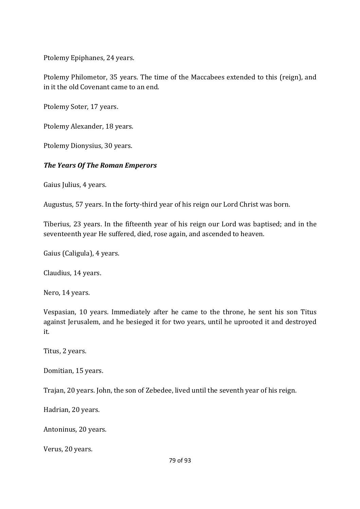Ptolemy Epiphanes, 24 years.

Ptolemy Philometor, 35 years. The time of the Maccabees extended to this (reign), and in it the old Covenant came to an end.

Ptolemy Soter, 17 years.

Ptolemy Alexander, 18 years.

Ptolemy Dionysius, 30 years.

#### *The Years Of The Roman Emperors*

Gaius Julius, 4 years.

Augustus, 57 years. In the forty-third year of his reign our Lord Christ was born.

Tiberius, 23 years. In the fifteenth year of his reign our Lord was baptised; and in the seventeenth year He suffered, died, rose again, and ascended to heaven.

Gaius (Caligula), 4 years.

Claudius, 14 years.

Nero, 14 years.

Vespasian, 10 years. Immediately after he came to the throne, he sent his son Titus against Jerusalem, and he besieged it for two years, until he uprooted it and destroyed it.

Titus, 2 years.

Domitian, 15 years.

Trajan, 20 years. John, the son of Zebedee, lived until the seventh year of his reign.

Hadrian, 20 years.

Antoninus, 20 years.

Verus, 20 years.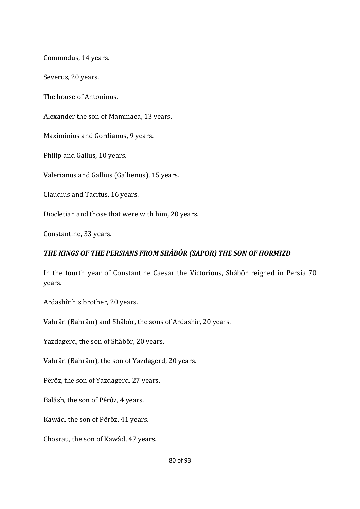Commodus, 14 years.

Severus, 20 years.

The house of Antoninus.

Alexander the son of Mammaea, 13 years.

Maximinius and Gordianus, 9 years.

Philip and Gallus, 10 years.

Valerianus and Gallius (Gallienus), 15 years.

Claudius and Tacitus, 16 years.

Diocletian and those that were with him, 20 years.

Constantine, 33 years.

#### *THE KINGS OF THE PERSIANS FROM SHÂBÔR (SAPOR) THE SON OF HORMIZD*

In the fourth year of Constantine Caesar the Victorious, Shâbôr reigned in Persia 70 years.

Ardashîr his brother, 20 years.

Vahrân (Bahrâm) and Shâbôr, the sons of Ardashîr, 20 years.

Yazdagerd, the son of Shâbôr, 20 years.

Vahrân (Bahrâm), the son of Yazdagerd, 20 years.

Pêrôz, the son of Yazdagerd, 27 years.

Balâsh, the son of Pêrôz, 4 years.

Kawâd, the son of Pêrôz, 41 years.

Chosrau, the son of Kawâd, 47 years.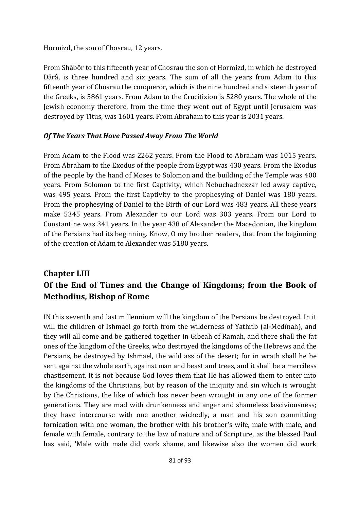Hormizd, the son of Chosrau, 12 years.

From Shâbôr to this fifteenth year of Chosrau the son of Hormizd, in which he destroyed Dârâ, is three hundred and six years. The sum of all the years from Adam to this fifteenth year of Chosrau the conqueror, which is the nine hundred and sixteenth year of the Greeks, is 5861 years. From Adam to the Crucifixion is 5280 years. The whole of the Jewish economy therefore, from the time they went out of Egypt until Jerusalem was destroyed by Titus, was 1601 years. From Abraham to this year is 2031 years.

#### *Of The Years That Have Passed Away From The World*

From Adam to the Flood was 2262 years. From the Flood to Abraham was 1015 years. From Abraham to the Exodus of the people from Egypt was 430 years. From the Exodus of the people by the hand of Moses to Solomon and the building of the Temple was 400 years. From Solomon to the first Captivity, which Nebuchadnezzar led away captive, was 495 years. From the first Captivity to the prophesying of Daniel was 180 years. From the prophesying of Daniel to the Birth of our Lord was 483 years. All these years make 5345 years. From Alexander to our Lord was 303 years. From our Lord to Constantine was 341 years. In the year 438 of Alexander the Macedonian, the kingdom of the Persians had its beginning. Know, O my brother readers, that from the beginning of the creation of Adam to Alexander was 5180 years.

# **Chapter LIII Of the End of Times and the Change of Kingdoms; from the Book of Methodius, Bishop of Rome**

IN this seventh and last millennium will the kingdom of the Persians be destroyed. In it will the children of Ishmael go forth from the wilderness of Yathrib (al-Medînah), and they will all come and be gathered together in Gibeah of Ramah, and there shall the fat ones of the kingdom of the Greeks, who destroyed the kingdoms of the Hebrews and the Persians, be destroyed by Ishmael, the wild ass of the desert; for in wrath shall he be sent against the whole earth, against man and beast and trees, and it shall be a merciless chastisement. It is not because God loves them that He has allowed them to enter into the kingdoms of the Christians, but by reason of the iniquity and sin which is wrought by the Christians, the like of which has never been wrought in any one of the former generations. They are mad with drunkenness and anger and shameless lasciviousness; they have intercourse with one another wickedly, a man and his son committing fornication with one woman, the brother with his brother's wife, male with male, and female with female, contrary to the law of nature and of Scripture, as the blessed Paul has said, 'Male with male did work shame, and likewise also the women did work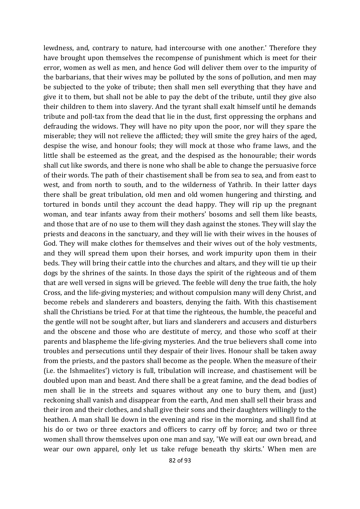lewdness, and, contrary to nature, had intercourse with one another.' Therefore they have brought upon themselves the recompense of punishment which is meet for their error, women as well as men, and hence God will deliver them over to the impurity of the barbarians, that their wives may be polluted by the sons of pollution, and men may be subjected to the yoke of tribute; then shall men sell everything that they have and give it to them, but shall not be able to pay the debt of the tribute, until they give also their children to them into slavery. And the tyrant shall exalt himself until he demands tribute and poll-tax from the dead that lie in the dust, first oppressing the orphans and defrauding the widows. They will have no pity upon the poor, nor will they spare the miserable; they will not relieve the afflicted; they will smite the grey hairs of the aged, despise the wise, and honour fools; they will mock at those who frame laws, and the little shall be esteemed as the great, and the despised as the honourable; their words shall cut like swords, and there is none who shall be able to change the persuasive force of their words. The path of their chastisement shall be from sea to sea, and from east to west, and from north to south, and to the wilderness of Yathrib. In their latter days there shall be great tribulation, old men and old women hungering and thirsting, and tortured in bonds until they account the dead happy. They will rip up the pregnant woman, and tear infants away from their mothers' bosoms and sell them like beasts, and those that are of no use to them will they dash against the stones. They will slay the priests and deacons in the sanctuary, and they will lie with their wives in the houses of God. They will make clothes for themselves and their wives out of the holy vestments, and they will spread them upon their horses, and work impurity upon them in their beds. They will bring their cattle into the churches and altars, and they will tie up their dogs by the shrines of the saints. In those days the spirit of the righteous and of them that are well versed in signs will be grieved. The feeble will deny the true faith, the holy Cross, and the life-giving mysteries; and without compulsion many will deny Christ, and become rebels and slanderers and boasters, denying the faith. With this chastisement shall the Christians be tried. For at that time the righteous, the humble, the peaceful and the gentle will not be sought after, but liars and slanderers and accusers and disturbers and the obscene and those who are destitute of mercy, and those who scoff at their parents and blaspheme the life-giving mysteries. And the true believers shall come into troubles and persecutions until they despair of their lives. Honour shall be taken away from the priests, and the pastors shall become as the people. When the measure of their (i.e. the Ishmaelites') victory is full, tribulation will increase, and chastisement will be doubled upon man and beast. And there shall be a great famine, and the dead bodies of men shall lie in the streets and squares without any one to bury them, and (just) reckoning shall vanish and disappear from the earth, And men shall sell their brass and their iron and their clothes, and shall give their sons and their daughters willingly to the heathen. A man shall lie down in the evening and rise in the morning, and shall find at his do or two or three exactors and officers to carry off by force; and two or three women shall throw themselves upon one man and say, 'We will eat our own bread, and wear our own apparel, only let us take refuge beneath thy skirts.' When men are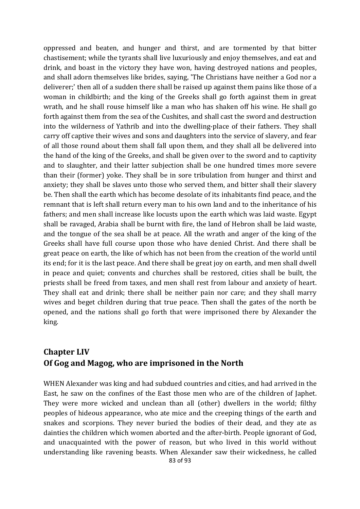oppressed and beaten, and hunger and thirst, and are tormented by that bitter chastisement; while the tyrants shall live luxuriously and enjoy themselves, and eat and drink, and boast in the victory they have won, having destroyed nations and peoples, and shall adorn themselves like brides, saying, 'The Christians have neither a God nor a deliverer;' then all of a sudden there shall be raised up against them pains like those of a woman in childbirth; and the king of the Greeks shall go forth against them in great wrath, and he shall rouse himself like a man who has shaken off his wine. He shall go forth against them from the sea of the Cushites, and shall cast the sword and destruction into the wilderness of Yathrib and into the dwelling-place of their fathers. They shall carry off captive their wives and sons and daughters into the service of slavery, and fear of all those round about them shall fall upon them, and they shall all be delivered into the hand of the king of the Greeks, and shall be given over to the sword and to captivity and to slaughter, and their latter subjection shall be one hundred times more severe than their (former) yoke. They shall be in sore tribulation from hunger and thirst and anxiety; they shall be slaves unto those who served them, and bitter shall their slavery be. Then shall the earth which has become desolate of its inhabitants find peace, and the remnant that is left shall return every man to his own land and to the inheritance of his fathers; and men shall increase like locusts upon the earth which was laid waste. Egypt shall be ravaged, Arabia shall be burnt with fire, the land of Hebron shall be laid waste, and the tongue of the sea shall be at peace. All the wrath and anger of the king of the Greeks shall have full course upon those who have denied Christ. And there shall be great peace on earth, the like of which has not been from the creation of the world until its end; for it is the last peace. And there shall be great joy on earth, and men shall dwell in peace and quiet; convents and churches shall be restored, cities shall be built, the priests shall be freed from taxes, and men shall rest from labour and anxiety of heart. They shall eat and drink; there shall be neither pain nor care; and they shall marry wives and beget children during that true peace. Then shall the gates of the north be opened, and the nations shall go forth that were imprisoned there by Alexander the king.

#### **Chapter LIV Of Gog and Magog, who are imprisoned in the North**

WHEN Alexander was king and had subdued countries and cities, and had arrived in the East, he saw on the confines of the East those men who are of the children of Japhet. They were more wicked and unclean than all (other) dwellers in the world; filthy peoples of hideous appearance, who ate mice and the creeping things of the earth and snakes and scorpions. They never buried the bodies of their dead, and they ate as dainties the children which women aborted and the after-birth. People ignorant of God, and unacquainted with the power of reason, but who lived in this world without understanding like ravening beasts. When Alexander saw their wickedness, he called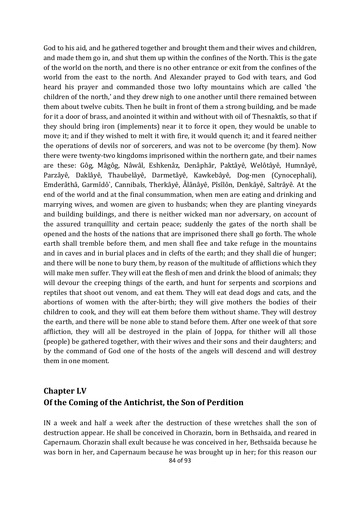God to his aid, and he gathered together and brought them and their wives and children, and made them go in, and shut them up within the confines of the North. This is the gate of the world on the north, and there is no other entrance or exit from the confines of the world from the east to the north. And Alexander prayed to God with tears, and God heard his prayer and commanded those two lofty mountains which are called 'the children of the north,' and they drew nigh to one another until there remained between them about twelve cubits. Then he built in front of them a strong building, and be made for it a door of brass, and anointed it within and without with oil of Thesnaktîs, so that if they should bring iron (implements) near it to force it open, they would be unable to move it; and if they wished to melt it with fire, it would quench it; and it feared neither the operations of devils nor of sorcerers, and was not to be overcome (by them). Now there were twenty-two kingdoms imprisoned within the northern gate, and tbeir names are these: Gôg, Mâgôg, Nâwâl, Eshkenâz, Denâphâr, Paktâyê, Welôtâyê, Humnâyê, Parzâyê, Daklâyê, Thaubelâyê, Darmetâyê, Kawkebâyê, Dog-men (Cynocephali), Emderâthâ, Garmîdô`, Cannibals, Therkâyê, Âlânâyê, Pîsîlôn, Denkâyê, Saltrâyê. At the end of the world and at the final consummation, when men are eating and drinking and marrying wives, and women are given to husbands; when they are planting vineyards and building buildings, and there is neither wicked man nor adversary, on account of the assured tranquillity and certain peace; suddenly the gates of the north shall be opened and the hosts of the nations that are imprisoned there shall go forth. The whole earth shall tremble before them, and men shall flee and take refuge in the mountains and in caves and in burial places and in clefts of the earth; and they shall die of hunger; and there will be none to bury them, by reason of the multitude of afflictions which they will make men suffer. They will eat the flesh of men and drink the blood of animals; they will devour the creeping things of the earth, and hunt for serpents and scorpions and reptiles that shoot out venom, and eat them. They will eat dead dogs and cats, and the abortions of women with the after-birth; they will give mothers the bodies of their children to cook, and they will eat them before them without shame. They will destroy the earth, and there will be none able to stand before them. After one week of that sore affliction, they will all be destroyed in the plain of Joppa, for thither will all those (people) be gathered together, with their wives and their sons and their daughters; and by the command of God one of the hosts of the angels will descend and will destroy them in one moment.

#### **Chapter LV Of the Coming of the Antichrist, the Son of Perdition**

IN a week and half a week after the destruction of these wretches shall the son of destruction appear. He shall be conceived in Chorazin, born in Bethsaida, and reared in Capernaum. Chorazin shall exult because he was conceived in her, Bethsaida because he was born in her, and Capernaum because he was brought up in her; for this reason our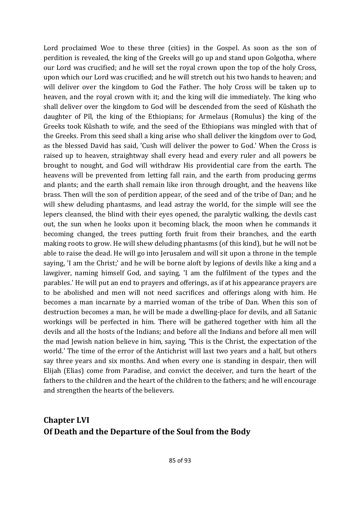Lord proclaimed Woe to these three (cities) in the Gospel. As soon as the son of perdition is revealed, the king of the Greeks will go up and stand upon Golgotha, where our Lord was crucified; and he will set the royal crown upon the top of the holy Cross, upon which our Lord was crucified; and he will stretch out his two hands to heaven; and will deliver over the kingdom to God the Father. The holy Cross will be taken up to heaven, and the royal crown with it; and the king will die immediately. The king who shall deliver over the kingdom to God will be descended from the seed of Kûshath the daughter of Pîl, the king of the Ethiopians; for Armelaus (Romulus) the king of the Greeks took Kûshath to wife, and the seed of the Ethiopians was mingled with that of the Greeks. From this seed shall a king arise who shall deliver the kingdom over to God, as the blessed David has said, 'Cush will deliver the power to God.' When the Cross is raised up to heaven, straightway shall every head and every ruler and all powers be brought to nought, and God will withdraw His providential care from the earth. The heavens will be prevented from letting fall rain, and the earth from producing germs and plants; and the earth shall remain like iron through drought, and the heavens like brass. Then will the son of perdition appear, of the seed and of the tribe of Dan; and he will shew deluding phantasms, and lead astray the world, for the simple will see the lepers cleansed, the blind with their eyes opened, the paralytic walking, the devils cast out, the sun when he looks upon it becoming black, the moon when he commands it becoming changed, the trees putting forth fruit from their branches, and the earth making roots to grow. He will shew deluding phantasms (of this kind), but he will not be able to raise the dead. He will go into Jerusalem and will sit upon a throne in the temple saying, 'I am the Christ;' and he will be borne aloft by legions of devils like a king and a lawgiver, naming himself God, and saying, 'I am the fulfilment of the types and the parables.' He will put an end to prayers and offerings, as if at his appearance prayers are to be abolished and men will not need sacrifices and offerings along with him. He becomes a man incarnate by a married woman of the tribe of Dan. When this son of destruction becomes a man, he will be made a dwelling-place for devils, and all Satanic workings will be perfected in him. There will be gathered together with him all the devils and all the hosts of the Indians; and before all the Indians and before all men will the mad Jewish nation believe in him, saying, 'This is the Christ, the expectation of the world.' The time of the error of the Antichrist will last two years and a half, but others say three years and six months. And when every one is standing in despair, then will Elijah (Elias) come from Paradise, and convict the deceiver, and turn the heart of the fathers to the children and the heart of the children to the fathers; and he will encourage and strengthen the hearts of the believers.

## **Chapter LVI Of Death and the Departure of the Soul from the Body**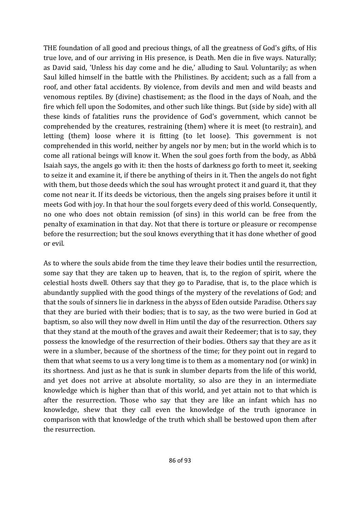THE foundation of all good and precious things, of all the greatness of God's gifts, of His true love, and of our arriving in His presence, is Death. Men die in five ways. Naturally; as David said, 'Unless his day come and he die,' alluding to Saul. Voluntarily; as when Saul killed himself in the battle with the Philistines. By accident; such as a fall from a roof, and other fatal accidents. By violence, from devils and men and wild beasts and venomous reptiles. By (divine) chastisement; as the flood in the days of Noah, and the fire which fell upon the Sodomites, and other such like things. But (side by side) with all these kinds of fatalities runs the providence of God's government, which cannot be comprehended by the creatures, restraining (them) where it is meet (to restrain), and letting (them) loose where it is fitting (to let loose). This government is not comprehended in this world, neither by angels nor by men; but in the world which is to come all rational beings will know it. When the soul goes forth from the body, as Abbâ Isaiah says, the angels go with it: then the hosts of darkness go forth to meet it, seeking to seize it and examine it, if there be anything of theirs in it. Then the angels do not fight with them, but those deeds which the soul has wrought protect it and guard it, that they come not near it. If its deeds be victorious, then the angels sing praises before it until it meets God with joy. In that hour the soul forgets every deed of this world. Consequently, no one who does not obtain remission (of sins) in this world can be free from the penalty of examination in that day. Not that there is torture or pleasure or recompense before the resurrection; but the soul knows everything that it has done whether of good or evil.

As to where the souls abide from the time they leave their bodies until the resurrection, some say that they are taken up to heaven, that is, to the region of spirit, where the celestial hosts dwell. Others say that they go to Paradise, that is, to the place which is abundantly supplied with the good things of the mystery of the revelations of God; and that the souls of sinners lie in darkness in the abyss of Eden outside Paradise. Others say that they are buried with their bodies; that is to say, as the two were buried in God at baptism, so also will they now dwell in Him until the day of the resurrection. Others say that they stand at the mouth of the graves and await their Redeemer; that is to say, they possess the knowledge of the resurrection of their bodies. Others say that they are as it were in a slumber, because of the shortness of the time; for they point out in regard to them that what seems to us a very long time is to them as a momentary nod (or wink) in its shortness. And just as he that is sunk in slumber departs from the life of this world, and yet does not arrive at absolute mortality, so also are they in an intermediate knowledge which is higher than that of this world, and yet attain not to that which is after the resurrection. Those who say that they are like an infant which has no knowledge, shew that they call even the knowledge of the truth ignorance in comparison with that knowledge of the truth which shall be bestowed upon them after the resurrection.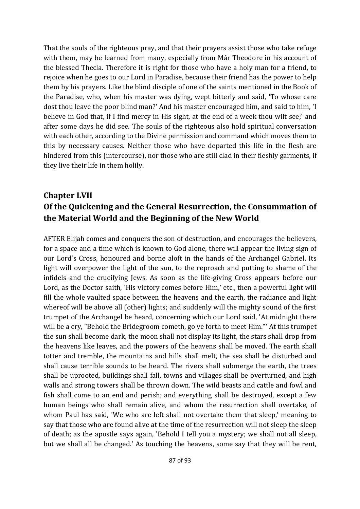That the souls of the righteous pray, and that their prayers assist those who take refuge with them, may be learned from many, especially from Mâr Theodore in his account of the blessed Thecla. Therefore it is right for those who have a holy man for a friend, to rejoice when he goes to our Lord in Paradise, because their friend has the power to help them by his prayers. Like the blind disciple of one of the saints mentioned in the Book of the Paradise, who, when his master was dying, wept bitterly and said, 'To whose care dost thou leave the poor blind man?' And his master encouraged him, and said to him, 'I believe in God that, if I find mercy in His sight, at the end of a week thou wilt see;' and after some days he did see. The souls of the righteous also hold spiritual conversation with each other, according to the Divine permission and command which moves them to this by necessary causes. Neither those who have departed this life in the flesh are hindered from this (intercourse), nor those who are still clad in their fleshly garments, if they live their life in them holily.

## **Chapter LVII Of the Quickening and the General Resurrection, the Consummation of the Material World and the Beginning of the New World**

AFTER Elijah comes and conquers the son of destruction, and encourages the believers, for a space and a time which is known to God alone, there will appear the living sign of our Lord's Cross, honoured and borne aloft in the hands of the Archangel Gabriel. Its light will overpower the light of the sun, to the reproach and putting to shame of the infidels and the crucifying Jews. As soon as the life-giving Cross appears before our Lord, as the Doctor saith, 'His victory comes before Him,' etc., then a powerful light will fill the whole vaulted space between the heavens and the earth, the radiance and light whereof will be above all (other) lights; and suddenly will the mighty sound of the first trumpet of the Archangel be heard, concerning which our Lord said, 'At midnight there will be a cry, "Behold the Bridegroom cometh, go ye forth to meet Him."' At this trumpet the sun shall become dark, the moon shall not display its light, the stars shall drop from the heavens like leaves, and the powers of the heavens shall be moved. The earth shall totter and tremble, the mountains and hills shall melt, the sea shall be disturbed and shall cause terrible sounds to be heard. The rivers shall submerge the earth, the trees shall be uprooted, buildings shall fall, towns and villages shall be overturned, and high walls and strong towers shall be thrown down. The wild beasts and cattle and fowl and fish shall come to an end and perish; and everything shall be destroyed, except a few human beings who shall remain alive, and whom the resurrection shall overtake, of whom Paul has said, 'We who are left shall not overtake them that sleep,' meaning to say that those who are found alive at the time of the resurrection will not sleep the sleep of death; as the apostle says again, 'Behold I tell you a mystery; we shall not all sleep, but we shall all be changed.' As touching the heavens, some say that they will be rent,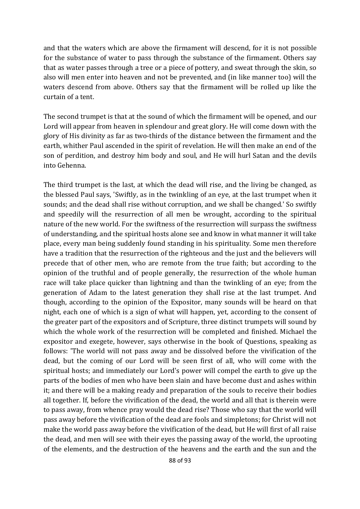and that the waters which are above the firmament will descend, for it is not possible for the substance of water to pass through the substance of the firmament. Others say that as water passes through a tree or a piece of pottery, and sweat through the skin, so also will men enter into heaven and not be prevented, and (in like manner too) will the waters descend from above. Others say that the firmament will be rolled up like the curtain of a tent.

The second trumpet is that at the sound of which the firmament will be opened, and our Lord will appear from heaven in splendour and great glory. He will come down with the glory of His divinity as far as two-thirds of the distance between the firmament and the earth, whither Paul ascended in the spirit of revelation. He will then make an end of the son of perdition, and destroy him body and soul, and He will hurl Satan and the devils into Gehenna.

The third trumpet is the last, at which the dead will rise, and the living be changed, as the blessed Paul says, 'Swiftly, as in the twinkling of an eye, at the last trumpet when it sounds; and the dead shall rise without corruption, and we shall be changed.' So swiftly and speedily will the resurrection of all men be wrought, according to the spiritual nature of the new world. For the swiftness of the resurrection will surpass the swiftness of understanding, and the spiritual hosts alone see and know in what manner it will take place, every man being suddenly found standing in his spirituality. Some men therefore have a tradition that the resurrection of the righteous and the just and the believers will precede that of other men, who are remote from the true faith; but according to the opinion of the truthful and of people generally, the resurrection of the whole human race will take place quicker than lightning and than the twinkling of an eye; from the generation of Adam to the latest generation they shall rise at the last trumpet. And though, according to the opinion of the Expositor, many sounds will be heard on that night, each one of which is a sign of what will happen, yet, according to the consent of the greater part of the expositors and of Scripture, three distinct trumpets will sound by which the whole work of the resurrection will be completed and finished. Michael the expositor and exegete, however, says otherwise in the book of Questions, speaking as follows: 'The world will not pass away and be dissolved before the vivification of the dead, but the coming of our Lord will be seen first of all, who will come with the spiritual hosts; and immediately our Lord's power will compel the earth to give up the parts of the bodies of men who have been slain and have become dust and ashes within it; and there will be a making ready and preparation of the souls to receive their bodies all together. If, before the vivification of the dead, the world and all that is therein were to pass away, from whence pray would the dead rise? Those who say that the world will pass away before the vivification of the dead are fools and simpletons; for Christ will not make the world pass away before the vivification of the dead, but He will first of all raise the dead, and men will see with their eyes the passing away of the world, the uprooting of the elements, and the destruction of the heavens and the earth and the sun and the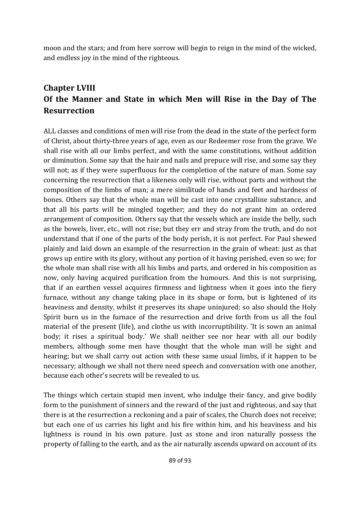moon and the stars; and from here sorrow will begin to reign in the mind of the wicked, and endless joy in the mind of the righteous.

# **Chapter LVIII Of the Manner and State in which Men will Rise in the Day of The Resurrection**

ALL classes and conditions of men will rise from the dead in the state of the perfect form of Christ, about thirty-three years of age, even as our Redeemer rose from the grave. We shall rise with all our limbs perfect, and with the same constitutions, without addition or diminution. Some say that the hair and nails and prepuce will rise, and some say they will not; as if they were superfluous for the completion of the nature of man. Some say concerning the resurrection that a likeness only will rise, without parts and without the composition of the limbs of man; a mere similitude of hands and feet and hardness of bones. Others say that the whole man will be cast into one crystalline substance, and that all his parts will be mingled together; and they do not grant him an ordered arrangement of composition. Others say that the vessels which are inside the belly, such as the bowels, liver, etc., will not rise; but they err and stray from the truth, and do not understand that if one of the parts of the body perish, it is not perfect. For Paul shewed plainly and laid down an example of the resurrection in the grain of wheat: just as that grows up entire with its glory, without any portion of it having perished, even so we; for the whole man shall rise with all his limbs and parts, and ordered in his composition as now, only having acquired purification from the humours. And this is not surprising, that if an earthen vessel acquires firmness and lightness when it goes into the fiery furnace, without any change taking place in its shape or form, but is lightened of its heaviness and density, whilst it preserves its shape uninjured; so also should the Holy Spirit burn us in the furnace of the resurrection and drive forth from us all the foul material of the present (life), and clothe us with incorruptibility. 'It is sown an animal body; it rises a spiritual body.' We shall neither see nor hear with all our bodily members, although some men have thought that the whole man will be sight and hearing; but we shall carry out action with these same usual limbs, if it happen to be necessary; although we shall not there need speech and conversation with one another, because each other's secrets will be revealed to us.

The things which certain stupid men invent, who indulge their fancy, and give bodily form to the punishment of sinners and the reward of the just and righteous, and say that there is at the resurrection a reckoning and a pair of scales, the Church does not receive; but each one of us carries his light and his fire within him, and his heaviness and his lightness is round in his own pature. Just as stone and iron naturally possess the property of falling to the earth, and as the air naturally ascends upward on account of its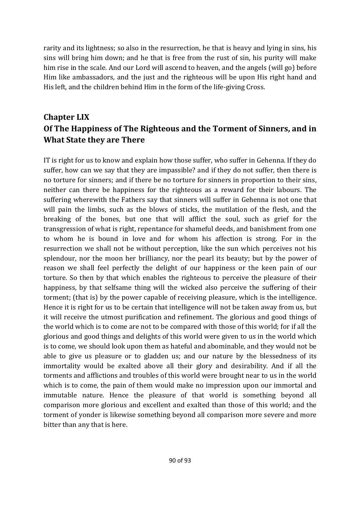rarity and its lightness; so also in the resurrection, he that is heavy and lying in sins, his sins will bring him down; and he that is free from the rust of sin, his purity will make him rise in the scale. And our Lord will ascend to heaven, and the angels (will go) before Him like ambassadors, and the just and the righteous will be upon His right hand and His left, and the children behind Him in the form of the life-giving Cross.

# **Chapter LIX Of The Happiness of The Righteous and the Torment of Sinners, and in What State they are There**

IT is right for us to know and explain how those suffer, who suffer in Gehenna. If they do suffer, how can we say that they are impassible? and if they do not suffer, then there is no torture for sinners; and if there be no torture for sinners in proportion to their sins, neither can there be happiness for the righteous as a reward for their labours. The suffering wherewith the Fathers say that sinners will suffer in Gehenna is not one that will pain the limbs, such as the blows of sticks, the mutilation of the flesh, and the breaking of the bones, but one that will afflict the soul, such as grief for the transgression of what is right, repentance for shameful deeds, and banishment from one to whom he is bound in love and for whom his affection is strong. For in the resurrection we shall not be without perception, like the sun which perceives not his splendour, nor the moon her brilliancy, nor the pearl its beauty; but by the power of reason we shall feel perfectly the delight of our happiness or the keen pain of our torture. So then by that which enables the righteous to perceive the pleasure of their happiness, by that selfsame thing will the wicked also perceive the suffering of their torment; (that is) by the power capable of receiving pleasure, which is the intelligence. Hence it is right for us to be certain that intelligence will not be taken away from us, but it will receive the utmost purification and refinement. The glorious and good things of the world which is to come are not to be compared with those of this world; for if all the glorious and good things and delights of this world were given to us in the world which is to come, we should look upon them as hateful and abominable, and they would not be able to give us pleasure or to gladden us; and our nature by the blessedness of its immortality would be exalted above all their glory and desirability. And if all the torments and afflictions and troubles of this world were brought near to us in the world which is to come, the pain of them would make no impression upon our immortal and immutable nature. Hence the pleasure of that world is something beyond all comparison more glorious and excellent and exalted than those of this world; and the torment of yonder is likewise something beyond all comparison more severe and more bitter than any that is here.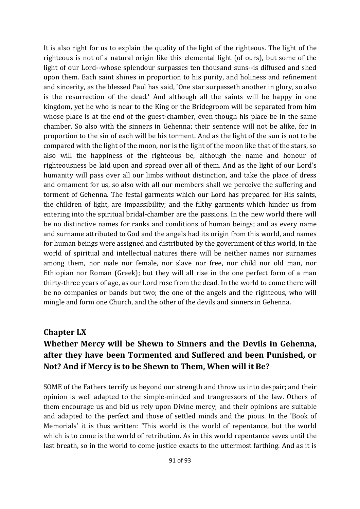It is also right for us to explain the quality of the light of the righteous. The light of the righteous is not of a natural origin like this elemental light (of ours), but some of the light of our Lord--whose splendour surpasses ten thousand suns--is diffused and shed upon them. Each saint shines in proportion to his purity, and holiness and refinement and sincerity, as the blessed Paul has said, 'One star surpasseth another in glory, so also is the resurrection of the dead.' And although all the saints will be happy in one kingdom, yet he who is near to the King or the Bridegroom will be separated from him whose place is at the end of the guest-chamber, even though his place be in the same chamber. So also with the sinners in Gehenna; their sentence will not be alike, for in proportion to the sin of each will be his torment. And as the light of the sun is not to be compared with the light of the moon, nor is the light of the moon like that of the stars, so also will the happiness of the righteous be, although the name and honour of righteousness be laid upon and spread over all of them. And as the light of our Lord's humanity will pass over all our limbs without distinction, and take the place of dress and ornament for us, so also with all our members shall we perceive the suffering and torment of Gehenna. The festal garments which our Lord has prepared for His saints, the children of light, are impassibility; and the filthy garments which hinder us from entering into the spiritual bridal-chamber are the passions. In the new world there will be no distinctive names for ranks and conditions of human beings; and as every name and surname attributed to God and the angels had its origin from this world, and names for human beings were assigned and distributed by the government of this world, in the world of spiritual and intellectual natures there will be neither names nor surnames among them, nor male nor female, nor slave nor free, nor child nor old man, nor Ethiopian nor Roman (Greek); but they will all rise in the one perfect form of a man thirty-three years of age, as our Lord rose from the dead. In the world to come there will be no companies or bands but two; the one of the angels and the righteous, who will mingle and form one Church, and the other of the devils and sinners in Gehenna.

#### **Chapter LX**

## **Whether Mercy will be Shewn to Sinners and the Devils in Gehenna, after they have been Tormented and Suffered and been Punished, or Not? And if Mercy is to be Shewn to Them, When will it Be?**

SOME of the Fathers terrify us beyond our strength and throw us into despair; and their opinion is well adapted to the simple-minded and trangressors of the law. Others of them encourage us and bid us rely upon Divine mercy; and their opinions are suitable and adapted to the perfect and those of settled minds and the pious. In the 'Book of Memorials' it is thus written: 'This world is the world of repentance, but the world which is to come is the world of retribution. As in this world repentance saves until the last breath, so in the world to come justice exacts to the uttermost farthing. And as it is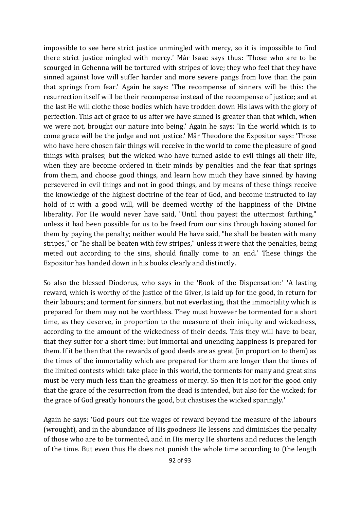impossible to see here strict justice unmingled with mercy, so it is impossible to find there strict justice mingled with mercy.' Mâr Isaac says thus: 'Those who are to be scourged in Gehenna will be tortured with stripes of love; they who feel that they have sinned against love will suffer harder and more severe pangs from love than the pain that springs from fear.' Again he says: 'The recompense of sinners will be this: the resurrection itself will be their recompense instead of the recompense of justice; and at the last He will clothe those bodies which have trodden down His laws with the glory of perfection. This act of grace to us after we have sinned is greater than that which, when we were not, brought our nature into being.' Again he says: 'In the world which is to come grace will be the judge and not justice.' Mâr Theodore the Expositor says: 'Those who have here chosen fair things will receive in the world to come the pleasure of good things with praises; but the wicked who have turned aside to evil things all their life, when they are become ordered in their minds by penalties and the fear that springs from them, and choose good things, and learn how much they have sinned by having persevered in evil things and not in good things, and by means of these things receive the knowledge of the highest doctrine of the fear of God, and become instructed to lay hold of it with a good will, will be deemed worthy of the happiness of the Divine liberality. For He would never have said, "Until thou payest the uttermost farthing," unless it had been possible for us to be freed from our sins through having atoned for them by paying the penalty; neither would He have said, "he shall be beaten with many stripes," or "he shall be beaten with few stripes," unless it were that the penalties, being meted out according to the sins, should finally come to an end.' These things the Expositor has handed down in his books clearly and distinctly.

So also the blessed Diodorus, who says in the 'Book of the Dispensation:' 'A lasting reward, which is worthy of the justice of the Giver, is laid up for the good, in return for their labours; and torment for sinners, but not everlasting, that the immortality which is prepared for them may not be worthless. They must however be tormented for a short time, as they deserve, in proportion to the measure of their iniquity and wickedness, according to the amount of the wickedness of their deeds. This they will have to bear, that they suffer for a short time; but immortal and unending happiness is prepared for them. If it be then that the rewards of good deeds are as great (in proportion to them) as the times of the immortality which are prepared for them are longer than the times of the limited contests which take place in this world, the torments for many and great sins must be very much less than the greatness of mercy. So then it is not for the good only that the grace of the resurrection from the dead is intended, but also for the wicked; for the grace of God greatly honours the good, but chastises the wicked sparingly.'

Again he says: 'God pours out the wages of reward beyond the measure of the labours (wrought), and in the abundance of His goodness He lessens and diminishes the penalty of those who are to be tormented, and in His mercy He shortens and reduces the length of the time. But even thus He does not punish the whole time according to (the length